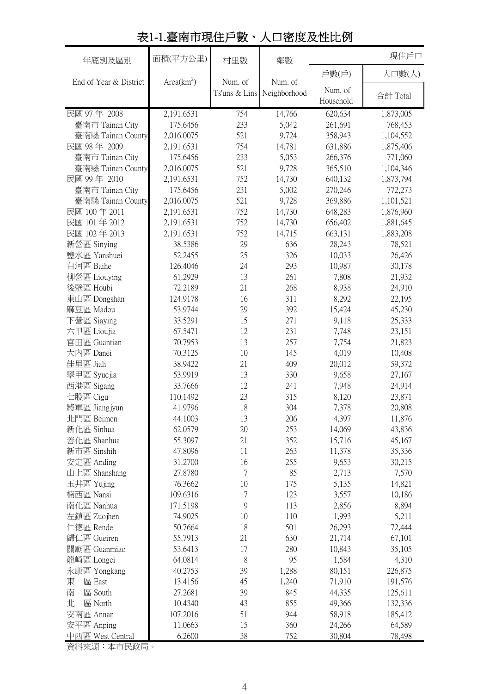| 年底別及區別                 | 面積(平方公里)     | 村里數       | 鄰數                                    |           | 現住戶口      |
|------------------------|--------------|-----------|---------------------------------------|-----------|-----------|
|                        |              |           |                                       | 戶數(戶)     | 人口數(人)    |
| End of Year & District | $Area(km^2)$ | Num. of   | Num. of<br>Ts'uns & Lins Neighborhood | Num. of   | 合計 Total  |
|                        |              |           |                                       | Household |           |
| 民國 97年 2008            | 2,191.6531   | 754       | 14,766                                | 620,634   | 1,873,005 |
| 臺南市 Tainan City        | 175.6456     | 233       | 5,042                                 | 261,691   | 768,453   |
| 臺南縣 Tainan County      | 2,016.0075   | 521       | 9,724                                 | 358,943   | 1,104,552 |
| 民國 98年 2009            | 2,191.6531   | 754       | 14,781                                | 631,886   | 1,875,406 |
| 臺南市 Tainan City        | 175.6456     | 233       | 5,053                                 | 266,376   | 771,060   |
| 臺南縣 Tainan County      | 2,016.0075   | 521       | 9,728                                 | 365,510   | 1,104,346 |
| 民國 99年 2010            | 2,191.6531   | 752       | 14,730                                | 640,132   | 1,873,794 |
| 臺南市 Tainan City        | 175.6456     | 231       | 5,002                                 | 270,246   | 772,273   |
| 臺南縣 Tainan County      | 2,016.0075   | 521       | 9,728                                 | 369,886   | 1,101,521 |
| 民國 100年 2011           | 2,191.6531   | 752       | 14,730                                | 648,283   | 1,876,960 |
| 民國 101年 2012           | 2,191.6531   | 752       | 14,730                                | 656,402   | 1,881,645 |
| 民國 102年 2013           | 2,191.6531   | 752       | 14,715                                | 663,131   | 1,883,208 |
| 新營區 Sinying            | 38.5386      | 29        | 636                                   | 28,243    | 78,521    |
| 鹽水區 Yanshuei           | 52.2455      | 25        | 326                                   | 10,033    | 26,426    |
| 白河區 Baihe              | 126.4046     | 24        | 293                                   | 10,987    | 30,178    |
| 柳營區 Liouying           | 61.2929      | 13        | 261                                   | 7,808     | 21,932    |
| 後壁區 Houbi              | 72.2189      | 21        | 268                                   | 8,938     | 24,910    |
| 東山區 Dongshan           | 124.9178     | 16        | 311                                   | 8,292     | 22,195    |
| 麻豆區 Madou              | 53.9744      | 29        | 392                                   | 15,424    | 45,230    |
| 下營區 Siaying            | 33.5291      | 15        | 271                                   | 9,118     | 25,333    |
| 六甲區 Lioujia            | 67.5471      | 12        | 231                                   | 7,748     | 23,151    |
| 官田區 Guantian           | 70.7953      | 13        | 257                                   | 7,754     | 21,823    |
| 大内區 Danei              | 70.3125      | 10        | 145                                   | 4,019     | 10,408    |
| 佳里區 Jiali              | 38.9422      | 21        | 409                                   | 20,012    | 59,372    |
| 學甲區 Syuejia            | 53.9919      | 13        | 330                                   | 9,658     | 27,167    |
| 西港區 Sigang             | 33.7666      | 12        | 241                                   | 7,948     | 24,914    |
| 七股區 Cigu               | 110.1492     | 23        | 315                                   | 8,120     | 23,871    |
| 將軍區 Jiangjyun          | 41.9796      | 18        | 304                                   | 7,378     | 20,808    |
| 北門區 Beimen             | 44.1003      | 13        | 206                                   | 4,397     | 11,876    |
| 新化區 Sinhua             | 62.0579      | 20        | 253                                   | 14,069    | 43,836    |
| 善化區 Shanhua            | 55.3097      | 21        | 352                                   | 15,716    | 45,167    |
| 新市區 Sinshih            | 47.8096      | 11        | 263                                   | 11,378    | 35,336    |
| 安定區 Anding             | 31.2700      | 16        | 255                                   | 9,653     | 30,215    |
| 山上區 Shanshang          | 27.8780      | 7         | 85                                    | 2,713     | 7,570     |
| 玉井區 Yujing             | 76.3662      | 10        | 175                                   | 5,135     | 14,821    |
| 楠西區 Nansi              | 109.6316     | 7         | 123                                   | 3,557     | 10,186    |
| 南化區 Nanhua             | 171.5198     | 9         | 113                                   | 2,856     | 8,894     |
| 左鎮區 Zuojhen            | 74.9025      | 10        | 110                                   | 1,993     | 5,211     |
| 仁德區 Rende              | 50.7664      | 18        | 501                                   | 26,293    | 72,444    |
| 歸仁區 Gueiren            | 55.7913      | 21        | 630                                   | 21,714    | 67,101    |
| 關廟區 Guanmiao           | 53.6413      | 17        | 280                                   | 10,843    | 35,105    |
| 龍崎區 Longci             | 64.0814      | $\,$ $\,$ | 95                                    | 1,584     | 4,310     |
| 永康區 Yongkang           | 40.2753      | 39        | 1,288                                 | 80,151    | 226,875   |
| 東<br>區 East            | 13.4156      | 45        | 1,240                                 | 71,910    | 191,576   |
| 區 South<br>南           | 27.2681      | 39        | 845                                   | 44,335    | 125,611   |
| 北<br>區 North           | 10.4340      | 43        | 855                                   | 49,366    | 132,336   |
| 安南區 Annan              | 107.2016     | 51        | 944                                   | 58,918    | 185,412   |
| 安平區 Anping             | 11.0663      | 15        | 360                                   | 24,266    | 64,589    |
| 中西區 West Central       | 6.2600       | 38        | 752                                   | 30,804    | 78,498    |

# 表1-1.臺南市現住戶數、人口密度及性比例

資料來源:本市民政局。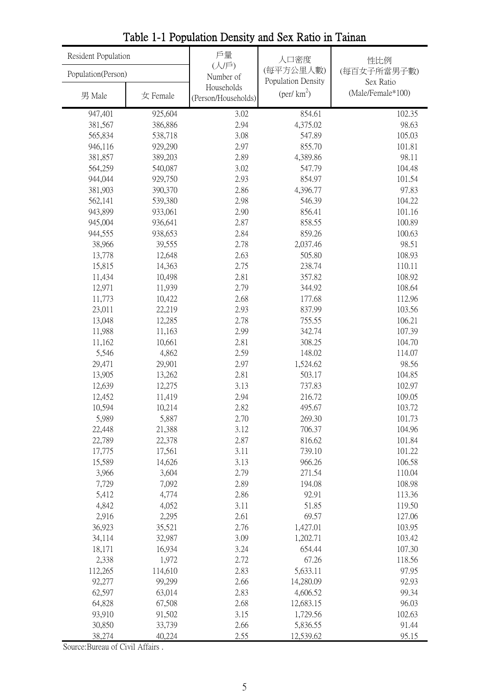| Resident Population |                  | 戶量                                | 人口密度                                             | 性比例                            |
|---------------------|------------------|-----------------------------------|--------------------------------------------------|--------------------------------|
| Population(Person)  |                  | (人/戶)<br>Number of                | (每平方公里人數)                                        | (每百女子所當男子數)                    |
| 男 Male              | 女 Female         | Households<br>(Person/Households) | Population Density<br>$(\text{per}/\text{km}^2)$ | Sex Ratio<br>(Male/Female*100) |
| 947,401             | 925,604          | 3.02                              | 854.61                                           | 102.35                         |
| 381,567             | 386,886          | 2.94                              | 4,375.02                                         | 98.63                          |
| 565,834             | 538,718          | 3.08                              | 547.89                                           | 105.03                         |
| 946,116             | 929,290          | 2.97                              | 855.70                                           | 101.81                         |
| 381,857             | 389,203          | 2.89                              | 4,389.86                                         | 98.11                          |
| 564,259             | 540,087          | 3.02                              | 547.79                                           | 104.48                         |
| 944,044             | 929,750          | 2.93                              | 854.97                                           | 101.54                         |
| 381,903             | 390,370          | 2.86                              | 4,396.77                                         | 97.83                          |
| 562,141             | 539,380          | 2.98                              | 546.39                                           | 104.22                         |
| 943,899             | 933,061          | 2.90                              | 856.41                                           | 101.16                         |
| 945,004             | 936,641          | 2.87                              | 858.55                                           | 100.89                         |
| 944,555             | 938,653          | 2.84                              | 859.26                                           | 100.63                         |
| 38,966<br>13,778    | 39,555<br>12,648 | 2.78                              | 2,037.46<br>505.80                               | 98.51<br>108.93                |
| 15,815              | 14,363           | 2.63<br>2.75                      | 238.74                                           | 110.11                         |
| 11,434              | 10,498           | 2.81                              | 357.82                                           | 108.92                         |
| 12,971              | 11,939           | 2.79                              | 344.92                                           | 108.64                         |
| 11,773              | 10,422           | 2.68                              | 177.68                                           | 112.96                         |
| 23,011              | 22,219           | 2.93                              | 837.99                                           | 103.56                         |
| 13,048              | 12,285           | 2.78                              | 755.55                                           | 106.21                         |
| 11,988              | 11,163           | 2.99                              | 342.74                                           | 107.39                         |
| 11,162              | 10,661           | 2.81                              | 308.25                                           | 104.70                         |
| 5,546               | 4,862            | 2.59                              | 148.02                                           | 114.07                         |
| 29,471              | 29,901           | 2.97                              | 1,524.62                                         | 98.56                          |
| 13,905              | 13,262           | 2.81                              | 503.17                                           | 104.85                         |
| 12,639              | 12,275           | 3.13                              | 737.83                                           | 102.97                         |
| 12,452              | 11,419           | 2.94                              | 216.72                                           | 109.05                         |
| 10,594              | 10,214           | 2.82                              | 495.67                                           | 103.72                         |
| 5,989               | 5,887            | 2.70                              | 269.30                                           | 101.73                         |
| 22,448              | 21,388           | 3.12                              | 706.37                                           | 104.96                         |
| 22,789              | 22,378           | 2.87                              | 816.62                                           | 101.84                         |
| 17,775              | 17,561           | 3.11                              | 739.10                                           | 101.22                         |
| 15,589              | 14,626           | 3.13                              | 966.26                                           | 106.58                         |
| 3,966               | 3,604            | 2.79                              | 271.54                                           | 110.04                         |
| 7,729               | 7,092            | 2.89                              | 194.08                                           | 108.98                         |
| 5,412               | 4,774            | 2.86                              | 92.91                                            | 113.36                         |
| 4,842               | 4,052            | 3.11                              | 51.85                                            | 119.50                         |
| 2,916               | 2,295            | 2.61                              | 69.57                                            | 127.06                         |
| 36,923              | 35,521           | 2.76                              | 1,427.01                                         | 103.95                         |
| 34,114              | 32,987           | 3.09                              | 1,202.71                                         | 103.42                         |
| 18,171<br>2,338     | 16,934<br>1,972  | 3.24<br>2.72                      | 654.44<br>67.26                                  | 107.30<br>118.56               |
| 112,265             | 114,610          | 2.83                              | 5,633.11                                         | 97.95                          |
| 92,277              | 99,299           | 2.66                              | 14,280.09                                        | 92.93                          |
| 62,597              | 63,014           | 2.83                              | 4,606.52                                         | 99.34                          |
| 64,828              | 67,508           | 2.68                              | 12,683.15                                        | 96.03                          |
| 93,910              | 91,502           | 3.15                              | 1,729.56                                         | 102.63                         |
| 30,850              | 33,739           | 2.66                              | 5,836.55                                         | 91.44                          |
| 38,274              | 40,224           | 2.55                              | 12,539.62                                        | 95.15                          |

Table 1-1 Population Density and Sex Ratio in Tainan

Source:Bureau of Civil Affairs .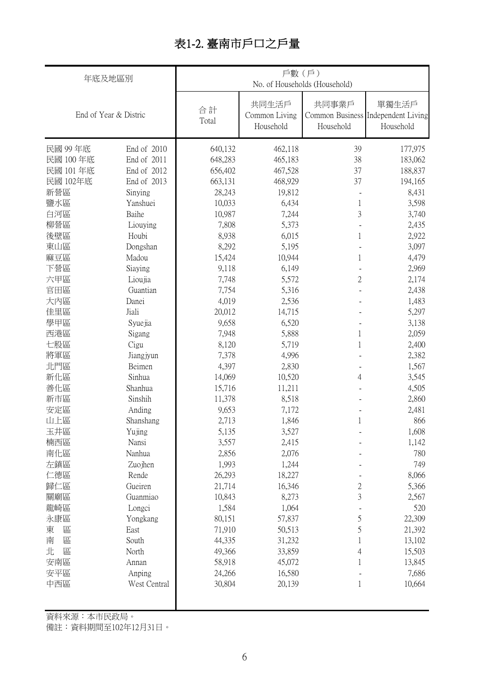# 表1-2. 臺南市戶口之戶量

| 年底及地區別     |                       | 戶數(戶)<br>No. of Households (Household) |                                     |                    |                                                          |  |  |
|------------|-----------------------|----------------------------------------|-------------------------------------|--------------------|----------------------------------------------------------|--|--|
|            | End of Year & Distric | 合計<br>Total                            | 共同生活戶<br>Common Living<br>Household | 共同事業戶<br>Household | 單獨生活戶<br>Common Business Independent Living<br>Household |  |  |
| 民國 99年底    | End of 2010           | 640,132                                | 462,118                             | 39                 | 177,975                                                  |  |  |
| 民國 100年底   | End of 2011           | 648,283                                | 465,183                             | 38                 | 183,062                                                  |  |  |
| 民國 101年底   | End of 2012           | 656,402                                | 467,528                             | 37                 | 188,837                                                  |  |  |
| 民國 102年底   | End of 2013           | 663,131                                | 468,929                             | 37                 | 194,165                                                  |  |  |
| 新營區        | Sinying               | 28,243                                 | 19,812                              |                    | 8,431                                                    |  |  |
| 鹽水區        | Yanshuei              | 10,033                                 | 6,434                               | 1                  | 3,598                                                    |  |  |
| 白河區        | Baihe                 | 10,987                                 | 7,244                               | 3                  | 3,740                                                    |  |  |
| 柳營區        | Liouying              | 7,808                                  | 5,373                               |                    | 2,435                                                    |  |  |
| 後壁區        | Houbi                 | 8,938                                  | 6,015                               | 1                  | 2,922                                                    |  |  |
| 東山區        | Dongshan              | 8,292                                  | 5,195                               |                    | 3,097                                                    |  |  |
| 麻豆區        | Madou                 | 15,424                                 | 10,944                              | 1                  | 4,479                                                    |  |  |
| 下營區        | Siaying               | 9,118                                  | 6,149                               | $\overline{2}$     | 2,969                                                    |  |  |
| 六甲區<br>官田區 | Lioujia<br>Guantian   | 7,748<br>7,754                         | 5,572                               |                    | 2,174                                                    |  |  |
|            |                       |                                        | 5,316                               |                    | 2,438                                                    |  |  |
| 大内區<br>佳里區 | Danei<br>Jiali        | 4,019<br>20,012                        | 2,536                               |                    | 1,483<br>5,297                                           |  |  |
| 學甲區        |                       | 9,658                                  | 14,715<br>6,520                     |                    | 3,138                                                    |  |  |
| 西港區        | Syuejia               | 7,948                                  | 5,888                               | 1                  | 2,059                                                    |  |  |
| 七股區        | Sigang<br>Cigu        | 8,120                                  | 5,719                               |                    | 2,400                                                    |  |  |
| 將軍區        | Jiangjyun             | 7,378                                  | 4,996                               |                    | 2,382                                                    |  |  |
| 北門區        | Beimen                | 4,397                                  | 2,830                               |                    | 1,567                                                    |  |  |
| 新化區        | Sinhua                | 14,069                                 | 10,520                              | 4                  | 3,545                                                    |  |  |
| 善化區        | Shanhua               | 15,716                                 | 11,211                              |                    | 4,505                                                    |  |  |
| 新市區        | Sinshih               | 11,378                                 | 8,518                               |                    | 2,860                                                    |  |  |
| 安定區        | Anding                | 9,653                                  | 7,172                               |                    | 2,481                                                    |  |  |
| 山上區        | Shanshang             | 2,713                                  | 1,846                               | 1                  | 866                                                      |  |  |
| 玉井區        | Yujing                | 5,135                                  | 3,527                               |                    | 1,608                                                    |  |  |
| 楠西區        | Nansi                 | 3,557                                  | 2,415                               |                    | 1,142                                                    |  |  |
| 南化區        | Nanhua                | 2,856                                  | 2,076                               |                    | 780                                                      |  |  |
| 左鎮區        | Zuojhen               | 1,993                                  | 1,244                               |                    | 749                                                      |  |  |
| 仁德區        | Rende                 | 26,293                                 | 18,227                              |                    | 8,066                                                    |  |  |
| 歸仁區        | Gueiren               | 21,714                                 | 16,346                              | 2                  | 5,366                                                    |  |  |
| 關廟區        | Guanmiao              | 10,843                                 | 8,273                               | 3                  | 2,567                                                    |  |  |
| 龍崎區        | Longci                | 1,584                                  | 1,064                               |                    | 520                                                      |  |  |
| 永康區        | Yongkang              | 80,151                                 | 57,837                              | 5                  | 22,309                                                   |  |  |
| 東<br>區     | East                  | 71,910                                 | 50,513                              | 5                  | 21,392                                                   |  |  |
| 南<br>區     | South                 | 44,335                                 | 31,232                              | 1                  | 13,102                                                   |  |  |
| 北<br>區     | North                 | 49,366                                 | 33,859                              | 4                  | 15,503                                                   |  |  |
| 安南區        | Annan                 | 58,918                                 | 45,072                              |                    | 13,845                                                   |  |  |
| 安平區        | Anping                | 24,266                                 | 16,580                              |                    | 7,686                                                    |  |  |
| 中西區        | West Central          | 30,804                                 | 20,139                              | 1                  | 10,664                                                   |  |  |
|            |                       |                                        |                                     |                    |                                                          |  |  |

資料來源:本市民政局。

備註:資料期間至102年12月31日。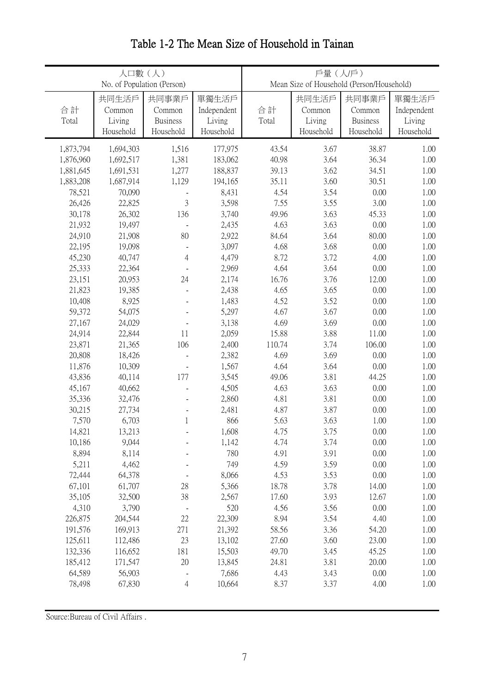|                  | 人口數(人)<br>No. of Population (Person) |                              |                       | 戶量(人)戶)<br>Mean Size of Household (Person/Household) |                     |                           |                     |
|------------------|--------------------------------------|------------------------------|-----------------------|------------------------------------------------------|---------------------|---------------------------|---------------------|
|                  |                                      |                              |                       |                                                      |                     |                           |                     |
|                  | 共同生活戶                                | 共同事業戶                        | 單獨生活戶                 |                                                      | 共同生活戶               | 共同事業戶                     | 單獨生活戶               |
| 合計               | Common                               | Common<br><b>Business</b>    | Independent<br>Living | 合計                                                   | Common              | Common<br><b>Business</b> | Independent         |
| Total            | Living<br>Household                  | Household                    | Household             | Total                                                | Living<br>Household | Household                 | Living<br>Household |
|                  |                                      |                              |                       |                                                      |                     |                           |                     |
| 1,873,794        | 1,694,303                            | 1,516                        | 177,975               | 43.54                                                | 3.67                | 38.87                     | 1.00                |
| 1,876,960        | 1,692,517                            | 1,381                        | 183,062               | 40.98                                                | 3.64                | 36.34                     | 1.00                |
| 1,881,645        | 1,691,531                            | 1,277                        | 188,837               | 39.13                                                | 3.62                | 34.51                     | 1.00                |
| 1,883,208        | 1,687,914                            | 1,129                        | 194,165               | 35.11                                                | 3.60                | 30.51                     | 1.00                |
| 78,521           | 70,090                               |                              | 8,431                 | 4.54                                                 | 3.54                | 0.00                      | 1.00                |
| 26,426           | 22,825                               | $\mathfrak{Z}$               | 3,598                 | 7.55                                                 | 3.55                | 3.00                      | 1.00                |
| 30,178           | 26,302                               | 136                          | 3,740                 | 49.96                                                | 3.63                | 45.33                     | 1.00                |
| 21,932           | 19,497                               | $\overline{a}$               | 2,435                 | 4.63                                                 | 3.63                | 0.00                      | 1.00                |
| 24,910           | 21,908                               | 80                           | 2,922                 | 84.64                                                | 3.64                | 80.00                     | 1.00                |
| 22,195           | 19,098                               | $\overline{a}$               | 3,097                 | 4.68                                                 | 3.68                | 0.00                      | 1.00                |
| 45,230           | 40,747                               | $\overline{4}$               | 4,479                 | 8.72                                                 | 3.72                | 4.00                      | 1.00                |
| 25,333           | 22,364                               | $\overline{a}$               | 2,969                 | 4.64                                                 | 3.64                | 0.00                      | 1.00                |
| 23,151           | 20,953                               | 24                           | 2,174                 | 16.76                                                | 3.76                | 12.00                     | 1.00                |
| 21,823           | 19,385                               | $\overline{a}$               | 2,438                 | 4.65                                                 | 3.65                | 0.00                      | 1.00                |
| 10,408           | 8,925<br>54,075                      | $\overline{a}$               | 1,483                 | 4.52<br>4.67                                         | 3.52<br>3.67        | 0.00<br>0.00              | 1.00                |
| 59,372<br>27,167 | 24,029                               |                              | 5,297<br>3,138        | 4.69                                                 | 3.69                | 0.00                      | 1.00<br>1.00        |
| 24,914           | 22,844                               | 11                           | 2,059                 | 15.88                                                | 3.88                | 11.00                     | 1.00                |
| 23,871           | 21,365                               | 106                          | 2,400                 | 110.74                                               | 3.74                | 106.00                    | 1.00                |
| 20,808           | 18,426                               |                              | 2,382                 | 4.69                                                 | 3.69                | 0.00                      | 1.00                |
| 11,876           | 10,309                               |                              | 1,567                 | 4.64                                                 | 3.64                | 0.00                      | 1.00                |
| 43,836           | 40,114                               | 177                          | 3,545                 | 49.06                                                | 3.81                | 44.25                     | 1.00                |
| 45,167           | 40,662                               | $\overline{a}$               | 4,505                 | 4.63                                                 | 3.63                | 0.00                      | 1.00                |
| 35,336           | 32,476                               | $\overline{a}$               | 2,860                 | 4.81                                                 | 3.81                | 0.00                      | 1.00                |
| 30,215           | 27,734                               |                              | 2,481                 | 4.87                                                 | 3.87                | 0.00                      | 1.00                |
| 7,570            | 6,703                                | $\mathbf{1}$                 | 866                   | 5.63                                                 | 3.63                | 1.00                      | 1.00                |
| 14,821           | 13,213                               |                              | 1,608                 | 4.75                                                 | 3.75                | 0.00                      | 1.00                |
| 10,186           | 9,044                                |                              | 1,142                 | 4.74                                                 | 3.74                | 0.00                      | 1.00                |
| 8,894            | 8,114                                |                              | 780                   | 4.91                                                 | 3.91                | 0.00                      | 1.00                |
| 5,211            | 4,462                                |                              | 749                   | 4.59                                                 | 3.59                | 0.00                      | 1.00                |
| 72,444           | 64,378                               |                              | 8,066                 | 4.53                                                 | 3.53                | 0.00                      | 1.00                |
| 67,101           | 61,707                               | 28                           | 5,366                 | 18.78                                                | 3.78                | 14.00                     | 1.00                |
| 35,105           | 32,500                               | 38                           | 2,567                 | 17.60                                                | 3.93                | 12.67                     | 1.00                |
| 4,310            | 3,790                                | $\qquad \qquad \blacksquare$ | 520                   | 4.56                                                 | 3.56                | 0.00                      | 1.00                |
| 226,875          | 204,544                              | 22                           | 22,309                | 8.94                                                 | 3.54                | 4.40                      | 1.00                |
| 191,576          | 169,913                              | 271                          | 21,392                | 58.56                                                | 3.36                | 54.20                     | 1.00                |
| 125,611          | 112,486                              | 23                           | 13,102                | 27.60                                                | 3.60                | 23.00                     | 1.00                |
| 132,336          | 116,652                              | 181                          | 15,503                | 49.70                                                | 3.45                | 45.25                     | 1.00                |
| 185,412          | 171,547                              | 20                           | 13,845                | 24.81                                                | 3.81                | 20.00                     | 1.00                |
| 64,589           | 56,903                               |                              | 7,686                 | 4.43                                                 | 3.43                | 0.00                      | 1.00                |
| 78,498           | 67,830                               | 4                            | 10,664                | 8.37                                                 | 3.37                | 4.00                      | 1.00                |

# Table 1-2 The Mean Size of Household in Tainan

Source:Bureau of Civil Affairs .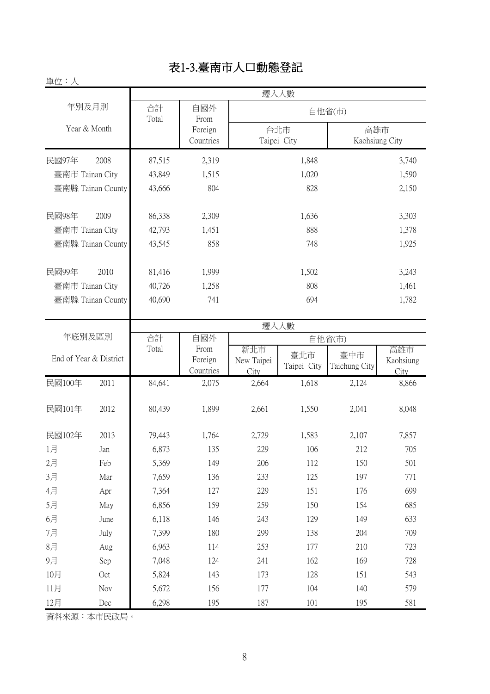# 表1-3.臺南市人口動態登記

| 單位:人              |             |                      |                                                     |                       |
|-------------------|-------------|----------------------|-----------------------------------------------------|-----------------------|
|                   |             |                      | 遷入人數                                                |                       |
| 年別及月別             | 合計<br>Total | 自國外<br>From          |                                                     | 自他省(市)                |
| Year & Month      |             | Foreign<br>Countries | 台北市<br>Taipei City                                  | 高雄市<br>Kaohsiung City |
| 民國97年<br>2008     | 87,515      | 2,319                | 1,848                                               | 3,740                 |
| 臺南市 Tainan City   | 43,849      | 1,515                | 1,020                                               | 1,590                 |
| 臺南縣 Tainan County | 43,666      | 804                  | 828                                                 | 2,150                 |
| 民國98年<br>2009     | 86,338      | 2,309                | 1,636                                               | 3,303                 |
| 臺南市 Tainan City   | 42,793      | 1,451                | 888                                                 | 1,378                 |
| 臺南縣 Tainan County | 43,545      | 858                  | 748                                                 | 1,925                 |
| 民國99年<br>2010     | 81,416      | 1,999                | 1,502                                               | 3,243                 |
| 臺南市 Tainan City   | 40,726      | 1,258                | 808                                                 | 1,461                 |
| 臺南縣 Tainan County | 40,690      | 741                  | 694                                                 | 1,782                 |
|                   |             |                      | $\lambda$ and $\lambda$ and $\lambda$ and $\lambda$ |                       |

|                        |      | 遷入人數   |                              |                           |                    |                      |                          |
|------------------------|------|--------|------------------------------|---------------------------|--------------------|----------------------|--------------------------|
| 年底別及區別                 |      | 合計     | 自國外                          |                           |                    | 自他省(市)               |                          |
| End of Year & District |      | Total  | From<br>Foreign<br>Countries | 新北市<br>New Taipei<br>City | 臺北市<br>Taipei City | 臺中市<br>Taichung City | 高雄市<br>Kaohsiung<br>City |
| 民國100年                 | 2011 | 84,641 | 2,075                        | 2,664                     | 1,618              | 2,124                | 8,866                    |
| 民國101年                 | 2012 | 80,439 | 1,899                        | 2,661                     | 1,550              | 2,041                | 8,048                    |
| 民國102年                 | 2013 | 79,443 | 1,764                        | 2,729                     | 1,583              | 2,107                | 7,857                    |
| 1月                     | Jan  | 6,873  | 135                          | 229                       | 106                | 212                  | 705                      |
| 2月                     | Feb  | 5,369  | 149                          | 206                       | 112                | 150                  | 501                      |
| 3月                     | Mar  | 7,659  | 136                          | 233                       | 125                | 197                  | 771                      |
| 4月                     | Apr  | 7,364  | 127                          | 229                       | 151                | 176                  | 699                      |
| 5月                     | May  | 6,856  | 159                          | 259                       | 150                | 154                  | 685                      |
| 6月                     | June | 6,118  | 146                          | 243                       | 129                | 149                  | 633                      |
| 7月                     | July | 7,399  | 180                          | 299                       | 138                | 204                  | 709                      |
| 8月                     | Aug  | 6,963  | 114                          | 253                       | 177                | 210                  | 723                      |
| 9月                     | Sep  | 7,048  | 124                          | 241                       | 162                | 169                  | 728                      |
| 10月                    | Oct  | 5,824  | 143                          | 173                       | 128                | 151                  | 543                      |
| 11月                    | Nov  | 5,672  | 156                          | 177                       | 104                | 140                  | 579                      |
| 12月                    | Dec  | 6,298  | 195                          | 187                       | 101                | 195                  | 581                      |

資料來源:本市民政局。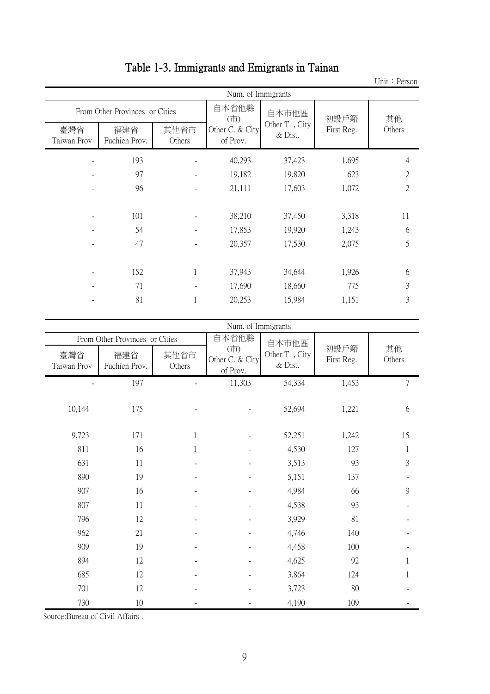|                    |                                |                          |                             |                           |            | ome repon      |  |  |  |  |
|--------------------|--------------------------------|--------------------------|-----------------------------|---------------------------|------------|----------------|--|--|--|--|
|                    | Num. of Immigrants             |                          |                             |                           |            |                |  |  |  |  |
|                    | From Other Provinces or Cities |                          | 自本省他縣<br>(市)                | 自本市他區                     | 初設戶籍       | 其他             |  |  |  |  |
| 臺灣省<br>Taiwan Prov | 福建省<br>Fuchien Prov.           | 其他省市<br>Others           | Other C. & City<br>of Prov. | Other T., City<br>& Dist. | First Reg. | Others         |  |  |  |  |
|                    | 193                            |                          | 40,293                      | 37,423                    | 1,695      | $\overline{4}$ |  |  |  |  |
|                    | 97                             |                          | 19,182                      | 19,820                    | 623        | $\overline{2}$ |  |  |  |  |
|                    | 96                             | $\overline{\phantom{a}}$ | 21,111                      | 17,603                    | 1,072      | $\mathbf{2}$   |  |  |  |  |
|                    |                                |                          |                             |                           |            |                |  |  |  |  |
|                    | 101                            |                          | 38,210                      | 37,450                    | 3,318      | 11             |  |  |  |  |
|                    | 54                             |                          | 17,853                      | 19,920                    | 1,243      | 6              |  |  |  |  |
|                    | 47                             |                          | 20,357                      | 17,530                    | 2,075      | 5              |  |  |  |  |
|                    |                                |                          |                             |                           |            |                |  |  |  |  |
|                    | 152                            | 1                        | 37,943                      | 34,644                    | 1,926      | 6              |  |  |  |  |
|                    | 71                             |                          | 17,690                      | 18,660                    | 775        | 3              |  |  |  |  |
|                    | 81                             | 1                        | 20,253                      | 15,984                    | 1,151      | 3              |  |  |  |  |
|                    |                                |                          |                             |                           |            |                |  |  |  |  |

# Table 1-3. Immigrants and Emigrants in Tainan

|                    |                                |                | Num. of Immigrants                 |                           |                    |              |
|--------------------|--------------------------------|----------------|------------------------------------|---------------------------|--------------------|--------------|
|                    | From Other Provinces or Cities |                | 自本省他縣                              | 自本市他區                     |                    |              |
| 臺灣省<br>Taiwan Prov | 福建省<br>Fuchien Prov.           | 其他省市<br>Others | (市)<br>Other C. & City<br>of Prov. | Other T., City<br>& Dist. | 初設戶籍<br>First Reg. | 其他<br>Others |
|                    | 197                            |                | 11,303                             | 54,334                    | 1,453              | 7            |
| 10,144             | 175                            |                |                                    | 52,694                    | 1,221              | 6            |
| 9,723              | 171                            |                |                                    | 52,251                    | 1,242              | 15           |
| 811                | 16                             | 1              |                                    | 4,530                     | 127                |              |
| 631                | 11                             |                |                                    | 3,513                     | 93                 | 3            |
| 890                | 19                             |                |                                    | 5,151                     | 137                |              |
| 907                | 16                             |                |                                    | 4,984                     | 66                 | 9            |
| 807                | 11                             |                |                                    | 4,538                     | 93                 |              |
| 796                | 12                             |                |                                    | 3,929                     | 81                 |              |
| 962                | 21                             |                |                                    | 4,746                     | 140                |              |
| 909                | 19                             |                |                                    | 4,458                     | 100                |              |
| 894                | 12                             |                |                                    | 4,625                     | 92                 |              |
| 685                | 12                             |                |                                    | 3,864                     | 124                |              |
| 701                | 12                             |                |                                    | 3,723                     | 80                 |              |
| 730                | $10\,$                         |                |                                    | 4,190                     | 109                |              |

Unit:Person

Source:Bureau of Civil Affairs .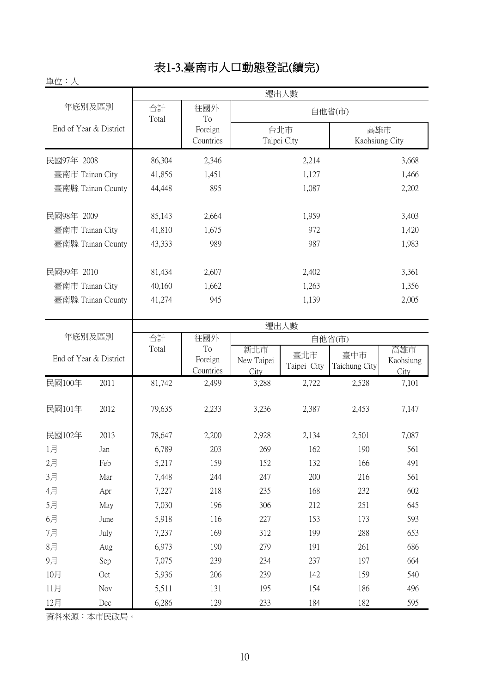# 表1-3.臺南市人口動態登記(續完)

| 單位:人                   |             |                      |                    |                       |
|------------------------|-------------|----------------------|--------------------|-----------------------|
|                        |             |                      | 遷出人數               |                       |
| 年底別及區別                 | 合計<br>Total | 往國外<br>To            |                    | 自他省(市)                |
| End of Year & District |             | Foreign<br>Countries | 台北市<br>Taipei City | 高雄市<br>Kaohsiung City |
| 民國97年 2008             | 86,304      | 2,346                | 2,214              | 3,668                 |
| 臺南市 Tainan City        | 41,856      | 1,451                | 1,127              | 1,466                 |
| 臺南縣 Tainan County      | 44,448      | 895                  | 1,087              | 2,202                 |
| 民國98年 2009             | 85,143      | 2,664                | 1,959              | 3,403                 |
| 臺南市 Tainan City        | 41,810      | 1,675                | 972                | 1,420                 |
| 臺南縣 Tainan County      | 43,333      | 989                  | 987                | 1,983                 |
| 民國99年 2010             | 81,434      | 2,607                | 2,402              | 3,361                 |
| 臺南市 Tainan City        | 40,160      | 1,662                | 1,263              | 1,356                 |
| 臺南縣 Tainan County      | 41,274      | 945                  | 1,139              | 2,005                 |

|                        |      | 遷出人數   |                            |                           |                    |                      |                          |
|------------------------|------|--------|----------------------------|---------------------------|--------------------|----------------------|--------------------------|
| 年底別及區別                 |      | 合計     | 往國外                        |                           |                    | 自他省(市)               |                          |
| End of Year & District |      | Total  | To<br>Foreign<br>Countries | 新北市<br>New Taipei<br>City | 臺北市<br>Taipei City | 臺中市<br>Taichung City | 高雄市<br>Kaohsiung<br>City |
| 民國100年                 | 2011 | 81,742 | 2,499                      | 3,288                     | 2,722              | 2,528                | 7,101                    |
| 民國101年                 | 2012 | 79,635 | 2,233                      | 3,236                     | 2,387              | 2,453                | 7,147                    |
| 民國102年                 | 2013 | 78,647 | 2,200                      | 2,928                     | 2,134              | 2,501                | 7,087                    |
| 1月                     | Jan  | 6,789  | 203                        | 269                       | 162                | 190                  | 561                      |
| 2月                     | Feb  | 5,217  | 159                        | 152                       | 132                | 166                  | 491                      |
| 3月                     | Mar  | 7,448  | 244                        | 247                       | 200                | 216                  | 561                      |
| 4月                     | Apr  | 7,227  | 218                        | 235                       | 168                | 232                  | 602                      |
| 5月                     | May  | 7,030  | 196                        | 306                       | 212                | 251                  | 645                      |
| 6月                     | June | 5,918  | 116                        | 227                       | 153                | 173                  | 593                      |
| 7月                     | July | 7,237  | 169                        | 312                       | 199                | 288                  | 653                      |
| 8月                     | Aug  | 6,973  | 190                        | 279                       | 191                | 261                  | 686                      |
| 9月                     | Sep  | 7,075  | 239                        | 234                       | 237                | 197                  | 664                      |
| 10月                    | Oct  | 5,936  | 206                        | 239                       | 142                | 159                  | 540                      |
| 11月                    | Nov  | 5,511  | 131                        | 195                       | 154                | 186                  | 496                      |
| 12月                    | Dec  | 6,286  | 129                        | 233                       | 184                | 182                  | 595                      |

資料來源:本市民政局。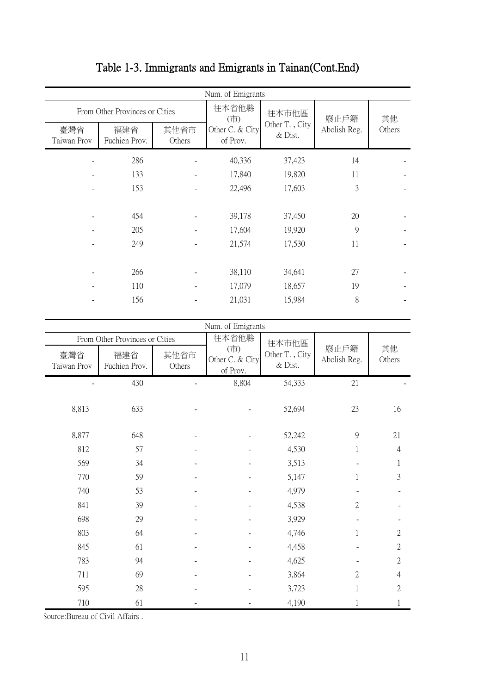| Num. of Emigrants |                                                 |         |                |        |  |  |  |  |
|-------------------|-------------------------------------------------|---------|----------------|--------|--|--|--|--|
|                   | 往本省他縣                                           | 往本市他區   |                | 其他     |  |  |  |  |
| 其他省市<br>Others    | Other C. & City<br>of Prov.                     | & Dist. | Abolish Reg.   | Others |  |  |  |  |
|                   | 40,336                                          | 37,423  | 14             |        |  |  |  |  |
|                   | 17,840                                          | 19,820  | 11             |        |  |  |  |  |
|                   | 22,496                                          | 17,603  | 3              |        |  |  |  |  |
|                   |                                                 |         |                |        |  |  |  |  |
|                   | 39,178                                          | 37,450  | 20             |        |  |  |  |  |
|                   | 17,604                                          | 19,920  | 9              |        |  |  |  |  |
|                   | 21,574                                          | 17,530  | 11             |        |  |  |  |  |
|                   |                                                 |         |                |        |  |  |  |  |
|                   | 38,110                                          | 34,641  | 27             |        |  |  |  |  |
|                   | 17,079                                          | 18,657  | 19             |        |  |  |  |  |
|                   | 21,031                                          | 15,984  | 8              |        |  |  |  |  |
|                   | From Other Provinces or Cities<br>Fuchien Prov. | (市)     | Other T., City | 廢止戶籍   |  |  |  |  |

# Table 1-3. Immigrants and Emigrants in Tainan(Cont.End)

|                    | From Other Provinces or Cities |                | Num. of Emigrants<br>往本省他縣         | 往本市他區                     |                      |                |
|--------------------|--------------------------------|----------------|------------------------------------|---------------------------|----------------------|----------------|
| 臺灣省<br>Taiwan Prov | 福建省<br>Fuchien Prov.           | 其他省市<br>Others | (市)<br>Other C. & City<br>of Prov. | Other T., City<br>& Dist. | 廢止戶籍<br>Abolish Reg. | 其他<br>Others   |
|                    | 430                            |                | 8,804                              | 54,333                    | 21                   |                |
| 8,813              | 633                            |                |                                    | 52,694                    | 23                   | 16             |
| 8,877              | 648                            |                |                                    | 52,242                    | 9                    | 21             |
| 812                | 57                             |                |                                    | 4,530                     | 1                    | $\overline{4}$ |
| 569                | 34                             |                |                                    | 3,513                     |                      | 1              |
| 770                | 59                             |                |                                    | 5,147                     | 1                    | 3              |
| 740                | 53                             |                |                                    | 4,979                     |                      |                |
| 841                | 39                             |                |                                    | 4,538                     | $\overline{2}$       |                |
| 698                | 29                             |                |                                    | 3,929                     |                      |                |
| 803                | 64                             |                |                                    | 4,746                     | 1                    | $\overline{2}$ |
| 845                | 61                             |                |                                    | 4,458                     |                      | 2              |
| 783                | 94                             |                |                                    | 4,625                     |                      | $\overline{2}$ |
| 711                | 69                             |                |                                    | 3,864                     | $\mathfrak{2}$       | $\overline{4}$ |
| 595                | 28                             |                |                                    | 3,723                     | $\mathbf{1}$         | 2              |
| 710                | 61                             |                |                                    | 4,190                     |                      |                |

Source:Bureau of Civil Affairs .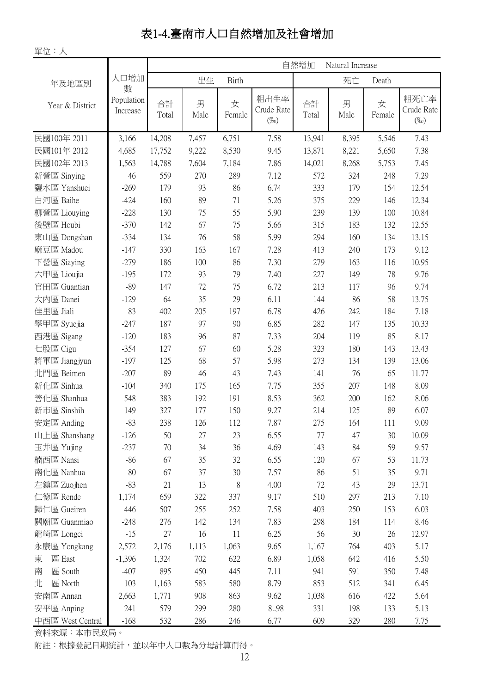# 表1-4.臺南市人口自然增加及社會增加

單位:人

|                  |                             | 自然增加<br>Natural Increase |           |              |                               |             |           |             |                               |  |
|------------------|-----------------------------|--------------------------|-----------|--------------|-------------------------------|-------------|-----------|-------------|-------------------------------|--|
| 年及地區別            | 人口增加                        |                          | 出生        | <b>Birth</b> |                               |             | 死亡        | Death       |                               |  |
| Year & District  | 數<br>Population<br>Increase | 合計<br>Total              | 男<br>Male | 女<br>Female  | 粗出生率<br>Crude Rate<br>$(\%o)$ | 合計<br>Total | 男<br>Male | 女<br>Female | 粗死亡率<br>Crude Rate<br>$(\%o)$ |  |
| 民國100年 2011      | 3,166                       | 14,208                   | 7,457     | 6,751        | 7.58                          | 13,941      | 8,395     | 5,546       | 7.43                          |  |
| 民國101年 2012      | 4,685                       | 17,752                   | 9,222     | 8,530        | 9.45                          | 13,871      | 8,221     | 5,650       | 7.38                          |  |
| 民國102年 2013      | 1,563                       | 14,788                   | 7,604     | 7,184        | 7.86                          | 14,021      | 8,268     | 5,753       | 7.45                          |  |
| 新營區 Sinying      | 46                          | 559                      | 270       | 289          | 7.12                          | 572         | 324       | 248         | 7.29                          |  |
| 鹽水區 Yanshuei     | $-269$                      | 179                      | 93        | 86           | 6.74                          | 333         | 179       | 154         | 12.54                         |  |
| 白河區 Baihe        | $-424$                      | 160                      | 89        | 71           | 5.26                          | 375         | 229       | 146         | 12.34                         |  |
| 柳營區 Liouying     | $-228$                      | 130                      | 75        | 55           | 5.90                          | 239         | 139       | 100         | 10.84                         |  |
| 後壁區 Houbi        | $-370$                      | 142                      | 67        | 75           | 5.66                          | 315         | 183       | 132         | 12.55                         |  |
| 東山區 Dongshan     | $-334$                      | 134                      | 76        | 58           | 5.99                          | 294         | 160       | 134         | 13.15                         |  |
| 麻豆區 Madou        | $-147$                      | 330                      | 163       | 167          | 7.28                          | 413         | 240       | 173         | 9.12                          |  |
| 下營區 Siaying      | $-279$                      | 186                      | 100       | 86           | 7.30                          | 279         | 163       | 116         | 10.95                         |  |
| 六甲區 Lioujia      | $-195$                      | 172                      | 93        | 79           | 7.40                          | 227         | 149       | 78          | 9.76                          |  |
| 官田區 Guantian     | $-89$                       | 147                      | 72        | 75           | 6.72                          | 213         | 117       | 96          | 9.74                          |  |
| 大内區 Danei        | $-129$                      | 64                       | 35        | 29           | 6.11                          | 144         | 86        | 58          | 13.75                         |  |
| 佳里區 Jiali        | 83                          | 402                      | 205       | 197          | 6.78                          | 426         | 242       | 184         | 7.18                          |  |
| 學甲區 Syuejia      | $-247$                      | 187                      | 97        | 90           | 6.85                          | 282         | 147       | 135         | 10.33                         |  |
| 西港區 Sigang       | $-120$                      | 183                      | 96        | 87           | 7.33                          | 204         | 119       | 85          | 8.17                          |  |
| 七股區 Cigu         | $-354$                      | 127                      | 67        | 60           | 5.28                          | 323         | 180       | 143         | 13.43                         |  |
| 將軍區 Jiangjyun    | $-197$                      | 125                      | 68        | 57           | 5.98                          | 273         | 134       | 139         | 13.06                         |  |
| 北門區 Beimen       | $-207$                      | 89                       | 46        | 43           | 7.43                          | 141         | 76        | 65          | 11.77                         |  |
| 新化區 Sinhua       | $-104$                      | 340                      | 175       | 165          | 7.75                          | 355         | 207       | 148         | 8.09                          |  |
| 善化區 Shanhua      | 548                         | 383                      | 192       | 191          | 8.53                          | 362         | 200       | 162         | 8.06                          |  |
| 新市區 Sinshih      | 149                         | 327                      | 177       | 150          | 9.27                          | 214         | 125       | 89          | 6.07                          |  |
| 安定區 Anding       | $-83$                       | 238                      | 126       | 112          | 7.87                          | 275         | 164       | 111         | 9.09                          |  |
| 山上區 Shanshang    | $-126$                      | 50                       | 27        | 23           | 6.55                          | 77          | 47        | 30          | 10.09                         |  |
| 玉井區 Yujing       | $-237$                      | 70                       | 34        | 36           | 4.69                          | 143         | 84        | 59          | 9.57                          |  |
| 楠西區 Nansi        | $-86$                       | 67                       | 35        | 32           | 6.55                          | 120         | 67        | 53          | 11.73                         |  |
| 南化區 Nanhua       | 80                          | 67                       | 37        | 30           | 7.57                          | 86          | 51        | 35          | 9.71                          |  |
| 左鎮區 Zuojhen      | $-83$                       | 21                       | 13        | 8            | 4.00                          | 72          | 43        | 29          | 13.71                         |  |
| 仁德區 Rende        | 1,174                       | 659                      | 322       | 337          | 9.17                          | 510         | 297       | 213         | 7.10                          |  |
| 歸仁區 Gueiren      | 446                         | 507                      | 255       | 252          | 7.58                          | 403         | 250       | 153         | 6.03                          |  |
| 關廟區 Guanmiao     | $-248$                      | 276                      | 142       | 134          | 7.83                          | 298         | 184       | 114         | 8.46                          |  |
| 龍崎區 Longci       | $-15$                       | 27                       | 16        | 11           | 6.25                          | 56          | 30        | 26          | 12.97                         |  |
| 永康區 Yongkang     | 2,572                       | 2,176                    | 1,113     | 1,063        | 9.65                          | 1,167       | 764       | 403         | 5.17                          |  |
| 區 East<br>東      | $-1,396$                    | 1,324                    | 702       | 622          | 6.89                          | 1,058       | 642       | 416         | 5.50                          |  |
| 區 South<br>南     | $-407$                      | 895                      | 450       | 445          | 7.11                          | 941         | 591       | 350         | 7.48                          |  |
| 北<br>區 North     | 103                         | 1,163                    | 583       | 580          | 8.79                          | 853         | 512       | 341         | 6.45                          |  |
| 安南區 Annan        | 2,663                       | 1,771                    | 908       | 863          | 9.62                          | 1,038       | 616       | 422         | 5.64                          |  |
| 安平區 Anping       | 241                         | 579                      | 299       | 280          | 8.98                          | 331         | 198       | 133         | 5.13                          |  |
| 中西區 West Central | $-168$                      | 532                      | 286       | 246          | 6.77                          | 609         | 329       | 280         | 7.75                          |  |

資料來源:本市民政局。

附註:根據登記日期統計,並以年中人口數為分母計算而得。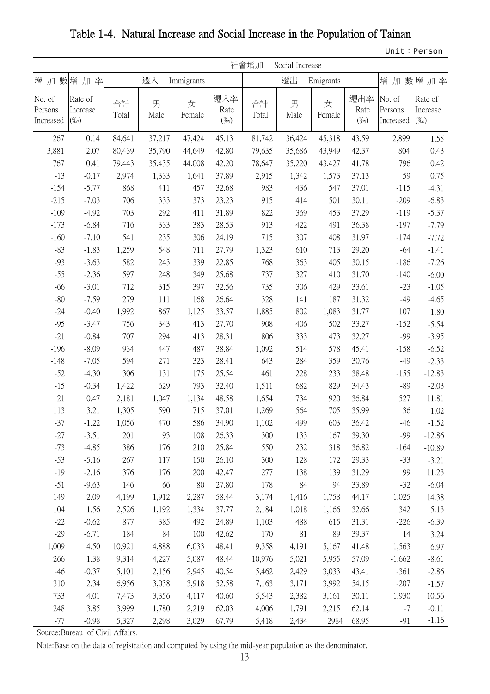|                                |                                | 社會增加<br>Social Increase |           |             |                        |             |           |             |                        |                                |                                |
|--------------------------------|--------------------------------|-------------------------|-----------|-------------|------------------------|-------------|-----------|-------------|------------------------|--------------------------------|--------------------------------|
| 增加數增                           | 加率                             |                         | 遷入        | Immigrants  |                        |             | 遷出        | Emigrants   |                        |                                | 增加數增加率                         |
| No. of<br>Persons<br>Increased | Rate of<br>Increase<br>$(\%o)$ | 合計<br>Total             | 男<br>Male | 女<br>Female | 遷入率<br>Rate<br>$(\%o)$ | 合計<br>Total | 男<br>Male | 女<br>Female | 遷出率<br>Rate<br>$(\%o)$ | No. of<br>Persons<br>Increased | Rate of<br>Increase<br>$(\%o)$ |
| 267                            | 0.14                           | 84,641                  | 37,217    | 47,424      | 45.13                  | 81,742      | 36,424    | 45,318      | 43.59                  | 2,899                          | 1.55                           |
| 3,881                          | 2.07                           | 80,439                  | 35,790    | 44,649      | 42.80                  | 79,635      | 35,686    | 43,949      | 42.37                  | 804                            | 0.43                           |
| 767                            | 0.41                           | 79,443                  | 35,435    | 44,008      | 42.20                  | 78,647      | 35,220    | 43,427      | 41.78                  | 796                            | 0.42                           |
| $-13$                          | $-0.17$                        | 2,974                   | 1,333     | 1,641       | 37.89                  | 2,915       | 1,342     | 1,573       | 37.13                  | 59                             | 0.75                           |
| $-154$                         | $-5.77$                        | 868                     | 411       | 457         | 32.68                  | 983         | 436       | 547         | 37.01                  | $-115$                         | $-4.31$                        |
| $-215$                         | $-7.03$                        | 706                     | 333       | 373         | 23.23                  | 915         | 414       | 501         | 30.11                  | $-209$                         | $-6.83$                        |
| $-109$                         | $-4.92$                        | 703                     | 292       | 411         | 31.89                  | 822         | 369       | 453         | 37.29                  | $-119$                         | $-5.37$                        |
| $-173$                         | $-6.84$                        | 716                     | 333       | 383         | 28.53                  | 913         | 422       | 491         | 36.38                  | $-197$                         | $-7.79$                        |
| $-160$                         | $-7.10$                        | 541                     | 235       | 306         | 24.19                  | 715         | 307       | 408         | 31.97                  | $-174$                         | $-7.72$                        |
| $-83$                          | $-1.83$                        | 1,259                   | 548       | 711         | 27.79                  | 1,323       | 610       | 713         | 29.20                  | $-64$                          | $-1.41$                        |
| $-93$                          | $-3.63$                        | 582                     | 243       | 339         | 22.85                  | 768         | 363       | 405         | 30.15                  | $-186$                         | $-7.26$                        |
| $-55$                          | $-2.36$                        | 597                     | 248       | 349         | 25.68                  | 737         | 327       | 410         | 31.70                  | $-140$                         | $-6.00$                        |
| $-66$                          | $-3.01$                        | 712                     | 315       | 397         | 32.56                  | 735         | 306       | 429         | 33.61                  | $-23$                          | $-1.05$                        |
| $-80$                          | $-7.59$                        | 279                     | 111       | 168         | 26.64                  | 328         | 141       | 187         | 31.32                  | $-49$                          | $-4.65$                        |
| $-24$                          | $-0.40$                        | 1,992                   | 867       | 1,125       | 33.57                  | 1,885       | 802       | 1,083       | 31.77                  | 107                            | 1.80                           |
| $-95$                          | $-3.47$                        | 756                     | 343       | 413         | 27.70                  | 908         | 406       | 502         | 33.27                  | $-152$                         | $-5.54$                        |
| $-21$                          | $-0.84$                        | 707                     | 294       | 413         | 28.31                  | 806         | 333       | 473         | 32.27                  | $-99$                          | $-3.95$                        |
| $-196$                         | $-8.09$                        | 934                     | 447       | 487         | 38.84                  | 1,092       | 514       | 578         | 45.41                  | $-158$                         | $-6.52$                        |
| $-148$                         | $-7.05$                        | 594                     | 271       | 323         | 28.41                  | 643         | 284       | 359         | 30.76                  | $-49$                          | $-2.33$                        |
| $-52$                          | $-4.30$                        | 306                     | 131       | 175         | 25.54                  | 461         | 228       | 233         | 38.48                  | $-155$                         | $-12.83$                       |
| $-15$                          | $-0.34$                        | 1,422                   | 629       | 793         | 32.40                  | 1,511       | 682       | 829         | 34.43                  | $-89$                          | $-2.03$                        |
| 21                             | 0.47                           | 2,181                   | 1,047     | 1,134       | 48.58                  | 1,654       | 734       | 920         | 36.84                  | 527                            | 11.81                          |
| 113                            | 3.21                           | 1,305                   | 590       | 715         | 37.01                  | 1,269       | 564       | 705         | 35.99                  | 36                             | 1.02                           |
| $-37$                          | $-1.22$                        | 1,056                   | 470       | 586         | 34.90                  | 1,102       | 499       | 603         | 36.42                  | $-46$                          | $-1.52$                        |
| $-27$                          | $-3.51$                        | 201                     | 93        | 108         | 26.33                  | 300         | 133       | 167         | 39.30                  | -99                            | $-12.86$                       |
| $-73$                          | $-4.85$                        | 386                     | 176       | 210         | 25.84                  | 550         | 232       | 318         | 36.82                  | $-164$                         | $-10.89$                       |
| $-53$                          | $-5.16$                        | 267                     | 117       | 150         | 26.10                  | 300         | 128       | 172         | 29.33                  | $-33$                          | $-3.21$                        |
| $-19$                          | $-2.16$                        | 376                     | 176       | 200         | 42.47                  | 277         | 138       | 139         | 31.29                  | 99                             | 11.23                          |
| $-51$                          | $-9.63$                        | 146                     | 66        | 80          | 27.80                  | 178         | 84        | 94          | 33.89                  | $-32$                          | $-6.04$                        |
| 149                            | 2.09                           | 4,199                   | 1,912     | 2,287       | 58.44                  | 3,174       | 1,416     | 1,758       | 44.17                  | 1,025                          | 14.38                          |
| 104                            | 1.56                           | 2,526                   | 1,192     | 1,334       | 37.77                  | 2,184       | 1,018     | 1,166       | 32.66                  | 342                            | 5.13                           |
| $-22$                          | $-0.62$                        | 877                     | 385       | 492         | 24.89                  | 1,103       | 488       | 615         | 31.31                  | $-226$                         | $-6.39$                        |
| $-29$                          | $-6.71$                        | 184                     | 84        | 100         | 42.62                  | 170         | 81        | 89          | 39.37                  | 14                             | 3.24                           |
| 1,009                          | 4.50                           | 10,921                  | 4,888     | 6,033       | 48.41                  | 9,358       | 4,191     | 5,167       | 41.48                  | 1,563                          | 6.97                           |
| 266                            | 1.38                           | 9,314                   | 4,227     | 5,087       | 48.44                  | 10,976      | 5,021     | 5,955       | 57.09                  | $-1,662$                       | $-8.61$                        |
| $-46$                          | $-0.37$                        | 5,101                   | 2,156     | 2,945       | 40.54                  | 5,462       | 2,429     | 3,033       | 43.41                  | $-361$                         | $-2.86$                        |
| 310                            | 2.34                           | 6,956                   | 3,038     | 3,918       | 52.58                  | 7,163       | 3,171     | 3,992       | 54.15                  | $-207$                         | $-1.57$                        |
| 733                            | 4.01                           | 7,473                   | 3,356     | 4,117       | 40.60                  | 5,543       | 2,382     | 3,161       | 30.11                  | 1,930                          | 10.56                          |
| 248                            | 3.85                           | 3,999                   | 1,780     | 2,219       | 62.03                  | 4,006       | 1,791     | 2,215       | 62.14                  | $-7$                           | $-0.11$                        |
| $-77$                          | $-0.98$                        | 5,327                   | 2,298     | 3,029       | 67.79                  | 5,418       | 2,434     | 2984        | 68.95                  | $-91$                          | $-1.16$                        |

Table 1-4. Natural Increase and Social Increase in the Population of Tainan

Unit:Person

Source:Bureau of Civil Affairs.

Note:Base on the data of registration and computed by using the mid-year population as the denominator.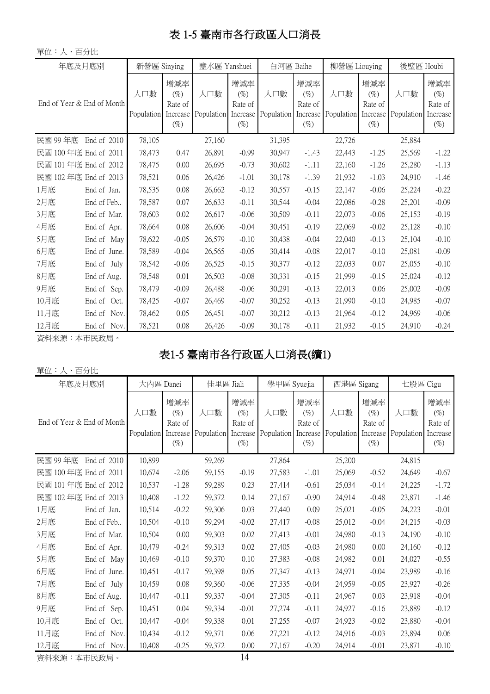# 表 1-5 臺南市各行政區人口消長

| 單位:人、百分比                   |                |                   |                                                |                            |                                    |                   |                                                |                   |                                                |                   |                                                |
|----------------------------|----------------|-------------------|------------------------------------------------|----------------------------|------------------------------------|-------------------|------------------------------------------------|-------------------|------------------------------------------------|-------------------|------------------------------------------------|
| 年底及月底別                     |                | 新營區 Sinying       |                                                | 鹽水區 Yanshuei               |                                    | 白河區 Baihe         |                                                | 柳營區 Liouying      |                                                | 後壁區 Houbi         |                                                |
| End of Year & End of Month |                | 人口數<br>Population | 增減率<br>$(\%)$<br>Rate of<br>Increase<br>$(\%)$ | 人口數<br>Population Increase | 增減率<br>$(\%)$<br>Rate of<br>$(\%)$ | 人口數<br>Population | 增減率<br>$(\%)$<br>Rate of<br>Increase<br>$(\%)$ | 人口數<br>Population | 增減率<br>$(\%)$<br>Rate of<br>Increase<br>$(\%)$ | 人口數<br>Population | 增減率<br>$(\%)$<br>Rate of<br>Increase<br>$(\%)$ |
| 民國 99 年底                   | End of 2010    | 78,105            |                                                | 27,160                     |                                    | 31,395            |                                                | 22,726            |                                                | 25,884            |                                                |
| 民國 100年底 End of 2011       |                | 78,473            | 0.47                                           | 26,891                     | $-0.99$                            | 30,947            | $-1.43$                                        | 22,443            | $-1.25$                                        | 25,569            | $-1.22$                                        |
| 民國 101年底 End of 2012       |                | 78,475            | 0.00                                           | 26,695                     | $-0.73$                            | 30,602            | $-1.11$                                        | 22,160            | $-1.26$                                        | 25,280            | $-1.13$                                        |
| 民國 102 年底 End of 2013      |                | 78,521            | 0.06                                           | 26,426                     | $-1.01$                            | 30,178            | $-1.39$                                        | 21,932            | $-1.03$                                        | 24,910            | $-1.46$                                        |
| 1月底                        | End of Jan.    | 78,535            | 0.08                                           | 26,662                     | $-0.12$                            | 30,557            | $-0.15$                                        | 22,147            | $-0.06$                                        | 25,224            | $-0.22$                                        |
| 2月底                        | End of Feb     | 78,587            | 0.07                                           | 26,633                     | $-0.11$                            | 30,544            | $-0.04$                                        | 22,086            | $-0.28$                                        | 25,201            | $-0.09$                                        |
| 3月底                        | End of Mar.    | 78,603            | 0.02                                           | 26,617                     | $-0.06$                            | 30,509            | $-0.11$                                        | 22,073            | $-0.06$                                        | 25,153            | $-0.19$                                        |
| 4月底                        | End of Apr.    | 78,664            | 0.08                                           | 26,606                     | $-0.04$                            | 30,451            | $-0.19$                                        | 22,069            | $-0.02$                                        | 25,128            | $-0.10$                                        |
| 5月底                        | End of May     | 78,622            | $-0.05$                                        | 26,579                     | $-0.10$                            | 30,438            | $-0.04$                                        | 22,040            | $-0.13$                                        | 25,104            | $-0.10$                                        |
| 6月底                        | End of June.   | 78,589            | $-0.04$                                        | 26,565                     | $-0.05$                            | 30,414            | $-0.08$                                        | 22,017            | $-0.10$                                        | 25,081            | $-0.09$                                        |
| 7月底                        | End of July    | 78,542            | $-0.06$                                        | 26,525                     | $-0.15$                            | 30,377            | $-0.12$                                        | 22,033            | 0.07                                           | 25,055            | $-0.10$                                        |
| 8月底                        | End of Aug.    | 78,548            | 0.01                                           | 26,503                     | $-0.08$                            | 30,331            | $-0.15$                                        | 21,999            | $-0.15$                                        | 25,024            | $-0.12$                                        |
| 9月底                        | End of Sep.    | 78,479            | $-0.09$                                        | 26,488                     | $-0.06$                            | 30,291            | $-0.13$                                        | 22,013            | 0.06                                           | 25,002            | $-0.09$                                        |
| 10月底                       | End of<br>Oct. | 78,425            | $-0.07$                                        | 26,469                     | $-0.07$                            | 30,252            | $-0.13$                                        | 21,990            | $-0.10$                                        | 24,985            | $-0.07$                                        |
| 11月底                       | End of<br>Nov. | 78,462            | 0.05                                           | 26,451                     | $-0.07$                            | 30,212            | $-0.13$                                        | 21,964            | $-0.12$                                        | 24,969            | $-0.06$                                        |
| 12月底                       | End of<br>Nov. | 78,521            | 0.08                                           | 26,426                     | $-0.09$                            | 30,178            | $-0.11$                                        | 21,932            | $-0.15$                                        | 24,910            | $-0.24$                                        |

資料來源:本市民政局。

# 表1-5 臺南市各行政區人口消長(續1)

#### 單位:人、百分比

| 年底及月底別                     |                | 大内區 Danei                  |                                    | 佳里區 Jiali                  |                                    | 學甲區 Syuejia       |                                                | 西港區 Sigang                 |                                    | 七股區 Cigu          |                                                |
|----------------------------|----------------|----------------------------|------------------------------------|----------------------------|------------------------------------|-------------------|------------------------------------------------|----------------------------|------------------------------------|-------------------|------------------------------------------------|
| End of Year & End of Month |                | 人口數<br>Population Increase | 增減率<br>$(\%)$<br>Rate of<br>$(\%)$ | 人口數<br>Population Increase | 增減率<br>$(\%)$<br>Rate of<br>$(\%)$ | 人口數<br>Population | 增減率<br>$(\%)$<br>Rate of<br>Increase<br>$(\%)$ | 人口數<br>Population Increase | 增減率<br>$(\%)$<br>Rate of<br>$(\%)$ | 人口數<br>Population | 增減率<br>$(\%)$<br>Rate of<br>Increase<br>$(\%)$ |
| 民國 99年底                    | End of 2010    | 10,899                     |                                    | 59,269                     |                                    | 27,864            |                                                | 25,200                     |                                    | 24,815            |                                                |
| 民國 100年底 End of 2011       |                | 10,674                     | $-2.06$                            | 59,155                     | $-0.19$                            | 27,583            | $-1.01$                                        | 25,069                     | $-0.52$                            | 24,649            | $-0.67$                                        |
| 民國 101年底 End of 2012       |                | 10,537                     | $-1.28$                            | 59,289                     | 0.23                               | 27,414            | $-0.61$                                        | 25,034                     | $-0.14$                            | 24,225            | $-1.72$                                        |
| 民國 102年底 End of 2013       |                | 10,408                     | $-1.22$                            | 59,372                     | 0.14                               | 27,167            | $-0.90$                                        | 24,914                     | $-0.48$                            | 23,871            | $-1.46$                                        |
| 1月底                        | End of Jan.    | 10,514                     | $-0.22$                            | 59,306                     | 0.03                               | 27,440            | 0.09                                           | 25,021                     | $-0.05$                            | 24,223            | $-0.01$                                        |
| 2月底                        | End of Feb     | 10,504                     | $-0.10$                            | 59,294                     | $-0.02$                            | 27,417            | $-0.08$                                        | 25,012                     | $-0.04$                            | 24,215            | $-0.03$                                        |
| 3月底                        | End of Mar.    | 10,504                     | 0.00                               | 59,303                     | 0.02                               | 27,413            | $-0.01$                                        | 24,980                     | $-0.13$                            | 24,190            | $-0.10$                                        |
| 4月底                        | End of Apr.    | 10,479                     | $-0.24$                            | 59,313                     | 0.02                               | 27,405            | $-0.03$                                        | 24,980                     | 0.00                               | 24,160            | $-0.12$                                        |
| 5月底                        | End of May     | 10,469                     | $-0.10$                            | 59,370                     | 0.10                               | 27,383            | $-0.08$                                        | 24,982                     | 0.01                               | 24,027            | $-0.55$                                        |
| 6月底                        | End of June.   | 10,451                     | $-0.17$                            | 59,398                     | 0.05                               | 27,347            | $-0.13$                                        | 24,971                     | $-0.04$                            | 23,989            | $-0.16$                                        |
| 7月底                        | End of July    | 10,459                     | 0.08                               | 59,360                     | $-0.06$                            | 27,335            | $-0.04$                                        | 24,959                     | $-0.05$                            | 23,927            | $-0.26$                                        |
| 8月底                        | End of Aug.    | 10,447                     | $-0.11$                            | 59,337                     | $-0.04$                            | 27,305            | $-0.11$                                        | 24,967                     | 0.03                               | 23,918            | $-0.04$                                        |
| 9月底                        | End of Sep.    | 10,451                     | 0.04                               | 59,334                     | $-0.01$                            | 27,274            | $-0.11$                                        | 24,927                     | $-0.16$                            | 23,889            | $-0.12$                                        |
| 10月底                       | End of<br>Oct. | 10,447                     | $-0.04$                            | 59,338                     | 0.01                               | 27,255            | $-0.07$                                        | 24,923                     | $-0.02$                            | 23,880            | $-0.04$                                        |
| 11月底                       | End of<br>Nov. | 10,434                     | $-0.12$                            | 59,371                     | 0.06                               | 27,221            | $-0.12$                                        | 24,916                     | $-0.03$                            | 23,894            | 0.06                                           |
| 12月底                       | End of Nov.    | 10,408                     | $-0.25$                            | 59,372                     | 0.00                               | 27,167            | $-0.20$                                        | 24,914                     | $-0.01$                            | 23,871            | $-0.10$                                        |

資料來源:本市民政局。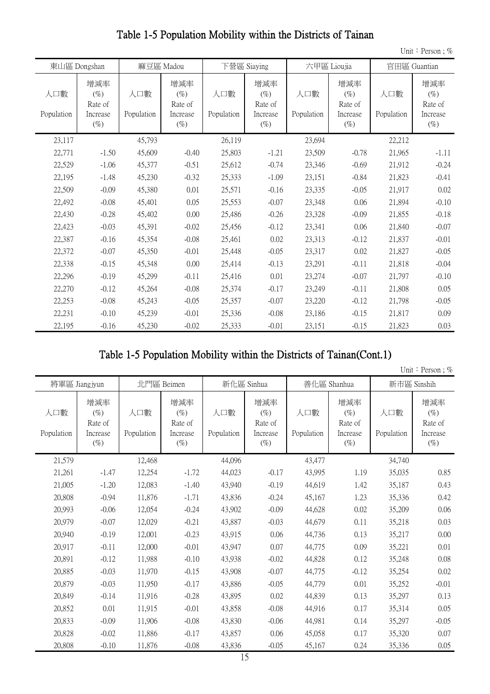|                   |                                                |                   |                                                |                   |                                                |                   |                                                |                   | Unit: Person; $%$                              |
|-------------------|------------------------------------------------|-------------------|------------------------------------------------|-------------------|------------------------------------------------|-------------------|------------------------------------------------|-------------------|------------------------------------------------|
|                   | 東山區 Dongshan                                   |                   | 麻豆區 Madou                                      |                   | 下營區 Siaying                                    |                   | 六甲區 Lioujia                                    |                   | 官田區 Guantian                                   |
| 人口數<br>Population | 增減率<br>$(\%)$<br>Rate of<br>Increase<br>$(\%)$ | 人口數<br>Population | 增減率<br>$(\%)$<br>Rate of<br>Increase<br>$(\%)$ | 人口數<br>Population | 增減率<br>$(\%)$<br>Rate of<br>Increase<br>$(\%)$ | 人口數<br>Population | 增減率<br>$(\%)$<br>Rate of<br>Increase<br>$(\%)$ | 人口數<br>Population | 增減率<br>$(\%)$<br>Rate of<br>Increase<br>$(\%)$ |
| 23,117            |                                                | 45,793            |                                                | 26,119            |                                                | 23,694            |                                                | 22,212            |                                                |
| 22,771            | $-1.50$                                        | 45,609            | $-0.40$                                        | 25,803            | $-1.21$                                        | 23,509            | $-0.78$                                        | 21,965            | $-1.11$                                        |
| 22,529            | $-1.06$                                        | 45,377            | $-0.51$                                        | 25,612            | $-0.74$                                        | 23,346            | $-0.69$                                        | 21,912            | $-0.24$                                        |
| 22,195            | $-1.48$                                        | 45,230            | $-0.32$                                        | 25,333            | $-1.09$                                        | 23,151            | $-0.84$                                        | 21,823            | $-0.41$                                        |
| 22,509            | $-0.09$                                        | 45,380            | 0.01                                           | 25,571            | $-0.16$                                        | 23,335            | $-0.05$                                        | 21,917            | 0.02                                           |
| 22,492            | $-0.08$                                        | 45,401            | 0.05                                           | 25,553            | $-0.07$                                        | 23,348            | 0.06                                           | 21,894            | $-0.10$                                        |
| 22,430            | $-0.28$                                        | 45,402            | 0.00                                           | 25,486            | $-0.26$                                        | 23,328            | $-0.09$                                        | 21,855            | $-0.18$                                        |
| 22,423            | $-0.03$                                        | 45,391            | $-0.02$                                        | 25,456            | $-0.12$                                        | 23,341            | 0.06                                           | 21,840            | $-0.07$                                        |
| 22,387            | $-0.16$                                        | 45,354            | $-0.08$                                        | 25,461            | 0.02                                           | 23,313            | $-0.12$                                        | 21,837            | $-0.01$                                        |
| 22,372            | $-0.07$                                        | 45,350            | $-0.01$                                        | 25,448            | $-0.05$                                        | 23,317            | 0.02                                           | 21,827            | $-0.05$                                        |
| 22,338            | $-0.15$                                        | 45,348            | 0.00                                           | 25,414            | $-0.13$                                        | 23,291            | $-0.11$                                        | 21,818            | $-0.04$                                        |
| 22,296            | $-0.19$                                        | 45,299            | $-0.11$                                        | 25,416            | 0.01                                           | 23,274            | $-0.07$                                        | 21,797            | $-0.10$                                        |
| 22,270            | $-0.12$                                        | 45,264            | $-0.08$                                        | 25,374            | $-0.17$                                        | 23,249            | $-0.11$                                        | 21,808            | 0.05                                           |
| 22,253            | $-0.08$                                        | 45,243            | $-0.05$                                        | 25,357            | $-0.07$                                        | 23,220            | $-0.12$                                        | 21,798            | $-0.05$                                        |
| 22,231            | $-0.10$                                        | 45,239            | $-0.01$                                        | 25,336            | $-0.08$                                        | 23,186            | $-0.15$                                        | 21,817            | 0.09                                           |
| 22,195            | $-0.16$                                        | 45,230            | $-0.02$                                        | 25,333            | $-0.01$                                        | 23,151            | $-0.15$                                        | 21,823            | 0.03                                           |

#### Table 1-5 Population Mobility within the Districts of Tainan

#### Table 1-5 Population Mobility within the Districts of Tainan(Cont.1)

|                   |                                                |                   |                                                |                   |                                                |                   |                                                |                   | Unit: Person; %                                |
|-------------------|------------------------------------------------|-------------------|------------------------------------------------|-------------------|------------------------------------------------|-------------------|------------------------------------------------|-------------------|------------------------------------------------|
|                   | 將軍區 Jiangjyun                                  |                   | 北門區 Beimen                                     |                   | 新化區 Sinhua                                     |                   | 善化區 Shanhua                                    |                   | 新市區 Sinshih                                    |
| 人口數<br>Population | 增減率<br>$(\%)$<br>Rate of<br>Increase<br>$(\%)$ | 人口數<br>Population | 增減率<br>$(\%)$<br>Rate of<br>Increase<br>$(\%)$ | 人口數<br>Population | 增減率<br>$(\%)$<br>Rate of<br>Increase<br>$(\%)$ | 人口數<br>Population | 增減率<br>$(\%)$<br>Rate of<br>Increase<br>$(\%)$ | 人口數<br>Population | 增減率<br>$(\%)$<br>Rate of<br>Increase<br>$(\%)$ |
| 21,579            |                                                | 12,468            |                                                | 44,096            |                                                | 43,477            |                                                | 34,740            |                                                |
| 21,261            | $-1.47$                                        | 12,254            | $-1.72$                                        | 44,023            | $-0.17$                                        | 43,995            | 1.19                                           | 35,035            | 0.85                                           |
| 21,005            | $-1.20$                                        | 12,083            | $-1.40$                                        | 43,940            | $-0.19$                                        | 44,619            | 1.42                                           | 35,187            | 0.43                                           |
| 20,808            | $-0.94$                                        | 11,876            | $-1.71$                                        | 43,836            | $-0.24$                                        | 45,167            | 1.23                                           | 35,336            | 0.42                                           |
| 20,993            | $-0.06$                                        | 12,054            | $-0.24$                                        | 43,902            | $-0.09$                                        | 44,628            | 0.02                                           | 35,209            | 0.06                                           |
| 20,979            | $-0.07$                                        | 12,029            | $-0.21$                                        | 43,887            | $-0.03$                                        | 44,679            | 0.11                                           | 35,218            | 0.03                                           |
| 20,940            | $-0.19$                                        | 12,001            | $-0.23$                                        | 43,915            | 0.06                                           | 44,736            | 0.13                                           | 35,217            | 0.00                                           |
| 20,917            | $-0.11$                                        | 12,000            | $-0.01$                                        | 43,947            | 0.07                                           | 44,775            | 0.09                                           | 35,221            | 0.01                                           |
| 20,891            | $-0.12$                                        | 11,988            | $-0.10$                                        | 43,938            | $-0.02$                                        | 44,828            | 0.12                                           | 35,248            | 0.08                                           |
| 20,885            | $-0.03$                                        | 11,970            | $-0.15$                                        | 43,908            | $-0.07$                                        | 44,775            | $-0.12$                                        | 35,254            | 0.02                                           |
| 20,879            | $-0.03$                                        | 11,950            | $-0.17$                                        | 43,886            | $-0.05$                                        | 44,779            | 0.01                                           | 35,252            | $-0.01$                                        |
| 20,849            | $-0.14$                                        | 11,916            | $-0.28$                                        | 43,895            | 0.02                                           | 44,839            | 0.13                                           | 35,297            | 0.13                                           |
| 20,852            | 0.01                                           | 11,915            | $-0.01$                                        | 43,858            | $-0.08$                                        | 44,916            | 0.17                                           | 35,314            | 0.05                                           |
| 20,833            | $-0.09$                                        | 11,906            | $-0.08$                                        | 43,830            | $-0.06$                                        | 44,981            | 0.14                                           | 35,297            | $-0.05$                                        |
| 20,828            | $-0.02$                                        | 11,886            | $-0.17$                                        | 43,857            | 0.06                                           | 45,058            | 0.17                                           | 35,320            | 0.07                                           |
| 20,808            | $-0.10$                                        | 11,876            | $-0.08$                                        | 43,836            | $-0.05$                                        | 45,167            | 0.24                                           | 35,336            | 0.05                                           |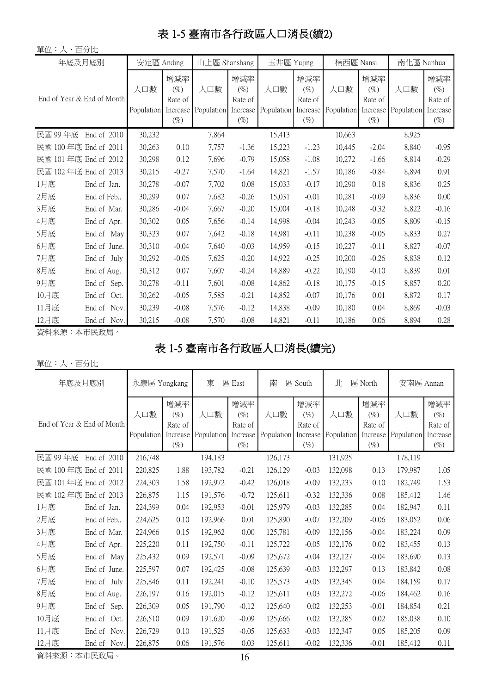# 表 1-5 臺南市各行政區人口消長(續2)

| 單位:人、百分比                   |                |                   |                                                |                            |                                    |                   |                                                |                            |                                    |                   |                                                |
|----------------------------|----------------|-------------------|------------------------------------------------|----------------------------|------------------------------------|-------------------|------------------------------------------------|----------------------------|------------------------------------|-------------------|------------------------------------------------|
| 年底及月底別                     |                | 安定區 Anding        |                                                | 山上區 Shanshang              |                                    | 玉井區 Yujing        |                                                | 楠西區 Nansi                  |                                    | 南化區 Nanhua        |                                                |
| End of Year & End of Month |                | 人口數<br>Population | 增減率<br>$(\%)$<br>Rate of<br>Increase<br>$(\%)$ | 人口數<br>Population Increase | 增減率<br>$(\%)$<br>Rate of<br>$(\%)$ | 人口數<br>Population | 增減率<br>$(\%)$<br>Rate of<br>Increase<br>$(\%)$ | 人口數<br>Population Increase | 增減率<br>$(\%)$<br>Rate of<br>$(\%)$ | 人口數<br>Population | 增減率<br>$(\%)$<br>Rate of<br>Increase<br>$(\%)$ |
| 民國 99年底                    | End of 2010    | 30,232            |                                                | 7,864                      |                                    | 15,413            |                                                | 10,663                     |                                    | 8,925             |                                                |
| 民國 100年底 End of 2011       |                | 30,263            | 0.10                                           | 7,757                      | $-1.36$                            | 15,223            | $-1.23$                                        | 10,445                     | $-2.04$                            | 8,840             | $-0.95$                                        |
| 民國 101年底 End of 2012       |                | 30,298            | 0.12                                           | 7,696                      | $-0.79$                            | 15,058            | $-1.08$                                        | 10,272                     | $-1.66$                            | 8,814             | $-0.29$                                        |
| 民國 102年底 End of 2013       |                | 30,215            | $-0.27$                                        | 7,570                      | $-1.64$                            | 14,821            | $-1.57$                                        | 10,186                     | $-0.84$                            | 8,894             | 0.91                                           |
| 1月底                        | End of Jan.    | 30,278            | $-0.07$                                        | 7,702                      | 0.08                               | 15,033            | $-0.17$                                        | 10,290                     | 0.18                               | 8,836             | 0.25                                           |
| 2月底                        | End of Feb     | 30,299            | 0.07                                           | 7,682                      | $-0.26$                            | 15,031            | $-0.01$                                        | 10,281                     | $-0.09$                            | 8,836             | 0.00                                           |
| 3月底                        | End of Mar.    | 30,286            | $-0.04$                                        | 7,667                      | $-0.20$                            | 15,004            | $-0.18$                                        | 10,248                     | $-0.32$                            | 8,822             | $-0.16$                                        |
| 4月底                        | End of Apr.    | 30,302            | 0.05                                           | 7,656                      | $-0.14$                            | 14,998            | $-0.04$                                        | 10,243                     | $-0.05$                            | 8,809             | $-0.15$                                        |
| 5月底                        | End of May     | 30,323            | 0.07                                           | 7,642                      | $-0.18$                            | 14,981            | $-0.11$                                        | 10,238                     | $-0.05$                            | 8,833             | 0.27                                           |
| 6月底                        | End of June.   | 30,310            | $-0.04$                                        | 7,640                      | $-0.03$                            | 14,959            | $-0.15$                                        | 10,227                     | $-0.11$                            | 8,827             | $-0.07$                                        |
| 7月底                        | End of July    | 30,292            | $-0.06$                                        | 7,625                      | $-0.20$                            | 14,922            | $-0.25$                                        | 10,200                     | $-0.26$                            | 8,838             | 0.12                                           |
| 8月底                        | End of Aug.    | 30,312            | 0.07                                           | 7,607                      | $-0.24$                            | 14,889            | $-0.22$                                        | 10,190                     | $-0.10$                            | 8,839             | 0.01                                           |
| 9月底                        | End of<br>Sep. | 30,278            | $-0.11$                                        | 7,601                      | $-0.08$                            | 14,862            | $-0.18$                                        | 10,175                     | $-0.15$                            | 8,857             | 0.20                                           |
| 10月底                       | End of<br>Oct. | 30,262            | $-0.05$                                        | 7,585                      | $-0.21$                            | 14,852            | $-0.07$                                        | 10,176                     | 0.01                               | 8,872             | 0.17                                           |
| 11月底                       | End of<br>Nov. | 30,239            | $-0.08$                                        | 7,576                      | $-0.12$                            | 14,838            | $-0.09$                                        | 10,180                     | 0.04                               | 8,869             | $-0.03$                                        |
| 12月底                       | End of Nov.    | 30,215            | $-0.08$                                        | 7,570                      | $-0.08$                            | 14,821            | $-0.11$                                        | 10,186                     | 0.06                               | 8,894             | 0.28                                           |

資料來源:本市民政局。

# 表 1-5 臺南市各行政區人口消長(續完)

#### 單位:人、百分比

| 年底及月底別                     |                | 永康區 Yongkang      |                                                | 東       | 區 East                             | 南                                     | 區 South                                        | 北                 | 區 North                                        | 安南區 Annan         |                                                |
|----------------------------|----------------|-------------------|------------------------------------------------|---------|------------------------------------|---------------------------------------|------------------------------------------------|-------------------|------------------------------------------------|-------------------|------------------------------------------------|
| End of Year & End of Month |                | 人口數<br>Population | 增減率<br>$(\%)$<br>Rate of<br>Increase<br>$(\%)$ | 人口數     | 增減率<br>$(\%)$<br>Rate of<br>$(\%)$ | 人口數<br>Population Increase Population | 增減率<br>$(\%)$<br>Rate of<br>Increase<br>$(\%)$ | 人口數<br>Population | 增減率<br>$(\%)$<br>Rate of<br>Increase<br>$(\%)$ | 人口數<br>Population | 增減率<br>$(\%)$<br>Rate of<br>Increase<br>$(\%)$ |
| 民國 99年底                    | End of 2010    | 216,748           |                                                | 194,183 |                                    | 126,173                               |                                                | 131,925           |                                                | 178,119           |                                                |
| 民國 100年底 End of 2011       |                | 220,825           | 1.88                                           | 193,782 | $-0.21$                            | 126,129                               | $-0.03$                                        | 132,098           | 0.13                                           | 179,987           | 1.05                                           |
| 民國 101 年底 End of 2012      |                | 224,303           | 1.58                                           | 192,972 | $-0.42$                            | 126,018                               | $-0.09$                                        | 132,233           | 0.10                                           | 182,749           | 1.53                                           |
| 民國 102 年底 End of 2013      |                | 226,875           | 1.15                                           | 191,576 | $-0.72$                            | 125,611                               | $-0.32$                                        | 132,336           | 0.08                                           | 185,412           | 1.46                                           |
| 1月底                        | End of Jan.    | 224,399           | 0.04                                           | 192,953 | $-0.01$                            | 125,979                               | $-0.03$                                        | 132,285           | 0.04                                           | 182,947           | 0.11                                           |
| 2月底                        | End of Feb     | 224,625           | 0.10                                           | 192,966 | 0.01                               | 125,890                               | $-0.07$                                        | 132,209           | $-0.06$                                        | 183,052           | 0.06                                           |
| 3月底                        | End of Mar.    | 224,966           | 0.15                                           | 192,962 | 0.00                               | 125,781                               | $-0.09$                                        | 132,156           | $-0.04$                                        | 183,224           | 0.09                                           |
| 4月底                        | End of Apr.    | 225,220           | 0.11                                           | 192,750 | $-0.11$                            | 125,722                               | $-0.05$                                        | 132,176           | 0.02                                           | 183,455           | 0.13                                           |
| 5月底                        | End of May     | 225,432           | 0.09                                           | 192,571 | $-0.09$                            | 125,672                               | $-0.04$                                        | 132,127           | $-0.04$                                        | 183,690           | 0.13                                           |
| 6月底                        | End of June.   | 225,597           | 0.07                                           | 192,425 | $-0.08$                            | 125,639                               | $-0.03$                                        | 132,297           | 0.13                                           | 183,842           | 0.08                                           |
| 7月底                        | End of July    | 225,846           | 0.11                                           | 192,241 | $-0.10$                            | 125,573                               | $-0.05$                                        | 132,345           | 0.04                                           | 184,159           | 0.17                                           |
| 8月底                        | End of Aug.    | 226,197           | 0.16                                           | 192,015 | $-0.12$                            | 125,611                               | 0.03                                           | 132,272           | $-0.06$                                        | 184,462           | 0.16                                           |
| 9月底                        | End of<br>Sep. | 226,309           | 0.05                                           | 191,790 | $-0.12$                            | 125,640                               | 0.02                                           | 132,253           | $-0.01$                                        | 184,854           | 0.21                                           |
| 10月底                       | End of<br>Oct. | 226,510           | 0.09                                           | 191,620 | $-0.09$                            | 125,666                               | 0.02                                           | 132,285           | 0.02                                           | 185,038           | 0.10                                           |
| 11月底                       | End of Nov.    | 226,729           | 0.10                                           | 191,525 | $-0.05$                            | 125,633                               | $-0.03$                                        | 132,347           | 0.05                                           | 185,205           | 0.09                                           |
| 12月底                       | End of Nov.    | 226,875           | 0.06                                           | 191,576 | 0.03                               | 125,611                               | $-0.02$                                        | 132,336           | $-0.01$                                        | 185,412           | 0.11                                           |

資料來源:本市民政局。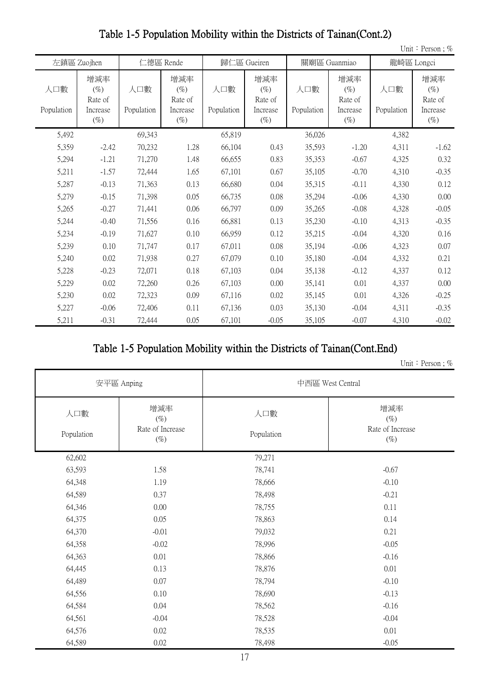|                   |                                                |                   |                                                |                   |                                                |                   |                                                |                   | Unit: Person; %                                |
|-------------------|------------------------------------------------|-------------------|------------------------------------------------|-------------------|------------------------------------------------|-------------------|------------------------------------------------|-------------------|------------------------------------------------|
|                   | 左鎮區 Zuojhen                                    |                   | 仁德區 Rende                                      |                   | 歸仁區 Gueiren                                    |                   | 關廟區 Guanmiao                                   |                   | 龍崎區 Longci                                     |
| 人口數<br>Population | 增減率<br>$(\%)$<br>Rate of<br>Increase<br>$(\%)$ | 人口數<br>Population | 增減率<br>$(\%)$<br>Rate of<br>Increase<br>$(\%)$ | 人口數<br>Population | 增減率<br>$(\%)$<br>Rate of<br>Increase<br>$(\%)$ | 人口數<br>Population | 增減率<br>$(\%)$<br>Rate of<br>Increase<br>$(\%)$ | 人口數<br>Population | 增減率<br>$(\%)$<br>Rate of<br>Increase<br>$(\%)$ |
| 5,492             |                                                | 69,343            |                                                | 65,819            |                                                | 36,026            |                                                | 4,382             |                                                |
| 5,359             | $-2.42$                                        | 70,232            | 1.28                                           | 66,104            | 0.43                                           | 35,593            | $-1.20$                                        | 4,311             | $-1.62$                                        |
| 5,294             | $-1.21$                                        | 71,270            | 1.48                                           | 66,655            | 0.83                                           | 35,353            | $-0.67$                                        | 4,325             | 0.32                                           |
| 5,211             | $-1.57$                                        | 72,444            | 1.65                                           | 67,101            | 0.67                                           | 35,105            | $-0.70$                                        | 4,310             | $-0.35$                                        |
| 5,287             | $-0.13$                                        | 71,363            | 0.13                                           | 66,680            | 0.04                                           | 35,315            | $-0.11$                                        | 4,330             | 0.12                                           |
| 5,279             | $-0.15$                                        | 71,398            | 0.05                                           | 66,735            | 0.08                                           | 35,294            | $-0.06$                                        | 4,330             | 0.00                                           |
| 5,265             | $-0.27$                                        | 71,441            | 0.06                                           | 66,797            | 0.09                                           | 35,265            | $-0.08$                                        | 4,328             | $-0.05$                                        |
| 5,244             | $-0.40$                                        | 71,556            | 0.16                                           | 66,881            | 0.13                                           | 35,230            | $-0.10$                                        | 4,313             | $-0.35$                                        |
| 5,234             | $-0.19$                                        | 71,627            | 0.10                                           | 66,959            | 0.12                                           | 35,215            | $-0.04$                                        | 4,320             | 0.16                                           |
| 5,239             | 0.10                                           | 71,747            | 0.17                                           | 67,011            | 0.08                                           | 35,194            | $-0.06$                                        | 4,323             | 0.07                                           |
| 5,240             | 0.02                                           | 71,938            | 0.27                                           | 67,079            | 0.10                                           | 35,180            | $-0.04$                                        | 4,332             | 0.21                                           |
| 5,228             | $-0.23$                                        | 72,071            | 0.18                                           | 67,103            | 0.04                                           | 35,138            | $-0.12$                                        | 4,337             | 0.12                                           |
| 5,229             | 0.02                                           | 72,260            | 0.26                                           | 67,103            | 0.00                                           | 35,141            | 0.01                                           | 4,337             | 0.00                                           |
| 5,230             | 0.02                                           | 72,323            | 0.09                                           | 67,116            | 0.02                                           | 35,145            | 0.01                                           | 4,326             | $-0.25$                                        |
| 5,227             | $-0.06$                                        | 72,406            | 0.11                                           | 67,136            | 0.03                                           | 35,130            | $-0.04$                                        | 4,311             | $-0.35$                                        |
| 5,211             | $-0.31$                                        | 72,444            | 0.05                                           | 67,101            | $-0.05$                                        | 35,105            | $-0.07$                                        | 4,310             | $-0.02$                                        |

Table 1-5 Population Mobility within the Districts of Tainan(Cont.2)

#### Table 1-5 Population Mobility within the Districts of Tainan(Cont.End)

Unit: Person;  $\%$ 

|                   | 安平區 Anping                                  |                   | 中西區 West Central                            |
|-------------------|---------------------------------------------|-------------------|---------------------------------------------|
| 人口數<br>Population | 增減率<br>$(\%)$<br>Rate of Increase<br>$(\%)$ | 人口數<br>Population | 增減率<br>$(\%)$<br>Rate of Increase<br>$(\%)$ |
| 62,602            |                                             | 79,271            |                                             |
| 63,593            | 1.58                                        | 78,741            | $-0.67$                                     |
| 64,348            | 1.19                                        | 78,666            | $-0.10$                                     |
| 64,589            | 0.37                                        | 78,498            | $-0.21$                                     |
| 64,346            | 0.00                                        | 78,755            | 0.11                                        |
| 64,375            | 0.05                                        | 78,863            | 0.14                                        |
| 64,370            | $-0.01$                                     | 79,032            | 0.21                                        |
| 64,358            | $-0.02$                                     | 78,996            | $-0.05$                                     |
| 64,363            | 0.01                                        | 78,866            | $-0.16$                                     |
| 64,445            | 0.13                                        | 78,876            | 0.01                                        |
| 64,489            | 0.07                                        | 78,794            | $-0.10$                                     |
| 64,556            | 0.10                                        | 78,690            | $-0.13$                                     |
| 64,584            | 0.04                                        | 78,562            | $-0.16$                                     |
| 64,561            | $-0.04$                                     | 78,528            | $-0.04$                                     |
| 64,576            | 0.02                                        | 78,535            | 0.01                                        |
| 64,589            | 0.02                                        | 78,498            | $-0.05$                                     |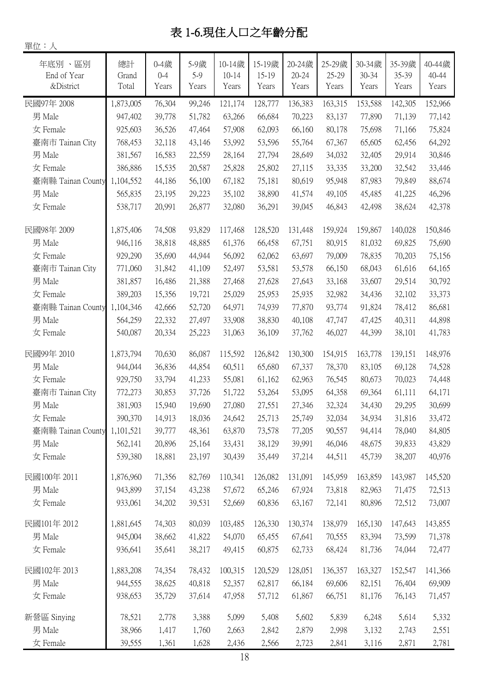# 表 1-6.現住人口之年齡分配

單位:人

| 年底別、區別<br>End of Year | 總計<br>Grand | $0 - 4$ 歲<br>$0 - 4$ | 5-9歲<br>5-9 | 10-14歲<br>$10 - 14$ | 15-19歲<br>15-19 | 20-24歲<br>$20 - 24$ | 25-29歲<br>25-29 | 30-34歲<br>30-34 | 35-39歲<br>35-39 | 40-44歲<br>40-44 |
|-----------------------|-------------|----------------------|-------------|---------------------|-----------------|---------------------|-----------------|-----------------|-----------------|-----------------|
| &District             | Total       | Years                | Years       | Years               | Years           | Years               | Years           | Years           | Years           | Years           |
| 民國97年 2008            | 1,873,005   | 76,304               | 99,246      | 121,174             | 128,777         | 136,383             | 163,315         | 153,588         | 142,305         | 152,966         |
| 男 Male                | 947,402     | 39,778               | 51,782      | 63,266              | 66,684          | 70,223              | 83,137          | 77,890          | 71,139          | 77,142          |
| 女 Female              | 925,603     | 36,526               | 47,464      | 57,908              | 62,093          | 66,160              | 80,178          | 75,698          | 71,166          | 75,824          |
| 臺南市 Tainan City       | 768,453     | 32,118               | 43,146      | 53,992              | 53,596          | 55,764              | 67,367          | 65,605          | 62,456          | 64,292          |
| 男 Male                | 381,567     | 16,583               | 22,559      | 28,164              | 27,794          | 28,649              | 34,032          | 32,405          | 29,914          | 30,846          |
| 女 Female              | 386,886     | 15,535               | 20,587      | 25,828              | 25,802          | 27,115              | 33,335          | 33,200          | 32,542          | 33,446          |
| 臺南縣 Tainan County     | 1,104,552   | 44,186               | 56,100      | 67,182              | 75,181          | 80,619              | 95,948          | 87,983          | 79,849          | 88,674          |
| 男 Male                | 565,835     | 23,195               | 29,223      | 35,102              | 38,890          | 41,574              | 49,105          | 45,485          | 41,225          | 46,296          |
| 女 Female              | 538,717     | 20,991               | 26,877      | 32,080              | 36,291          | 39,045              | 46,843          | 42,498          | 38,624          | 42,378          |
| 民國98年 2009            | 1,875,406   | 74,508               | 93,829      | 117,468             | 128,520         | 131,448             | 159,924         | 159,867         | 140,028         | 150,846         |
| 男 Male                | 946,116     | 38,818               | 48,885      | 61,376              | 66,458          | 67,751              | 80,915          | 81,032          | 69,825          | 75,690          |
| 女 Female              | 929,290     | 35,690               | 44,944      | 56,092              | 62,062          | 63,697              | 79,009          | 78,835          | 70,203          | 75,156          |
| 臺南市 Tainan City       | 771,060     | 31,842               | 41,109      | 52,497              | 53,581          | 53,578              | 66,150          | 68,043          | 61,616          | 64,165          |
| 男 Male                | 381,857     | 16,486               | 21,388      | 27,468              | 27,628          | 27,643              | 33,168          | 33,607          | 29,514          | 30,792          |
| 女 Female              | 389,203     | 15,356               | 19,721      | 25,029              | 25,953          | 25,935              | 32,982          | 34,436          | 32,102          | 33,373          |
| 臺南縣 Tainan County     | 1,104,346   | 42,666               | 52,720      | 64,971              | 74,939          | 77,870              | 93,774          | 91,824          | 78,412          | 86,681          |
| 男 Male                | 564,259     | 22,332               | 27,497      | 33,908              | 38,830          | 40,108              | 47,747          | 47,425          | 40,311          | 44,898          |
| 女 Female              | 540,087     | 20,334               | 25,223      | 31,063              | 36,109          | 37,762              | 46,027          | 44,399          | 38,101          | 41,783          |
| 民國99年 2010            | 1,873,794   | 70,630               | 86,087      | 115,592             | 126,842         | 130,300             | 154,915         | 163,778         | 139,151         | 148,976         |
| 男 Male                | 944,044     | 36,836               | 44,854      | 60,511              | 65,680          | 67,337              | 78,370          | 83,105          | 69,128          | 74,528          |
| 女 Female              | 929,750     | 33,794               | 41,233      | 55,081              | 61,162          | 62,963              | 76,545          | 80,673          | 70,023          | 74,448          |
| 臺南市 Tainan City       | 772,273     | 30,853               | 37,726      | 51,722              | 53,264          | 53,095              | 64,358          | 69,364          | 61,111          | 64,171          |
| 男 Male                | 381,903     | 15,940               | 19,690      | 27,080              | 27,551          | 27,346              | 32,324          | 34,430          | 29,295          | 30,699          |
| 女 Female              | 390,370     | 14,913               | 18,036      | 24,642              | 25,713          | 25,749              | 32,034          | 34,934          | 31,816          | 33,472          |
| 臺南縣 Tainan County     | 1,101,521   | 39,777               | 48,361      | 63,870              | 73,578          | 77,205              | 90,557          | 94,414          | 78,040          | 84,805          |
| 男 Male                | 562,141     | 20,896               | 25,164      | 33,431              | 38,129          | 39,991              | 46,046          | 48,675          | 39,833          | 43,829          |
| 女 Female              | 539,380     | 18,881               | 23,197      | 30,439              | 35,449          | 37,214              | 44,511          | 45,739          | 38,207          | 40,976          |
| 民國100年 2011           | 1,876,960   | 71,356               | 82,769      | 110,341             | 126,082         | 131,091             | 145,959         | 163,859         | 143,987         | 145,520         |
| 男 Male                | 943,899     | 37,154               | 43,238      | 57,672              | 65,246          | 67,924              | 73,818          | 82,963          | 71,475          | 72,513          |
| 女 Female              | 933,061     | 34,202               | 39,531      | 52,669              | 60,836          | 63,167              | 72,141          | 80,896          | 72,512          | 73,007          |
| 民國101年 2012           | 1,881,645   | 74,303               | 80,039      | 103,485             | 126,330         | 130,374             | 138,979         | 165,130         | 147,643         | 143,855         |
| 男 Male                | 945,004     | 38,662               | 41,822      | 54,070              | 65,455          | 67,641              | 70,555          | 83,394          | 73,599          | 71,378          |
| 女 Female              | 936,641     | 35,641               | 38,217      | 49,415              | 60,875          | 62,733              | 68,424          | 81,736          | 74,044          | 72,477          |
| 民國102年 2013           | 1,883,208   | 74,354               | 78,432      | 100,315             | 120,529         | 128,051             | 136,357         | 163,327         | 152,547         | 141,366         |
| 男 Male                | 944,555     | 38,625               | 40,818      | 52,357              | 62,817          | 66,184              | 69,606          | 82,151          | 76,404          | 69,909          |
| 女 Female              | 938,653     | 35,729               | 37,614      | 47,958              | 57,712          | 61,867              | 66,751          | 81,176          | 76,143          | 71,457          |
| 新營區 Sinying           | 78,521      | 2,778                | 3,388       | 5,099               | 5,408           | 5,602               | 5,839           | 6,248           | 5,614           | 5,332           |
| 男 Male                | 38,966      | 1,417                | 1,760       | 2,663               | 2,842           | 2,879               | 2,998           | 3,132           | 2,743           | 2,551           |
| 女 Female              | 39,555      | 1,361                | 1,628       | 2,436               | 2,566           | 2,723               | 2,841           | 3,116           | 2,871           | 2,781           |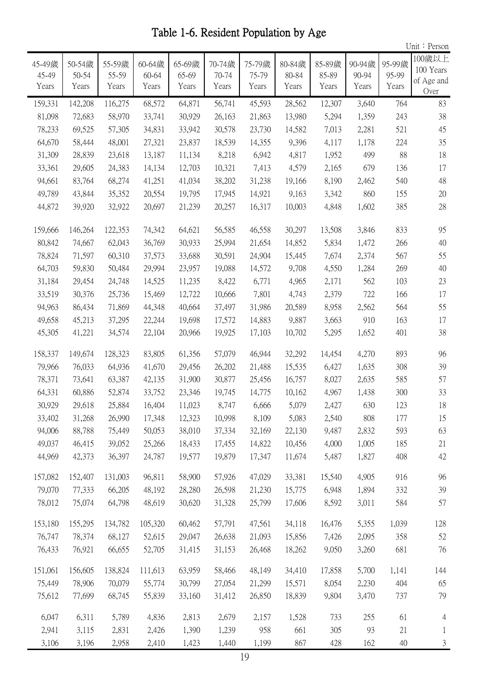Table 1-6. Resident Population by Age

|                          |                          |                          |                          |                          |                          |                          |                          |                          |                          |                          | Unit: Person                              |
|--------------------------|--------------------------|--------------------------|--------------------------|--------------------------|--------------------------|--------------------------|--------------------------|--------------------------|--------------------------|--------------------------|-------------------------------------------|
| 45-49歲<br>45-49<br>Years | 50-54歲<br>50-54<br>Years | 55-59歲<br>55-59<br>Years | 60-64歲<br>60-64<br>Years | 65-69歲<br>65-69<br>Years | 70-74歲<br>70-74<br>Years | 75-79歲<br>75-79<br>Years | 80-84歲<br>80-84<br>Years | 85-89歲<br>85-89<br>Years | 90-94歲<br>90-94<br>Years | 95-99歲<br>95-99<br>Years | 100歲以上<br>100 Years<br>of Age and<br>Over |
| 159,331                  | 142,208                  | 116,275                  | 68,572                   | 64,871                   | 56,741                   | 45,593                   | 28,562                   | 12,307                   | 3,640                    | 764                      | 83                                        |
| 81,098                   | 72,683                   | 58,970                   | 33,741                   | 30,929                   | 26,163                   | 21,863                   | 13,980                   | 5,294                    | 1,359                    | 243                      | 38                                        |
| 78,233                   | 69,525                   | 57,305                   | 34,831                   | 33,942                   | 30,578                   | 23,730                   | 14,582                   | 7,013                    | 2,281                    | 521                      | 45                                        |
| 64,670                   | 58,444                   | 48,001                   | 27,321                   | 23,837                   | 18,539                   | 14,355                   | 9,396                    | 4,117                    | 1,178                    | 224                      | 35                                        |
| 31,309                   | 28,839                   | 23,618                   | 13,187                   | 11,134                   | 8,218                    | 6,942                    | 4,817                    | 1,952                    | 499                      | 88                       | 18                                        |
| 33,361                   | 29,605                   | 24,383                   | 14,134                   | 12,703                   | 10,321                   | 7,413                    | 4,579                    | 2,165                    | 679                      | 136                      | 17                                        |
| 94,661                   | 83,764                   | 68,274                   | 41,251                   | 41,034                   | 38,202                   | 31,238                   | 19,166                   | 8,190                    | 2,462                    | 540                      | 48                                        |
| 49,789                   | 43,844                   | 35,352                   | 20,554                   | 19,795                   | 17,945                   | 14,921                   | 9,163                    | 3,342                    | 860                      | 155                      | 20                                        |
| 44,872                   | 39,920                   | 32,922                   | 20,697                   | 21,239                   | 20,257                   | 16,317                   | 10,003                   | 4,848                    | 1,602                    | 385                      | 28                                        |
| 159,666                  | 146,264                  | 122,353                  | 74,342                   | 64,621                   | 56,585                   | 46,558                   | 30,297                   | 13,508                   | 3,846                    | 833                      | 95                                        |
| 80,842                   | 74,667                   | 62,043                   | 36,769                   | 30,933                   | 25,994                   | 21,654                   | 14,852                   | 5,834                    | 1,472                    | 266                      | 40                                        |
| 78,824                   | 71,597                   | 60,310                   | 37,573                   | 33,688                   | 30,591                   | 24,904                   | 15,445                   | 7,674                    | 2,374                    | 567                      | 55                                        |
| 64,703                   | 59,830                   | 50,484                   | 29,994                   | 23,957                   | 19,088                   | 14,572                   | 9,708                    | 4,550                    | 1,284                    | 269                      | 40                                        |
| 31,184                   | 29,454                   | 24,748                   | 14,525                   | 11,235                   | 8,422                    | 6,771                    | 4,965                    | 2,171                    | 562                      | 103                      | 23                                        |
| 33,519                   | 30,376                   | 25,736                   | 15,469                   | 12,722                   | 10,666                   | 7,801                    | 4,743                    | 2,379                    | 722                      | 166                      | 17                                        |
| 94,963                   | 86,434                   | 71,869                   | 44,348                   | 40,664                   | 37,497                   | 31,986                   | 20,589                   | 8,958                    | 2,562                    | 564                      | 55                                        |
| 49,658                   | 45,213                   | 37,295                   | 22,244                   | 19,698                   | 17,572                   | 14,883                   | 9,887                    | 3,663                    | 910                      | 163                      | 17                                        |
| 45,305                   | 41,221                   | 34,574                   | 22,104                   | 20,966                   | 19,925                   | 17,103                   | 10,702                   | 5,295                    | 1,652                    | 401                      | 38                                        |
| 158,337                  | 149,674                  | 128,323                  | 83,805                   | 61,356                   | 57,079                   | 46,944                   | 32,292                   | 14,454                   | 4,270                    | 893                      | 96                                        |
| 79,966                   | 76,033                   | 64,936                   | 41,670                   | 29,456                   | 26,202                   | 21,488                   | 15,535                   | 6,427                    | 1,635                    | 308                      | 39                                        |
| 78,371                   | 73,641                   | 63,387                   | 42,135                   | 31,900                   | 30,877                   | 25,456                   | 16,757                   | 8,027                    | 2,635                    | 585                      | 57                                        |
| 64,331                   | 60,886                   | 52,874                   | 33,752                   | 23,346                   | 19,745                   | 14,775                   | 10,162                   | 4,967                    | 1,438                    | 300                      | 33                                        |
| 30,929                   | 29,618                   | 25,884                   | 16,404                   | 11,023                   | 8,747                    | 6,666                    | 5,079                    | 2,427                    | 630                      | 123                      | 18                                        |
| 33,402                   | 31,268                   | 26,990                   | 17,348                   | 12,323                   | 10,998                   | 8,109                    | 5,083                    | 2,540                    | 808                      | 177                      | 15                                        |
| 94,006                   | 88,788                   | 75,449                   | 50,053                   | 38,010                   | 37,334                   | 32,169                   | 22,130                   | 9,487                    | 2,832                    | 593                      | 63                                        |
| 49,037                   | 46,415                   | 39,052                   | 25,266                   | 18,433                   | 17,455                   | 14,822                   | 10,456                   | 4,000                    | 1,005                    | 185                      | 21                                        |
| 44,969                   | 42,373                   | 36,397                   | 24,787                   | 19,577                   | 19,879                   | 17,347                   | 11,674                   | 5,487                    | 1,827                    | 408                      | 42                                        |
| 157,082                  | 152,407                  | 131,003                  | 96,811                   | 58,900                   | 57,926                   | 47,029                   | 33,381                   | 15,540                   | 4,905                    | 916                      | 96                                        |
| 79,070                   | 77,333                   | 66,205                   | 48,192                   | 28,280                   | 26,598                   | 21,230                   | 15,775                   | 6,948                    | 1,894                    | 332                      | 39                                        |
| 78,012                   | 75,074                   | 64,798                   | 48,619                   | 30,620                   | 31,328                   | 25,799                   | 17,606                   | 8,592                    | 3,011                    | 584                      | 57                                        |
| 153,180                  | 155,295                  | 134,782                  | 105,320                  | 60,462                   | 57,791                   | 47,561                   | 34,118                   | 16,476                   | 5,355                    | 1,039                    | 128                                       |
| 76,747                   | 78,374                   | 68,127                   | 52,615                   | 29,047                   | 26,638                   | 21,093                   | 15,856                   | 7,426                    | 2,095                    | 358                      | 52                                        |
| 76,433                   | 76,921                   | 66,655                   | 52,705                   | 31,415                   | 31,153                   | 26,468                   | 18,262                   | 9,050                    | 3,260                    | 681                      | 76                                        |
| 151,061                  | 156,605                  | 138,824                  | 111,613                  | 63,959                   | 58,466                   | 48,149                   | 34,410                   | 17,858                   | 5,700                    | 1,141                    | 144                                       |
| 75,449                   | 78,906                   | 70,079                   | 55,774                   | 30,799                   | 27,054                   | 21,299                   | 15,571                   | 8,054                    | 2,230                    | 404                      | 65                                        |
| 75,612                   | 77,699                   | 68,745                   | 55,839                   | 33,160                   | 31,412                   | 26,850                   | 18,839                   | 9,804                    | 3,470                    | 737                      | 79                                        |
| 6,047                    | 6,311                    | 5,789                    | 4,836                    | 2,813                    | 2,679                    | 2,157                    | 1,528                    | 733                      | 255                      | 61                       | $\overline{4}$                            |
| 2,941                    | 3,115                    | 2,831                    | 2,426                    | 1,390                    | 1,239                    | 958                      | 661                      | 305                      | 93                       | 21                       | $\mathbf{1}$                              |
| 3,106                    | 3,196                    | 2,958                    | 2,410                    | 1,423                    | 1,440                    | 1,199                    | 867                      | 428                      | 162                      | 40                       | 3                                         |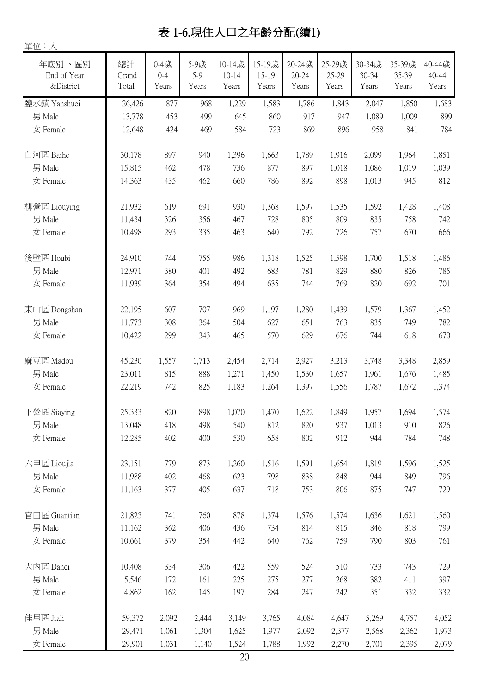# 表 1-6.現住人口之年齡分配(續1)

單位:人

| 年底別、區別<br>End of Year<br>&District | 總計<br>Grand<br>Total | $0 - 4$ 歲<br>$0 - 4$<br>Years | 5-9歲<br>5-9<br>Years | 10-14歲<br>$10 - 14$<br>Years | 15-19歲<br>15-19<br>Years | 20-24歲<br>20-24<br>Years | 25-29歲<br>25-29<br>Years | 30-34歲<br>30-34<br>Years | 35-39歲<br>35-39<br>Years | 40-44歲<br>40-44<br>Years |
|------------------------------------|----------------------|-------------------------------|----------------------|------------------------------|--------------------------|--------------------------|--------------------------|--------------------------|--------------------------|--------------------------|
| 鹽水鎮 Yanshuei                       | 26,426               | 877                           | 968                  | 1,229                        | 1,583                    | 1,786                    | 1,843                    | 2,047                    | 1,850                    | 1,683                    |
| 男 Male                             | 13,778               | 453                           | 499                  | 645                          | 860                      | 917                      | 947                      | 1,089                    | 1,009                    | 899                      |
| 女 Female                           | 12,648               | 424                           | 469                  | 584                          | 723                      | 869                      | 896                      | 958                      | 841                      | 784                      |
| 白河區 Baihe                          | 30,178               | 897                           | 940                  | 1,396                        | 1,663                    | 1,789                    | 1,916                    | 2,099                    | 1,964                    | 1,851                    |
| 男 Male                             | 15,815               | 462                           | 478                  | 736                          | 877                      | 897                      | 1,018                    | 1,086                    | 1,019                    | 1,039                    |
| 女 Female                           | 14,363               | 435                           | 462                  | 660                          | 786                      | 892                      | 898                      | 1,013                    | 945                      | 812                      |
| 柳營區 Liouying                       | 21,932               | 619                           | 691                  | 930                          | 1,368                    | 1,597                    | 1,535                    | 1,592                    | 1,428                    | 1,408                    |
| 男 Male                             | 11,434               | 326                           | 356                  | 467                          | 728                      | 805                      | 809                      | 835                      | 758                      | 742                      |
| 女 Female                           | 10,498               | 293                           | 335                  | 463                          | 640                      | 792                      | 726                      | 757                      | 670                      | 666                      |
| 後壁區 Houbi                          | 24,910               | 744                           | 755                  | 986                          | 1,318                    | 1,525                    | 1,598                    | 1,700                    | 1,518                    | 1,486                    |
| 男 Male                             | 12,971               | 380                           | 401                  | 492                          | 683                      | 781                      | 829                      | 880                      | 826                      | 785                      |
| 女 Female                           | 11,939               | 364                           | 354                  | 494                          | 635                      | 744                      | 769                      | 820                      | 692                      | 701                      |
| 東山區 Dongshan                       | 22,195               | 607                           | 707                  | 969                          | 1,197                    | 1,280                    | 1,439                    | 1,579                    | 1,367                    | 1,452                    |
| 男 Male                             | 11,773               | 308                           | 364                  | 504                          | 627                      | 651                      | 763                      | 835                      | 749                      | 782                      |
| 女 Female                           | 10,422               | 299                           | 343                  | 465                          | 570                      | 629                      | 676                      | 744                      | 618                      | 670                      |
| 麻豆區 Madou                          | 45,230               | 1,557                         | 1,713                | 2,454                        | 2,714                    | 2,927                    | 3,213                    | 3,748                    | 3,348                    | 2,859                    |
| 男 Male                             | 23,011               | 815                           | 888                  | 1,271                        | 1,450                    | 1,530                    | 1,657                    | 1,961                    | 1,676                    | 1,485                    |
| 女 Female                           | 22,219               | 742                           | 825                  | 1,183                        | 1,264                    | 1,397                    | 1,556                    | 1,787                    | 1,672                    | 1,374                    |
| 下營區 Siaying                        | 25,333               | 820                           | 898                  | 1,070                        | 1,470                    | 1,622                    | 1,849                    | 1,957                    | 1,694                    | 1,574                    |
| 男 Male                             | 13,048               | 418                           | 498                  | 540                          | 812                      | 820                      | 937                      | 1,013                    | 910                      | 826                      |
| 女 Female                           | 12,285               | 402                           | 400                  | 530                          | 658                      | 802                      | 912                      | 944                      | 784                      | 748                      |
| 六甲區 Lioujia                        | 23,151               | 779                           | 873                  | 1,260                        | 1,516                    | 1,591                    | 1,654                    | 1,819                    | 1,596                    | 1,525                    |
| 男 Male                             | 11,988               | 402                           | 468                  | 623                          | 798                      | 838                      | 848                      | 944                      | 849                      | 796                      |
| 女 Female                           | 11,163               | 377                           | 405                  | 637                          | 718                      | 753                      | 806                      | 875                      | 747                      | 729                      |
| 官田區 Guantian                       | 21,823               | 741                           | 760                  | 878                          | 1,374                    | 1,576                    | 1,574                    | 1,636                    | 1,621                    | 1,560                    |
| 男 Male                             | 11,162               | 362                           | 406                  | 436                          | 734                      | 814                      | 815                      | 846                      | 818                      | 799                      |
| 女 Female                           | 10,661               | 379                           | 354                  | 442                          | 640                      | 762                      | 759                      | 790                      | 803                      | 761                      |
| 大内區 Danei                          | 10,408               | 334                           | 306                  | 422                          | 559                      | 524                      | 510                      | 733                      | 743                      | 729                      |
| 男 Male                             | 5,546                | 172                           | 161                  | 225                          | 275                      | 277                      | 268                      | 382                      | 411                      | 397                      |
| 女 Female                           | 4,862                | 162                           | 145                  | 197                          | 284                      | 247                      | 242                      | 351                      | 332                      | 332                      |
| 佳里區 Jiali                          | 59,372               | 2,092                         | 2,444                | 3,149                        | 3,765                    | 4,084                    | 4,647                    | 5,269                    | 4,757                    | 4,052                    |
| 男 Male                             | 29,471               | 1,061                         | 1,304                | 1,625                        | 1,977                    | 2,092                    | 2,377                    | 2,568                    | 2,362                    | 1,973                    |
| 女 Female                           | 29,901               | 1,031                         | 1,140                | 1,524                        | 1,788                    | 1,992                    | 2,270                    | 2,701                    | 2,395                    | 2,079                    |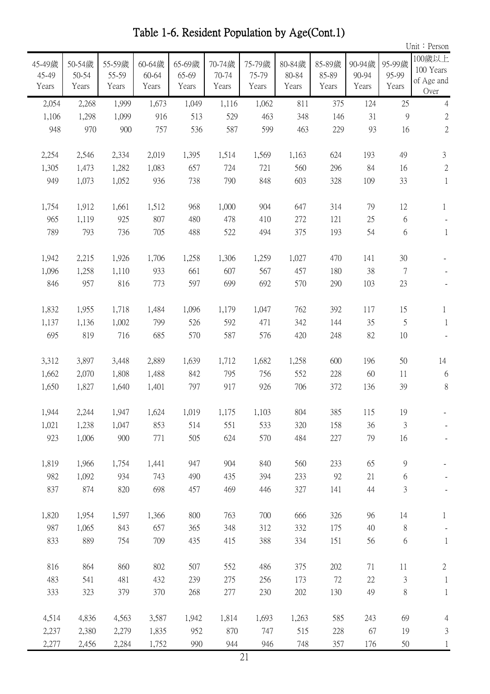Table 1-6. Resident Population by Age(Cont.1)

|                          |                          |                          |                          |                          |                          |                          |                          |                          |                          |                          | Unit: Person                              |
|--------------------------|--------------------------|--------------------------|--------------------------|--------------------------|--------------------------|--------------------------|--------------------------|--------------------------|--------------------------|--------------------------|-------------------------------------------|
| 45-49歲<br>45-49<br>Years | 50-54歲<br>50-54<br>Years | 55-59歲<br>55-59<br>Years | 60-64歲<br>60-64<br>Years | 65-69歲<br>65-69<br>Years | 70-74歲<br>70-74<br>Years | 75-79歲<br>75-79<br>Years | 80-84歲<br>80-84<br>Years | 85-89歲<br>85-89<br>Years | 90-94歲<br>90-94<br>Years | 95-99歲<br>95-99<br>Years | 100歲以上<br>100 Years<br>of Age and<br>Over |
| 2,054                    | 2,268                    | 1,999                    | 1,673                    | 1,049                    | 1,116                    | 1,062                    | 811                      | 375                      | 124                      | 25                       | $\overline{4}$                            |
| 1,106                    | 1,298                    | 1,099                    | 916                      | 513                      | 529                      | 463                      | 348                      | 146                      | 31                       | 9                        | $\sqrt{2}$                                |
| 948                      | 970                      | 900                      | 757                      | 536                      | 587                      | 599                      | 463                      | 229                      | 93                       | 16                       | $\overline{2}$                            |
| 2,254                    | 2,546                    | 2,334                    | 2,019                    | 1,395                    | 1,514                    | 1,569                    | 1,163                    | 624                      | 193                      | 49                       | 3                                         |
| 1,305                    | 1,473                    | 1,282                    | 1,083                    | 657                      | 724                      | 721                      | 560                      | 296                      | 84                       | 16                       | $\mathbf{2}$                              |
| 949                      | 1,073                    | 1,052                    | 936                      | 738                      | 790                      | 848                      | 603                      | 328                      | 109                      | 33                       | $\mathbf{1}$                              |
| 1,754                    | 1,912                    | 1,661                    | 1,512                    | 968                      | 1,000                    | 904                      | 647                      | 314                      | 79                       | 12                       | $\mathbf{1}$                              |
| 965                      | 1,119                    | 925                      | 807                      | 480                      | 478                      | 410                      | 272                      | 121                      | 25                       | 6                        |                                           |
| 789                      | 793                      | 736                      | 705                      | 488                      | 522                      | 494                      | 375                      | 193                      | 54                       | 6                        | $\mathbf{1}$                              |
| 1,942                    | 2,215                    | 1,926                    | 1,706                    | 1,258                    | 1,306                    | 1,259                    | 1,027                    | 470                      | 141                      | 30                       |                                           |
| 1,096                    | 1,258                    | 1,110                    | 933                      | 661                      | 607                      | 567                      | 457                      | 180                      | 38                       | 7                        |                                           |
| 846                      | 957                      | 816                      | 773                      | 597                      | 699                      | 692                      | 570                      | 290                      | 103                      | 23                       |                                           |
| 1,832                    | 1,955                    | 1,718                    | 1,484                    | 1,096                    | 1,179                    | 1,047                    | 762                      | 392                      | 117                      | 15                       | $\mathbf{1}$                              |
| 1,137                    | 1,136                    | 1,002                    | 799                      | 526                      | 592                      | 471                      | 342                      | 144                      | 35                       | 5                        | 1                                         |
| 695                      | 819                      | 716                      | 685                      | 570                      | 587                      | 576                      | 420                      | 248                      | 82                       | 10                       |                                           |
| 3,312                    | 3,897                    | 3,448                    | 2,889                    | 1,639                    | 1,712                    | 1,682                    | 1,258                    | 600                      | 196                      | 50                       | 14                                        |
| 1,662                    | 2,070                    | 1,808                    | 1,488                    | 842                      | 795                      | 756                      | 552                      | 228                      | 60                       | 11                       | 6                                         |
| 1,650                    | 1,827                    | 1,640                    | 1,401                    | 797                      | 917                      | 926                      | 706                      | 372                      | 136                      | 39                       | $8\,$                                     |
| 1,944                    | 2,244                    | 1,947                    | 1,624                    | 1,019                    | 1,175                    | 1,103                    | 804                      | 385                      | 115                      | 19                       |                                           |
| 1,021                    | 1,238                    | 1,047                    | 853                      | 514                      | 551                      | 533                      | 320                      | 158                      | 36                       | $\mathfrak{Z}$           |                                           |
| 923                      | 1,006                    | 900                      | 771                      | 505                      | 624                      | 570                      | 484                      | 227                      | 79                       | 16                       |                                           |
| 1,819                    | 1,966                    | 1,754                    | 1,441                    | 947                      | 904                      | 840                      | 560                      | 233                      | 65                       | $\mathcal{G}$            |                                           |
| 982                      | 1,092                    | 934                      | 743                      | 490                      | 435                      | 394                      | 233                      | 92                       | 21                       | 6                        |                                           |
| 837                      | 874                      | 820                      | 698                      | 457                      | 469                      | 446                      | 327                      | 141                      | 44                       | 3                        |                                           |
| 1,820                    | 1,954                    | 1,597                    | 1,366                    | 800                      | 763                      | 700                      | 666                      | 326                      | 96                       | 14                       | 1                                         |
| 987                      | 1,065                    | 843                      | 657                      | 365                      | 348                      | 312                      | 332                      | 175                      | 40                       | $\,$ $\,$                |                                           |
| 833                      | 889                      | 754                      | 709                      | 435                      | 415                      | 388                      | 334                      | 151                      | 56                       | 6                        | $\mathbf{1}$                              |
| 816                      | 864                      | 860                      | 802                      | 507                      | 552                      | 486                      | 375                      | 202                      | 71                       | 11                       | $\mathbf{2}$                              |
| 483                      | 541                      | 481                      | 432                      | 239                      | 275                      | 256                      | 173                      | 72                       | 22                       | $\mathfrak{Z}$           | $\mathbf{1}$                              |
| 333                      | 323                      | 379                      | 370                      | 268                      | 277                      | 230                      | 202                      | 130                      | 49                       | $8\,$                    | $\mathbf{1}$                              |
| 4,514                    | 4,836                    | 4,563                    | 3,587                    | 1,942                    | 1,814                    | 1,693                    | 1,263                    | 585                      | 243                      | 69                       | 4                                         |
| 2,237                    | 2,380                    | 2,279                    | 1,835                    | 952                      | 870                      | 747                      | 515                      | 228                      | 67                       | 19                       | $\mathfrak{Z}$                            |
| 2,277                    | 2,456                    | 2,284                    | 1,752                    | 990                      | 944                      | 946                      | 748                      | 357                      | 176                      | 50                       |                                           |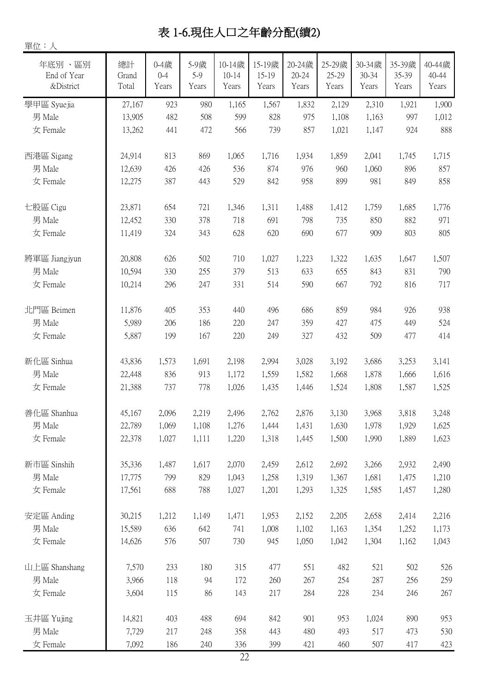# 表 1-6.現住人口之年齡分配(續2)

單位:人

年底別 、區別 End of Year &District 總計 Grand Total 0-4歲 0-4 Years 5-9歲 5-9 Years 10-14歲 10-14 Years 15-19歲 15-19 Years 20-24歲 20-24 Years 25-29歲 25-29 Years 30-34歲 30-34 Years 35-39歲 35-39 Years 40-44歲 40-44 Years **學甲區 Syuejia** 1,167 923 980 1,165 1,567 1,832 2,129 2,310 1,921 1,900 男 Male 13,905 482 508 599 828 975 1,108 1,163 997 1,012 女 Female 13,262 441 472 566 739 857 1,021 1,147 924 888 西港區 Sigang 24,914 813 869 1,065 1,716 1,934 1,859 2,041 1,745 1,715 男 Male 12,639 426 426 536 874 976 960 1,060 896 857 女 Female 12,275 387 443 529 842 958 899 981 849 858 七股區 Cigu 23,871 654 721 1,346 1,311 1,488 1,412 1,759 1,685 1,776 男 Male 12,452 330 378 718 691 798 735 850 882 971 女 Female 11,419 324 343 628 620 690 677 909 803 805 將軍區 Jiangiyun | 20,808 626 502 710 1,027 1,223 1,322 1,635 1,647 1,507 男 Male 10,594 330 255 379 513 633 655 843 831 790 女 Female 10,214 296 247 331 514 590 667 792 816 717 北門區 Beimen 11,876 405 353 440 496 686 859 984 926 938 男 Male 5,989 206 186 220 247 359 427 475 449 524 女 Female 5,887 199 167 220 249 327 432 509 477 414 新化區 Sinhua 43,836 1,573 1,691 2,198 2,994 3,028 3,192 3,686 3,253 3,141 男 Male 22,448 836 913 1,172 1,559 1,582 1,668 1,878 1,666 1,616 女 Female 21,388 737 778 1,026 1,435 1,446 1,524 1,808 1,587 1,525 善化區 Shanhua 15,167 2,096 2,219 2,496 2,762 2,876 3,130 3,968 3,818 3,248 男 Male 22,789 1,069 1,108 1,276 1,444 1,431 1,630 1,978 1,929 1,625 女 Female 22,378 1,027 1,111 1,220 1,318 1,445 1,500 1,990 1,889 1,623 新市區 Sinshih 35,336 1,487 1,617 2,070 2,459 2,612 2,692 3,266 2,932 2,490 男 Male 17,775 799 829 1,043 1,258 1,319 1,367 1,681 1,475 1,210 女 Female 17,561 688 788 1,027 1,201 1,293 1,325 1,585 1,457 1,280 安定區 Anding 30,215 1,212 1,149 1,471 1,953 2,152 2,205 2,658 2,414 2,216 男 Male 15,589 636 642 741 1,008 1,102 1,163 1,354 1,252 1,173 女 Female 14,626 576 507 730 945 1,050 1,042 1,304 1,162 1,043 山上區 Shanshang 7,570 233 180 315 477 551 482 521 502 526 男 Male 3,966 118 94 172 260 267 254 287 256 259 女 Female 3,604 115 86 143 217 284 228 234 246 267 玉井區 Yujing 14,821 403 488 694 842 901 953 1,024 890 953 男 Male 7,729 217 248 358 443 480 493 517 473 530 女 Female 7,092 186 240 336 399 421 460 507 417 423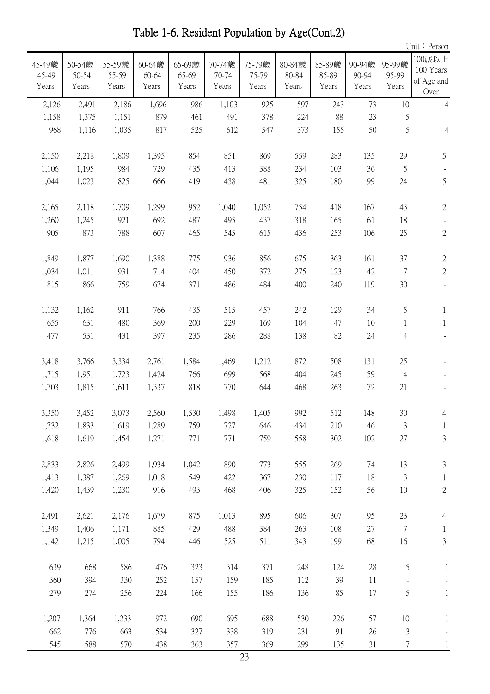Table 1-6. Resident Population by Age(Cont.2)

|                          |                          |                          |                          |                          |                          |                          |                          |                          |                          |                          | Unit: Person                              |
|--------------------------|--------------------------|--------------------------|--------------------------|--------------------------|--------------------------|--------------------------|--------------------------|--------------------------|--------------------------|--------------------------|-------------------------------------------|
| 45-49歲<br>45-49<br>Years | 50-54歲<br>50-54<br>Years | 55-59歲<br>55-59<br>Years | 60-64歲<br>60-64<br>Years | 65-69歲<br>65-69<br>Years | 70-74歲<br>70-74<br>Years | 75-79歲<br>75-79<br>Years | 80-84歲<br>80-84<br>Years | 85-89歲<br>85-89<br>Years | 90-94歲<br>90-94<br>Years | 95-99歲<br>95-99<br>Years | 100歲以上<br>100 Years<br>of Age and<br>Over |
| 2,126                    | 2,491                    | 2,186                    | 1,696                    | 986                      | 1,103                    | 925                      | 597                      | 243                      | 73                       | 10                       | $\overline{4}$                            |
| 1,158                    | 1,375                    | 1,151                    | 879                      | 461                      | 491                      | 378                      | 224                      | 88                       | 23                       | 5                        |                                           |
| 968                      | 1,116                    | 1,035                    | 817                      | 525                      | 612                      | 547                      | 373                      | 155                      | 50                       | 5                        | $\overline{4}$                            |
| 2,150                    | 2,218                    | 1,809                    | 1,395                    | 854                      | 851                      | 869                      | 559                      | 283                      | 135                      | 29                       | 5                                         |
| 1,106                    | 1,195                    | 984                      | 729                      | 435                      | 413                      | 388                      | 234                      | 103                      | 36                       | $\mathfrak{S}$           |                                           |
| 1,044                    | 1,023                    | 825                      | 666                      | 419                      | 438                      | 481                      | 325                      | 180                      | 99                       | 24                       | 5                                         |
| 2,165                    | 2,118                    | 1,709                    | 1,299                    | 952                      | 1,040                    | 1,052                    | 754                      | 418                      | 167                      | 43                       | $\sqrt{2}$                                |
| 1,260                    | 1,245                    | 921                      | 692                      | 487                      | 495                      | 437                      | 318                      | 165                      | 61                       | 18                       |                                           |
| 905                      | 873                      | 788                      | 607                      | 465                      | 545                      | 615                      | 436                      | 253                      | 106                      | 25                       | $\mathbf{2}$                              |
| 1,849                    | 1,877                    | 1,690                    | 1,388                    | 775                      | 936                      | 856                      | 675                      | 363                      | 161                      | 37                       | $\sqrt{2}$                                |
| 1,034                    | 1,011                    | 931                      | 714                      | 404                      | 450                      | 372                      | 275                      | 123                      | 42                       | $\overline{7}$           | $\sqrt{2}$                                |
| 815                      | 866                      | 759                      | 674                      | 371                      | 486                      | 484                      | 400                      | 240                      | 119                      | 30                       |                                           |
| 1,132                    | 1,162                    | 911                      | 766                      | 435                      | 515                      | 457                      | 242                      | 129                      | 34                       | 5                        | $\mathbf{1}$                              |
| 655                      | 631                      | 480                      | 369                      | 200                      | 229                      | 169                      | 104                      | 47                       | 10                       | 1                        | $\mathbf{1}$                              |
| 477                      | 531                      | 431                      | 397                      | 235                      | 286                      | 288                      | 138                      | 82                       | 24                       | $\overline{4}$           |                                           |
| 3,418                    | 3,766                    | 3,334                    | 2,761                    | 1,584                    | 1,469                    | 1,212                    | 872                      | 508                      | 131                      | 25                       |                                           |
| 1,715                    | 1,951                    | 1,723                    | 1,424                    | 766                      | 699                      | 568                      | 404                      | 245                      | 59                       | $\overline{4}$           |                                           |
| 1,703                    | 1,815                    | 1,611                    | 1,337                    | 818                      | 770                      | 644                      | 468                      | 263                      | 72                       | 21                       |                                           |
| 3,350                    | 3,452                    | 3,073                    | 2,560                    | 1,530                    | 1,498                    | 1,405                    | 992                      | 512                      | 148                      | 30                       | $\overline{4}$                            |
| 1,732                    | 1,833                    | 1,619                    | 1,289                    | 759                      | 727                      | 646                      | 434                      | 210                      | 46                       | $\mathfrak{Z}$           | $\mathbf{1}$                              |
| 1,618                    | 1,619                    | 1,454                    | 1,271                    | 771                      | 771                      | 759                      | 558                      | 302                      | 102                      | $27\,$                   | $\mathfrak{Z}$                            |
| 2,833                    | 2,826                    | 2,499                    | 1,934                    | 1,042                    | 890                      | 773                      | 555                      | 269                      | 74                       | 13                       | 3                                         |
| 1,413                    | 1,387                    | 1,269                    | 1,018                    | 549                      | 422                      | 367                      | 230                      | 117                      | 18                       | 3                        | 1                                         |
| 1,420                    | 1,439                    | 1,230                    | 916                      | 493                      | 468                      | 406                      | 325                      | 152                      | 56                       | 10                       | $\sqrt{2}$                                |
| 2,491                    | 2,621                    | 2,176                    | 1,679                    | 875                      | 1,013                    | 895                      | 606                      | 307                      | 95                       | 23                       | $\overline{4}$                            |
| 1,349                    | 1,406                    | 1,171                    | 885                      | 429                      | 488                      | 384                      | 263                      | 108                      | 27                       | $\tau$                   | $\mathbf{1}$                              |
| 1,142                    | 1,215                    | 1,005                    | 794                      | 446                      | 525                      | 511                      | 343                      | 199                      | 68                       | 16                       | 3                                         |
| 639                      | 668                      | 586                      | 476                      | 323                      | 314                      | 371                      | 248                      | 124                      | 28                       | 5                        | $\mathbf{1}$                              |
| 360                      | 394                      | 330                      | 252                      | 157                      | 159                      | 185                      | 112                      | 39                       | 11                       |                          |                                           |
| 279                      | 274                      | 256                      | 224                      | 166                      | 155                      | 186                      | 136                      | 85                       | 17                       | 5                        | $\mathbf{1}$                              |
| 1,207                    | 1,364                    | 1,233                    | 972                      | 690                      | 695                      | 688                      | 530                      | 226                      | 57                       | 10                       | $\mathbf{1}$                              |
| 662                      | 776                      | 663                      | 534                      | 327                      | 338                      | 319                      | 231                      | 91                       | 26                       | $\mathfrak{Z}$           |                                           |
| 545                      | 588                      | 570                      | 438                      | 363                      | 357                      | 369                      | 299                      | 135                      | 31                       | 7                        | $\mathbf{1}$                              |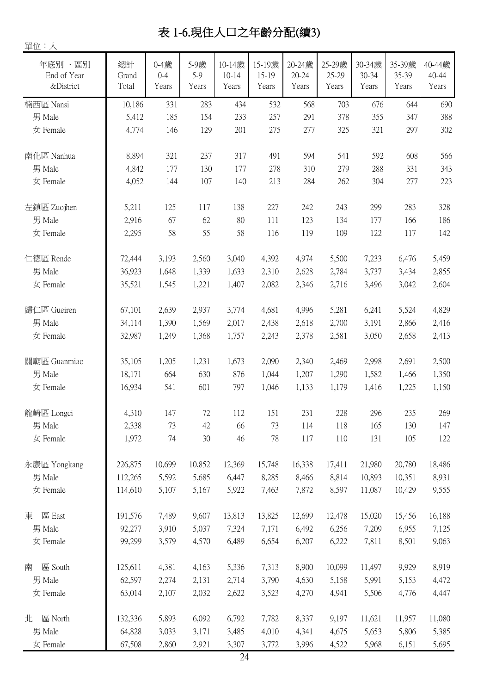# 表 1-6.現住人口之年齡分配(續3)

單位:人

| 年底別、區別<br>End of Year<br>&District | 總計<br>Grand<br>Total | 0-4歲<br>$0 - 4$<br>Years | 5-9歲<br>$5-9$<br>Years | 10-14歲<br>$10 - 14$<br>Years | 15-19歲<br>15-19<br>Years | 20-24歲<br>20-24<br>Years | 25-29歲<br>25-29<br>Years | 30-34歲<br>30-34<br>Years | 35-39歲<br>35-39<br>Years | 40-44歲<br>40-44<br>Years |
|------------------------------------|----------------------|--------------------------|------------------------|------------------------------|--------------------------|--------------------------|--------------------------|--------------------------|--------------------------|--------------------------|
| 楠西區 Nansi                          | 10,186               | 331                      | 283                    | 434                          | 532                      | 568                      | 703                      | 676                      | 644                      | 690                      |
| 男 Male                             | 5,412                | 185                      | 154                    | 233                          | 257                      | 291                      | 378                      | 355                      | 347                      | 388                      |
| 女 Female                           | 4,774                | 146                      | 129                    | 201                          | 275                      | 277                      | 325                      | 321                      | 297                      | 302                      |
| 南化區 Nanhua                         | 8,894                | 321                      | 237                    | 317                          | 491                      | 594                      | 541                      | 592                      | 608                      | 566                      |
| 男 Male                             | 4,842                | 177                      | 130                    | 177                          | 278                      | 310                      | 279                      | 288                      | 331                      | 343                      |
| 女 Female                           | 4,052                | 144                      | 107                    | 140                          | 213                      | 284                      | 262                      | 304                      | 277                      | 223                      |
| 左鎮區 Zuojhen                        | 5,211                | 125                      | 117                    | 138                          | 227                      | 242                      | 243                      | 299                      | 283                      | 328                      |
| 男 Male                             | 2,916                | 67                       | 62                     | 80                           | 111                      | 123                      | 134                      | 177                      | 166                      | 186                      |
| 女 Female                           | 2,295                | 58                       | 55                     | 58                           | 116                      | 119                      | 109                      | 122                      | 117                      | 142                      |
| 仁德區 Rende                          | 72,444               | 3,193                    | 2,560                  | 3,040                        | 4,392                    | 4,974                    | 5,500                    | 7,233                    | 6,476                    | 5,459                    |
| 男 Male                             | 36,923               | 1,648                    | 1,339                  | 1,633                        | 2,310                    | 2,628                    | 2,784                    | 3,737                    | 3,434                    | 2,855                    |
| 女 Female                           | 35,521               | 1,545                    | 1,221                  | 1,407                        | 2,082                    | 2,346                    | 2,716                    | 3,496                    | 3,042                    | 2,604                    |
| 歸仁區 Gueiren                        | 67,101               | 2,639                    | 2,937                  | 3,774                        | 4,681                    | 4,996                    | 5,281                    | 6,241                    | 5,524                    | 4,829                    |
| 男 Male                             | 34,114               | 1,390                    | 1,569                  | 2,017                        | 2,438                    | 2,618                    | 2,700                    | 3,191                    | 2,866                    | 2,416                    |
| 女 Female                           | 32,987               | 1,249                    | 1,368                  | 1,757                        | 2,243                    | 2,378                    | 2,581                    | 3,050                    | 2,658                    | 2,413                    |
| 關廟區 Guanmiao                       | 35,105               | 1,205                    | 1,231                  | 1,673                        | 2,090                    | 2,340                    | 2,469                    | 2,998                    | 2,691                    | 2,500                    |
| 男 Male                             | 18,171               | 664                      | 630                    | 876                          | 1,044                    | 1,207                    | 1,290                    | 1,582                    | 1,466                    | 1,350                    |
| 女 Female                           | 16,934               | 541                      | 601                    | 797                          | 1,046                    | 1,133                    | 1,179                    | 1,416                    | 1,225                    | 1,150                    |
| 龍崎區 Longci                         | 4,310                | 147                      | 72                     | 112                          | 151                      | 231                      | 228                      | 296                      | 235                      | 269                      |
| 男 Male                             | 2,338                | 73                       | 42                     | 66                           | 73                       | 114                      | 118                      | 165                      | 130                      | 147                      |
| 女 Female                           | 1,972                | 74                       | $30\,$                 | 46                           | 78                       | 117                      | 110                      | 131                      | 105                      | 122                      |
| 永康區 Yongkang                       | 226,875              | 10,699                   | 10,852                 | 12,369                       | 15,748                   | 16,338                   | 17,411                   | 21,980                   | 20,780                   | 18,486                   |
| 男 Male                             | 112,265              | 5,592                    | 5,685                  | 6,447                        | 8,285                    | 8,466                    | 8,814                    | 10,893                   | 10,351                   | 8,931                    |
| 女 Female                           | 114,610              | 5,107                    | 5,167                  | 5,922                        | 7,463                    | 7,872                    | 8,597                    | 11,087                   | 10,429                   | 9,555                    |
| 區 East<br>東                        | 191,576              | 7,489                    | 9,607                  | 13,813                       | 13,825                   | 12,699                   | 12,478                   | 15,020                   | 15,456                   | 16,188                   |
| 男 Male                             | 92,277               | 3,910                    | 5,037                  | 7,324                        | 7,171                    | 6,492                    | 6,256                    | 7,209                    | 6,955                    | 7,125                    |
| 女 Female                           | 99,299               | 3,579                    | 4,570                  | 6,489                        | 6,654                    | 6,207                    | 6,222                    | 7,811                    | 8,501                    | 9,063                    |
| 區 South<br>南                       | 125,611              | 4,381                    | 4,163                  | 5,336                        | 7,313                    | 8,900                    | 10,099                   | 11,497                   | 9,929                    | 8,919                    |
| 男 Male                             | 62,597               | 2,274                    | 2,131                  | 2,714                        | 3,790                    | 4,630                    | 5,158                    | 5,991                    | 5,153                    | 4,472                    |
| 女 Female                           | 63,014               | 2,107                    | 2,032                  | 2,622                        | 3,523                    | 4,270                    | 4,941                    | 5,506                    | 4,776                    | 4,447                    |
| 區 North<br>北                       | 132,336              | 5,893                    | 6,092                  | 6,792                        | 7,782                    | 8,337                    | 9,197                    | 11,621                   | 11,957                   | 11,080                   |
| 男 Male                             | 64,828               | 3,033                    | 3,171                  | 3,485                        | 4,010                    | 4,341                    | 4,675                    | 5,653                    | 5,806                    | 5,385                    |
| 女 Female                           | 67,508               | 2,860                    | 2,921                  | 3,307                        | 3,772                    | 3,996                    | 4,522                    | 5,968                    | 6,151                    | 5,695                    |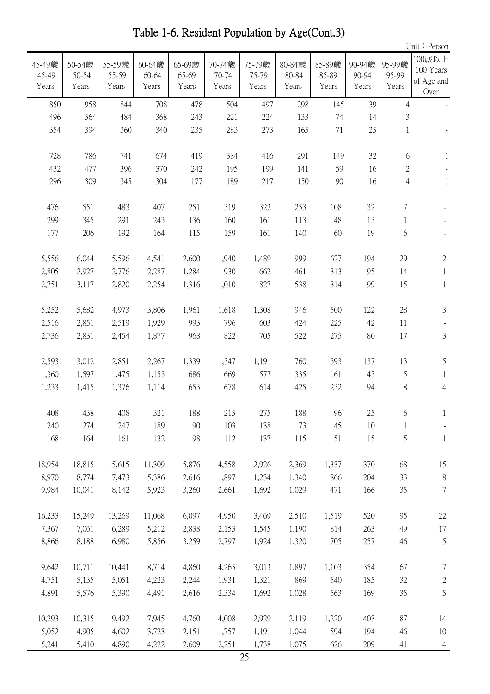Table 1-6. Resident Population by Age(Cont.3)

|                          |                          |                          |                          |                          |                          |                          |                          |                          |                          |                                | Unit: Person                              |
|--------------------------|--------------------------|--------------------------|--------------------------|--------------------------|--------------------------|--------------------------|--------------------------|--------------------------|--------------------------|--------------------------------|-------------------------------------------|
| 45-49歲<br>45-49<br>Years | 50-54歲<br>50-54<br>Years | 55-59歲<br>55-59<br>Years | 60-64歲<br>60-64<br>Years | 65-69歲<br>65-69<br>Years | 70-74歲<br>70-74<br>Years | 75-79歲<br>75-79<br>Years | 80-84歲<br>80-84<br>Years | 85-89歲<br>85-89<br>Years | 90-94歲<br>90-94<br>Years | 95-99歲<br>95-99<br>Years       | 100歲以上<br>100 Years<br>of Age and<br>Over |
| 850                      | 958                      | 844                      | 708                      | 478                      | 504                      | 497                      | 298                      | 145                      | 39                       | $\overline{4}$                 |                                           |
| 496                      | 564                      | 484                      | 368                      | 243                      | 221                      | 224                      | 133                      | 74                       | 14                       | $\mathfrak{Z}$                 |                                           |
| 354                      | 394                      | 360                      | 340                      | 235                      | 283                      | 273                      | 165                      | 71                       | 25                       | $\mathbf{1}$                   |                                           |
|                          |                          |                          |                          |                          |                          |                          |                          |                          |                          |                                |                                           |
| 728                      | 786                      | 741                      | 674                      | 419                      | 384                      | 416                      | 291                      | 149                      | 32                       | 6                              | $\mathbf{1}$                              |
| 432<br>296               | 477<br>309               | 396<br>345               | 370<br>304               | 242<br>177               | 195<br>189               | 199<br>217               | 141<br>150               | 59<br>90                 | 16<br>16                 | $\mathbf{2}$<br>$\overline{4}$ | $\mathbf{1}$                              |
|                          |                          |                          |                          |                          |                          |                          |                          |                          |                          |                                |                                           |
| 476                      | 551                      | 483                      | 407                      | 251                      | 319                      | 322                      | 253                      | 108                      | 32                       | 7                              |                                           |
| 299                      | 345                      | 291                      | 243                      | 136                      | 160                      | 161                      | 113                      | 48                       | 13                       | 1                              |                                           |
| 177                      | 206                      | 192                      | 164                      | 115                      | 159                      | 161                      | 140                      | 60                       | 19                       | 6                              |                                           |
|                          |                          |                          |                          |                          |                          |                          |                          |                          |                          |                                |                                           |
| 5,556                    | 6,044                    | 5,596                    | 4,541                    | 2,600                    | 1,940                    | 1,489                    | 999                      | 627                      | 194                      | 29                             | $\sqrt{2}$                                |
| 2,805                    | 2,927                    | 2,776                    | 2,287                    | 1,284                    | 930                      | 662                      | 461                      | 313                      | 95                       | 14                             | $\mathbf{1}$                              |
| 2,751                    | 3,117                    | 2,820                    | 2,254                    | 1,316                    | 1,010                    | 827                      | 538                      | 314                      | 99                       | 15                             | $\mathbf{1}$                              |
| 5,252                    | 5,682                    | 4,973                    | 3,806                    | 1,961                    | 1,618                    | 1,308                    | 946                      | 500                      | 122                      | 28                             | $\mathfrak{Z}$                            |
| 2,516                    | 2,851                    | 2,519                    | 1,929                    | 993                      | 796                      | 603                      | 424                      | 225                      | 42                       | 11                             |                                           |
| 2,736                    | 2,831                    | 2,454                    | 1,877                    | 968                      | 822                      | 705                      | 522                      | 275                      | 80                       | 17                             | $\mathfrak{Z}$                            |
|                          |                          |                          |                          |                          |                          |                          |                          |                          |                          |                                |                                           |
| 2,593                    | 3,012                    | 2,851                    | 2,267                    | 1,339                    | 1,347                    | 1,191                    | 760                      | 393                      | 137                      | 13                             | 5                                         |
| 1,360                    | 1,597                    | 1,475                    | 1,153                    | 686                      | 669                      | 577                      | 335                      | 161                      | 43                       | 5                              | $\mathbf{1}$                              |
| 1,233                    | 1,415                    | 1,376                    | 1,114                    | 653                      | 678                      | 614                      | 425                      | 232                      | 94                       | 8                              | $\overline{4}$                            |
| 408                      | 438                      | 408                      | 321                      | 188                      | 215                      | 275                      | 188                      | 96                       | 25                       | 6                              | $\perp$                                   |
| 240                      | 274                      | 247                      | 189                      | $90\text{ }$             | 103                      | 138                      | 73                       | 45                       | 10                       | $\mathbf{1}$                   |                                           |
| 168                      | 164                      | 161                      | 132                      | 98                       | 112                      | 137                      | 115                      | 51                       | 15                       | 5                              | $\mathbf{1}$                              |
|                          |                          |                          |                          |                          |                          |                          |                          |                          |                          |                                |                                           |
| 18,954                   | 18,815                   | 15,615                   | 11,309                   | 5,876                    | 4,558                    | 2,926                    | 2,369                    | 1,337                    | 370                      | 68                             | 15                                        |
| 8,970                    | 8,774                    | 7,473<br>8,142           | 5,386                    | 2,616                    | 1,897                    | 1,234                    | 1,340                    | 866                      | 204                      | 33                             | $\,$ $\,$<br>$\tau$                       |
| 9,984                    | 10,041                   |                          | 5,923                    | 3,260                    | 2,661                    | 1,692                    | 1,029                    | 471                      | 166                      | 35                             |                                           |
| 16,233                   | 15,249                   | 13,269                   | 11,068                   | 6,097                    | 4,950                    | 3,469                    | 2,510                    | 1,519                    | 520                      | 95                             | $22\,$                                    |
| 7,367                    | 7,061                    | 6,289                    | 5,212                    | 2,838                    | 2,153                    | 1,545                    | 1,190                    | 814                      | 263                      | 49                             | $17\,$                                    |
| 8,866                    | 8,188                    | 6,980                    | 5,856                    | 3,259                    | 2,797                    | 1,924                    | 1,320                    | 705                      | 257                      | 46                             | $\mathfrak s$                             |
|                          |                          |                          |                          |                          |                          |                          |                          |                          |                          |                                |                                           |
| 9,642                    | 10,711                   | 10,441                   | 8,714                    | 4,860                    | 4,265                    | 3,013                    | 1,897                    | 1,103                    | 354                      | 67                             | $\tau$                                    |
| 4,751<br>4,891           | 5,135<br>5,576           | 5,051<br>5,390           | 4,223<br>4,491           | 2,244<br>2,616           | 1,931<br>2,334           | 1,321<br>1,692           | 869<br>1,028             | 540<br>563               | 185<br>169               | 32<br>35                       | $\overline{c}$<br>5                       |
|                          |                          |                          |                          |                          |                          |                          |                          |                          |                          |                                |                                           |
| 10,293                   | 10,315                   | 9,492                    | 7,945                    | 4,760                    | 4,008                    | 2,929                    | 2,119                    | 1,220                    | 403                      | 87                             | 14                                        |
| 5,052                    | 4,905                    | 4,602                    | 3,723                    | 2,151                    | 1,757                    | 1,191                    | 1,044                    | 594                      | 194                      | 46                             | 10                                        |
| 5,241                    | 5,410                    | 4,890                    | 4,222                    | 2,609                    | 2,251                    | 1,738                    | 1,075                    | 626                      | 209                      | 41                             | $\overline{4}$                            |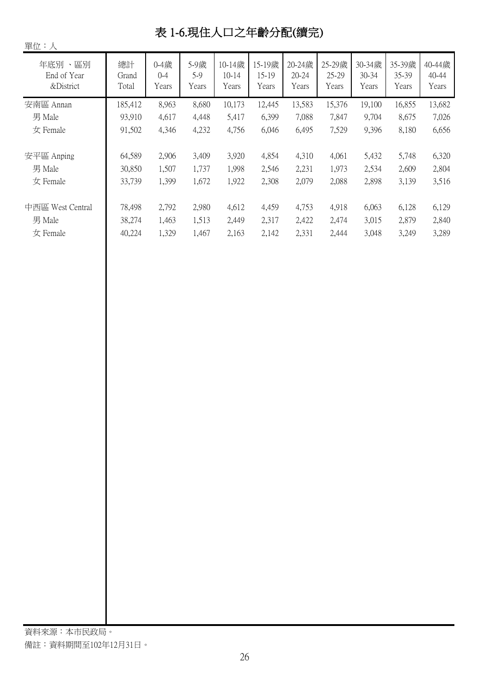# 表 1-6.現住人口之年齡分配(續完)

| 單位:人                                   |                      |                               |                        |                              |                          |                              |                          |                          |                          |                          |
|----------------------------------------|----------------------|-------------------------------|------------------------|------------------------------|--------------------------|------------------------------|--------------------------|--------------------------|--------------------------|--------------------------|
| 年底別<br>、區別<br>End of Year<br>&District | 總計<br>Grand<br>Total | $0 - 4$ 歲<br>$0 - 4$<br>Years | 5-9歲<br>$5-9$<br>Years | 10-14歲<br>$10 - 14$<br>Years | 15-19歲<br>15-19<br>Years | 20-24歲<br>$20 - 24$<br>Years | 25-29歲<br>25-29<br>Years | 30-34歲<br>30-34<br>Years | 35-39歲<br>35-39<br>Years | 40-44歲<br>40-44<br>Years |
| 安南區 Annan                              | 185,412              | 8,963                         | 8,680                  | 10,173                       | 12,445                   | 13,583                       | 15,376                   | 19,100                   | 16,855                   | 13,682                   |
| 男 Male                                 | 93,910               | 4,617                         | 4,448                  | 5,417                        | 6,399                    | 7,088                        | 7,847                    | 9,704                    | 8,675                    | 7,026                    |
| 女 Female                               | 91,502               | 4,346                         | 4,232                  | 4,756                        | 6,046                    | 6,495                        | 7,529                    | 9,396                    | 8,180                    | 6,656                    |
| 安平區 Anping                             | 64,589               | 2,906                         | 3,409                  | 3,920                        | 4,854                    | 4,310                        | 4,061                    | 5,432                    | 5,748                    | 6,320                    |
| 男 Male                                 | 30,850               | 1,507                         | 1,737                  | 1,998                        | 2,546                    | 2,231                        | 1,973                    | 2,534                    | 2,609                    | 2,804                    |
| 女 Female                               | 33,739               | 1,399                         | 1,672                  | 1,922                        | 2,308                    | 2,079                        | 2,088                    | 2,898                    | 3,139                    | 3,516                    |
| 中西區 West Central                       | 78,498               | 2,792                         | 2,980                  | 4,612                        | 4,459                    | 4,753                        | 4,918                    | 6,063                    | 6,128                    | 6,129                    |
| 男 Male                                 | 38,274               | 1,463                         | 1,513                  | 2,449                        | 2,317                    | 2,422                        | 2,474                    | 3,015                    | 2,879                    | 2,840                    |
| 女 Female                               | 40,224               | 1,329                         | 1,467                  | 2,163                        | 2,142                    | 2,331                        | 2,444                    | 3,048                    | 3,249                    | 3,289                    |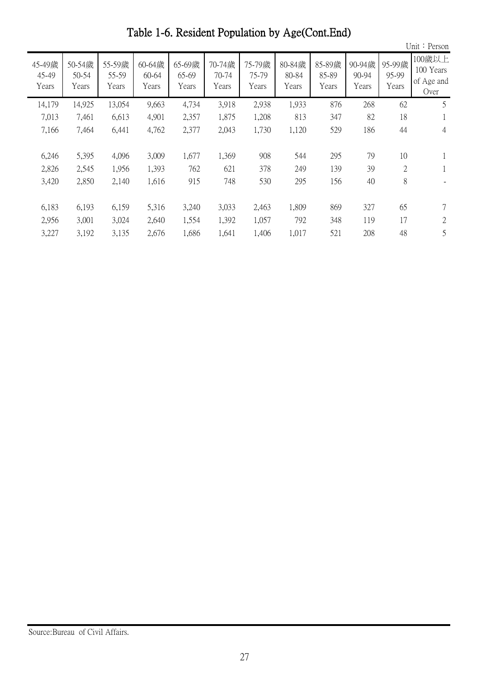Unit:Person 45-49歲 45-49 Years 50-54歲 50-54 Years 55-59歲 55-59 Years 60-64歲 60-64 Years 65-69歲 65-69 Years 70-74歲 70-74 Years 75-79歲 75-79 Years 80-84歲 80-84 Years 85-89歲 85-89 Years 90-94歲 90-94 Years 95-99歲 95-99 Years 100歲以上 100 Years of Age and Over 14,925 14,179 13,054 9,663 4,734 3,918 2,938 1,933 876 268 62 5 7,461 7,013 6,613 4,901 2,357 1,875 1,208 813 347 82 18 1 7,464 7,166 6,441 4,762 2,377 2,043 1,730 1,120 529 186 44 4 5,395 6,246 4,096 3,009 1,677 1,369 908 544 295 79 10 1 2,545 2,826 1,956 1,393 762 621 378 249 139 39 2 1 2,850 3,420 2,140 1,616 915 748 530 295 156 40 8 - 6,193 6,183 6,159 5,316 3,240 3,033 2,463 1,809 869 327 65 7 3,001 2,956 3,024 2,640 1,554 1,392 1,057 792 348 119 17 2

3,192 3,227 3,135 2,676 1,686 1,641 1,406 1,017 521 208 48 5

Table 1-6. Resident Population by Age(Cont.End)

Source:Bureau of Civil Affairs.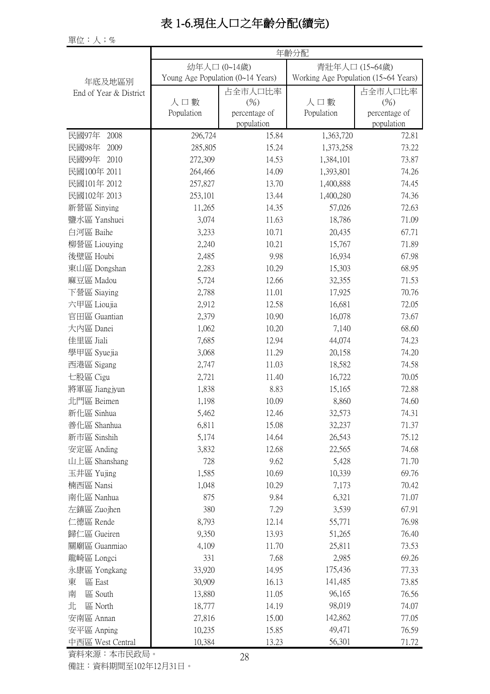# 表 1-6.現住人口之年齡分配(續完)

單位:人;%

|                        |                                   | 年齡分配          |                                      |               |  |  |  |  |  |
|------------------------|-----------------------------------|---------------|--------------------------------------|---------------|--|--|--|--|--|
|                        | 幼年人口 (0~14歲)                      |               | 青壯年人口 (15~64歲)                       |               |  |  |  |  |  |
| 年底及地區別                 | Young Age Population (0~14 Years) |               | Working Age Population (15~64 Years) |               |  |  |  |  |  |
| End of Year & District |                                   | 占全市人口比率       |                                      | 占全市人口比率       |  |  |  |  |  |
|                        | 人口數                               | (%)           | 人口數                                  | (%)           |  |  |  |  |  |
|                        | Population                        | percentage of | Population                           | percentage of |  |  |  |  |  |
|                        |                                   | population    |                                      | population    |  |  |  |  |  |
| 民國97年<br>2008          | 296,724                           | 15.84         | 1,363,720                            | 72.81         |  |  |  |  |  |
| 民國98年<br>2009          | 285,805                           | 15.24         | 1,373,258                            | 73.22         |  |  |  |  |  |
| 民國99年<br>2010          | 272,309                           | 14.53         | 1,384,101                            | 73.87         |  |  |  |  |  |
| 民國100年 2011            | 264,466                           | 14.09         | 1,393,801                            | 74.26         |  |  |  |  |  |
| 民國101年 2012            | 257,827                           | 13.70         | 1,400,888                            | 74.45         |  |  |  |  |  |
| 民國102年 2013            | 253,101                           | 13.44         | 1,400,280                            | 74.36         |  |  |  |  |  |
| 新營區 Sinying            | 11,265                            | 14.35         | 57,026                               | 72.63         |  |  |  |  |  |
| 鹽水區 Yanshuei           | 3,074                             | 11.63         | 18,786                               | 71.09         |  |  |  |  |  |
| 白河區 Baihe              | 3,233                             | 10.71         | 20,435                               | 67.71         |  |  |  |  |  |
| 柳營區 Liouying           | 2,240                             | 10.21         | 15,767                               | 71.89         |  |  |  |  |  |
| 後壁區 Houbi              | 2,485                             | 9.98          | 16,934                               | 67.98         |  |  |  |  |  |
| 東山區 Dongshan           | 2,283                             | 10.29         | 15,303                               | 68.95         |  |  |  |  |  |
| 麻豆區 Madou              | 5,724                             | 12.66         | 32,355                               | 71.53         |  |  |  |  |  |
| 下營區 Siaying            | 2,788                             | 11.01         | 17,925                               | 70.76         |  |  |  |  |  |
| 六甲區 Lioujia            | 2,912                             | 12.58         | 16,681                               | 72.05         |  |  |  |  |  |
| 官田區 Guantian           | 2,379                             | 10.90         | 16,078                               | 73.67         |  |  |  |  |  |
| 大内區 Danei              | 1,062                             | 10.20         | 7,140                                | 68.60         |  |  |  |  |  |
| 佳里區 Jiali              | 7,685                             | 12.94         | 44,074                               | 74.23         |  |  |  |  |  |
| 學甲區 Syuejia            | 3,068                             | 11.29         | 20,158                               | 74.20         |  |  |  |  |  |
| 西港區 Sigang             | 2,747                             | 11.03         | 18,582                               | 74.58         |  |  |  |  |  |
| 七股區 Cigu               | 2,721                             | 11.40         | 16,722                               | 70.05         |  |  |  |  |  |
| 將軍區 Jiangjyun          | 1,838                             | 8.83          | 15,165                               | 72.88         |  |  |  |  |  |
| 北門區 Beimen             | 1,198                             | 10.09         | 8,860                                | 74.60         |  |  |  |  |  |
| 新化區 Sinhua             | 5,462                             | 12.46         | 32,573                               | 74.31         |  |  |  |  |  |
| 善化區 Shanhua            | 6,811                             | 15.08         | 32,237                               | 71.37         |  |  |  |  |  |
| 新市區 Sinshih            | 5,174                             | 14.64         | 26,543                               | 75.12         |  |  |  |  |  |
| 安定區 Anding             | 3,832                             | 12.68         | 22,565                               | 74.68         |  |  |  |  |  |
| 山上區 Shanshang          | 728                               | 9.62          | 5,428                                | 71.70         |  |  |  |  |  |
| 玉井區 Yujing             | 1,585                             | 10.69         | 10,339                               | 69.76         |  |  |  |  |  |
| 楠西區 Nansi              | 1,048                             | 10.29         | 7,173                                | 70.42         |  |  |  |  |  |
| 南化區 Nanhua             | 875                               | 9.84          | 6,321                                | 71.07         |  |  |  |  |  |
| 左鎮區 Zuojhen            | 380                               | 7.29          | 3,539                                | 67.91         |  |  |  |  |  |
| 仁德區 Rende              |                                   | 12.14         | 55,771                               | 76.98         |  |  |  |  |  |
|                        | 8,793                             |               |                                      |               |  |  |  |  |  |
| 歸仁區 Gueiren            | 9,350                             | 13.93         | 51,265                               | 76.40         |  |  |  |  |  |
| 關廟區 Guanmiao           | 4,109                             | 11.70         | 25,811                               | 73.53         |  |  |  |  |  |
| 龍崎區 Longci             | 331                               | 7.68          | 2,985                                | 69.26         |  |  |  |  |  |
| 永康區 Yongkang           | 33,920                            | 14.95         | 175,436                              | 77.33         |  |  |  |  |  |
| 區 East<br>東            | 30,909                            | 16.13         | 141,485                              | 73.85         |  |  |  |  |  |
| 區 South<br>南           | 13,880                            | 11.05         | 96,165                               | 76.56         |  |  |  |  |  |
| 北<br>區 North           | 18,777                            | 14.19         | 98,019                               | 74.07         |  |  |  |  |  |
| 安南區 Annan              | 27,816                            | 15.00         | 142,862                              | 77.05         |  |  |  |  |  |
| 安平區 Anping             | 10,235                            | 15.85         | 49,471                               | 76.59         |  |  |  |  |  |
| 中西區 West Central       | 10,384                            | 13.23         | 56,301                               | 71.72         |  |  |  |  |  |

資料來源:本市民政局。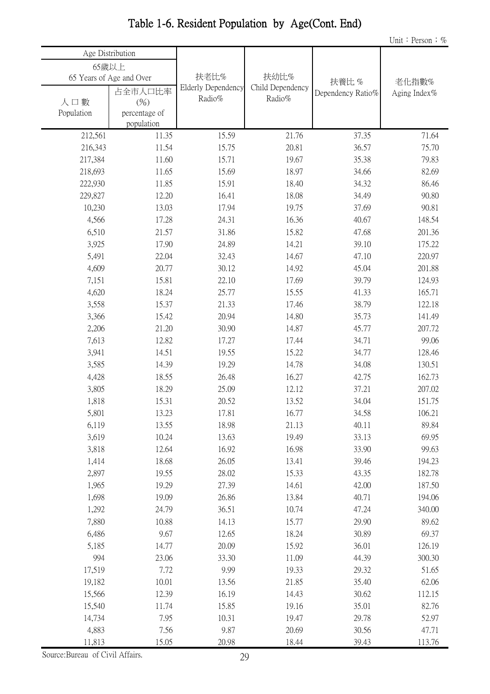| Age Distribution |                          |                    |                  |                   |              |
|------------------|--------------------------|--------------------|------------------|-------------------|--------------|
| 65歲以上            |                          |                    |                  |                   |              |
|                  | 65 Years of Age and Over | 扶老比%               | 扶幼比%             | 扶養比%              | 老化指數%        |
|                  | 占全市人口比率                  | Elderly Dependency | Child Dependency | Dependency Ratio% | Aging Index% |
| 人口數              | (%)                      | Radio%             | Radio%           |                   |              |
| Population       | percentage of            |                    |                  |                   |              |
|                  | population               |                    |                  |                   |              |
| 212,561          | 11.35                    | 15.59              | 21.76            | 37.35             | 71.64        |
| 216,343          | 11.54                    | 15.75              | 20.81            | 36.57             | 75.70        |
| 217,384          | 11.60                    | 15.71              | 19.67            | 35.38             | 79.83        |
| 218,693          | 11.65                    | 15.69              | 18.97            | 34.66             | 82.69        |
| 222,930          | 11.85                    | 15.91              | 18.40            | 34.32             | 86.46        |
| 229,827          | 12.20                    | 16.41              | 18.08            | 34.49             | 90.80        |
| 10,230           | 13.03                    | 17.94              | 19.75            | 37.69             | 90.81        |
| 4,566            | 17.28                    | 24.31              | 16.36            | 40.67             | 148.54       |
| 6,510            | 21.57                    | 31.86              | 15.82            | 47.68             | 201.36       |
| 3,925            | 17.90                    | 24.89              | 14.21            | 39.10             | 175.22       |
| 5,491            | 22.04                    | 32.43              | 14.67            | 47.10             | 220.97       |
| 4,609            | 20.77                    | 30.12              | 14.92            | 45.04             | 201.88       |
| 7,151            | 15.81                    | 22.10              | 17.69            | 39.79             | 124.93       |
| 4,620            | 18.24                    | 25.77              | 15.55            | 41.33             | 165.71       |
| 3,558            | 15.37                    | 21.33              | 17.46            | 38.79             | 122.18       |
| 3,366            | 15.42                    | 20.94              | 14.80            | 35.73             | 141.49       |
| 2,206            | 21.20                    | 30.90              | 14.87            | 45.77             | 207.72       |
| 7,613            | 12.82                    | 17.27              | 17.44            | 34.71             | 99.06        |
| 3,941            | 14.51                    | 19.55              | 15.22            | 34.77             | 128.46       |
| 3,585            | 14.39                    | 19.29              | 14.78            | 34.08             | 130.51       |
| 4,428            | 18.55                    | 26.48              | 16.27            | 42.75             | 162.73       |
| 3,805            | 18.29                    | 25.09              | 12.12            | 37.21             | 207.02       |
| 1,818            | 15.31                    | 20.52              | 13.52            | 34.04             | 151.75       |
| 5,801            | 13.23                    | 17.81              | 16.77            | 34.58             | 106.21       |
| 6,119            | 13.55                    | 18.98              | 21.13            | 40.11             | 89.84        |
| 3,619            | 10.24                    | 13.63              | 19.49            | 33.13             | 69.95        |
| 3,818            | 12.64                    | 16.92              | 16.98            | 33.90             | 99.63        |
| 1,414            | 18.68                    | 26.05              | 13.41            | 39.46             | 194.23       |
| 2,897            | 19.55                    | 28.02              | 15.33            | 43.35             | 182.78       |
| 1,965            | 19.29                    | 27.39              | 14.61            | 42.00             | 187.50       |
| 1,698            | 19.09                    | 26.86              | 13.84            | 40.71             | 194.06       |
| 1,292            | 24.79                    | 36.51              | 10.74            | 47.24             | 340.00       |
| 7,880            | 10.88                    | 14.13              | 15.77            | 29.90             | 89.62        |
| 6,486            | 9.67                     | 12.65              | 18.24            | 30.89             | 69.37        |
| 5,185            | 14.77                    | 20.09              | 15.92            | 36.01             | 126.19       |
| 994              | 23.06                    | 33.30              | 11.09            | 44.39             | 300.30       |
| 17,519           | 7.72                     | 9.99               | 19.33            | 29.32             | 51.65        |
| 19,182           | 10.01                    | 13.56              | 21.85            | 35.40             | 62.06        |
| 15,566           | 12.39                    | 16.19              | 14.43            | 30.62             | 112.15       |
| 15,540           | 11.74                    | 15.85              | 19.16            | 35.01             | 82.76        |
| 14,734           | 7.95                     | 10.31              | 19.47            | 29.78             | 52.97        |
| 4,883            | 7.56                     | 9.87               | 20.69            | 30.56             | 47.71        |
| 11,813           | 15.05                    | 20.98              | 18.44            | 39.43             | 113.76       |

# Table 1-6. Resident Population by Age(Cont. End)

Source:Bureau of Civil Affairs.

Un<u>it: Person</u>; %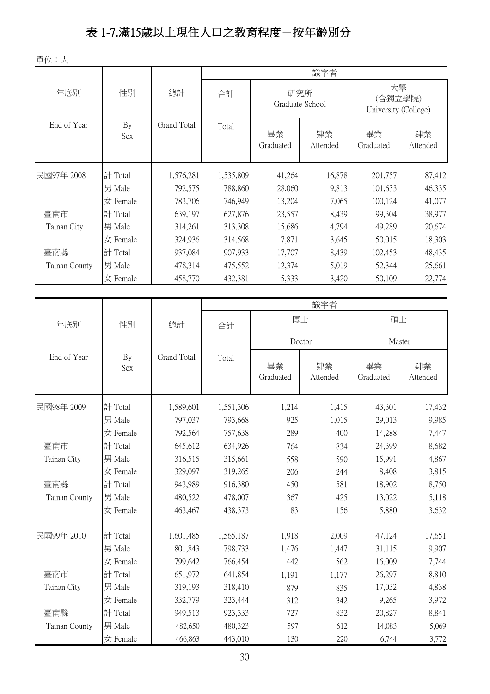# 表 1-7.滿15歲以上現住人口之教育程度-按年齡別分

單位:人

| 干山・ハ          |           |             |           |                        |                |                                       |                |  |  |
|---------------|-----------|-------------|-----------|------------------------|----------------|---------------------------------------|----------------|--|--|
|               |           |             | 識字者       |                        |                |                                       |                |  |  |
| 年底別           | 性別        | 總計          | 合計        | 研究所<br>Graduate School |                | 大學<br>(含獨立學院)<br>University (College) |                |  |  |
| End of Year   | By<br>Sex | Grand Total | Total     | 畢業<br>Graduated        | 肄業<br>Attended | 畢業<br>Graduated                       | 肄業<br>Attended |  |  |
| 民國97年 2008    | 計 Total   | 1,576,281   | 1,535,809 | 41,264                 | 16,878         | 201,757                               | 87,412         |  |  |
|               | 男 Male    | 792,575     | 788,860   | 28,060                 | 9,813          | 101,633                               | 46,335         |  |  |
|               | 女 Female  | 783,706     | 746,949   | 13,204                 | 7,065          | 100,124                               | 41,077         |  |  |
| 臺南市           | 計 Total   | 639,197     | 627,876   | 23,557                 | 8,439          | 99,304                                | 38,977         |  |  |
| Tainan City   | 男 Male    | 314,261     | 313,308   | 15,686                 | 4,794          | 49,289                                | 20,674         |  |  |
|               | 女 Female  | 324,936     | 314,568   | 7,871                  | 3,645          | 50,015                                | 18,303         |  |  |
| 臺南縣           | 計 Total   | 937,084     | 907,933   | 17,707                 | 8,439          | 102,453                               | 48,435         |  |  |
| Tainan County | 男 Male    | 478,314     | 475,552   | 12,374                 | 5,019          | 52,344                                | 25,661         |  |  |
|               | 女 Female  | 458,770     | 432,381   | 5,333                  | 3,420          | 50,109                                | 22,774         |  |  |
|               |           |             |           |                        |                |                                       |                |  |  |
|               |           |             |           |                        | 識字者            |                                       |                |  |  |
| 年底別           | 性別        | 總計          | 合計        | 博士                     |                | 碩士                                    |                |  |  |
|               |           |             |           | Doctor                 |                | Master                                |                |  |  |
| End of Year   | By<br>Sex | Grand Total | Total     | 畢業<br>Graduated        | 肄業<br>Attended | 畢業<br>Graduated                       | 肄業<br>Attended |  |  |
| 民國98年 2009    | 計 Total   | 1,589,601   | 1,551,306 | 1,214                  | 1,415          | 43,301                                | 17,432         |  |  |
|               | 男 Male    | 797,037     | 793,668   | 925                    | 1,015          | 29,013                                | 9,985          |  |  |
|               | 女 Female  | 792,564     | 757,638   | 289                    | 400            | 14,288                                | 7,447          |  |  |
| 臺南市           | 計 Total   | 645,612     | 634,926   | 764                    | 834            | 24,399                                | 8,682          |  |  |
| Tainan City   | 男 Male    | 316,515     | 315,661   | 558                    | 590            | 15,991                                | 4,867          |  |  |
|               | 女 Female  | 329,097     | 319,265   | 206                    | 244            | 8,408                                 | 3,815          |  |  |
| 臺南縣           | 計 Total   | 943,989     | 916,380   | 450                    | 581            | 18,902                                | 8,750          |  |  |
| Tainan County | 男 Male    | 480,522     | 478,007   | 367                    | 425            | 13,022                                | 5,118          |  |  |
|               | 女 Female  | 463,467     | 438,373   | 83                     | 156            | 5,880                                 | 3,632          |  |  |
| 民國99年 2010    | 計 Total   | 1,601,485   | 1,565,187 | 1,918                  | 2,009          | 47,124                                | 17,651         |  |  |
|               | 男 Male    | 801,843     | 798,733   | 1,476                  | 1,447          | 31,115                                | 9,907          |  |  |
|               | 女 Female  | 799,642     | 766,454   | 442                    | 562            | 16,009                                | 7,744          |  |  |
| 臺南市           | 計 Total   | 651,972     | 641,854   | 1,191                  | 1,177          | 26,297                                | 8,810          |  |  |
| Tainan City   | 男 Male    | 319,193     | 318,410   | 879                    | 835            | 17,032                                | 4,838          |  |  |
|               | 女 Female  | 332,779     | 323,444   | 312                    | 342            | 9,265                                 | 3,972          |  |  |
| 臺南縣           | 計 Total   | 949,513     | 923,333   | 727                    | 832            | 20,827                                | 8,841          |  |  |
| Tainan County | 男 Male    | 482,650     | 480,323   | 597                    | 612            | 14,083                                | 5,069          |  |  |
|               | 女 Female  | 466,863     | 443,010   | 130                    | 220            | 6,744                                 | 3,772          |  |  |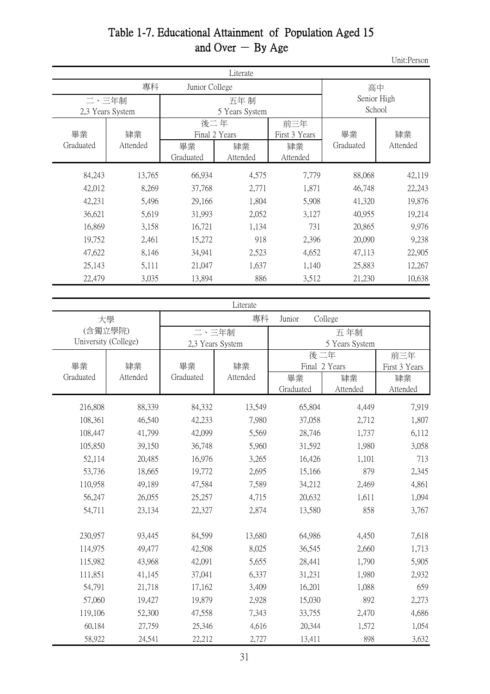# Table 1-7. Educational Attainment of Population Aged 15 and Over  $-$  By Age

Unit:Person

|                  |          |                | Literate |               |                       |          |  |
|------------------|----------|----------------|----------|---------------|-----------------------|----------|--|
|                  | 專科       | Junior College |          |               | 高中                    |          |  |
| 二、三年制            |          |                | 五年 制     |               | Senior High<br>School |          |  |
| 2,3 Years System |          | 5 Years System |          |               |                       |          |  |
|                  |          | 後二年            |          | 前三年           |                       |          |  |
| 畢業               | 肄業       | Final 2 Years  |          | First 3 Years | 畢業                    | 肄業       |  |
| Graduated        | Attended | 畢業             | 肄業       | 肄業            | Graduated             | Attended |  |
|                  |          | Graduated      | Attended | Attended      |                       |          |  |
| 84,243           | 13,765   | 66,934         | 4,575    | 7,779         | 88,068                | 42,119   |  |
| 42,012           | 8,269    | 37,768         | 2,771    | 1,871         | 46,748                | 22,243   |  |
| 42,231           | 5,496    | 29,166         | 1,804    | 5,908         | 41,320                | 19,876   |  |
| 36,621           | 5,619    | 31,993         | 2,052    | 3,127         | 40,955                | 19,214   |  |
| 16,869           | 3,158    | 16,721         | 1,134    | 731           | 20,865                | 9,976    |  |
| 19,752           | 2,461    | 15,272         | 918      | 2,396         | 20,090                | 9,238    |  |
| 47,622           | 8,146    | 34,941         | 2,523    | 4,652         | 47,113                | 22,905   |  |
| 25,143           | 5,111    | 21,047         | 1,637    | 1,140         | 25,883                | 12,267   |  |
| 22,479           | 3,035    | 13,894         | 886      | 3,512         | 21,230                | 10,638   |  |

|                      |          |           | Literate         |               |                |               |
|----------------------|----------|-----------|------------------|---------------|----------------|---------------|
| 大學                   |          |           | 專科               | Junior        | College        |               |
| (含獨立學院)              |          | 二、三年制     |                  |               | 五年制            |               |
| University (College) |          |           | 2,3 Years System |               | 5 Years System |               |
|                      |          |           |                  | 後二年           | 前三年            |               |
| 畢業                   | 肄業       | 畢業        | 肄業               | Final 2 Years |                | First 3 Years |
| Graduated            | Attended | Graduated | Attended         | 畢業            | 肄業             | 肄業            |
|                      |          |           |                  | Graduated     | Attended       | Attended      |
| 216,808              | 88,339   | 84,332    | 13,549           | 65,804        | 4,449          | 7,919         |
| 108,361              | 46,540   | 42,233    | 7,980            | 37,058        | 2,712          | 1,807         |
| 108,447              | 41,799   | 42,099    | 5,569            | 28,746        | 1,737          | 6,112         |
| 105,850              | 39,150   | 36,748    | 5,960            | 31,592        | 1,980          | 3,058         |
| 52,114               | 20,485   | 16,976    | 3,265            | 16,426        | 1,101          | 713           |
| 53,736               | 18,665   | 19,772    | 2,695            | 15,166        | 879            | 2,345         |
| 110,958              | 49,189   | 47,584    | 7,589            | 34,212        | 2,469          | 4,861         |
| 56,247               | 26,055   | 25,257    | 4,715            | 20,632        | 1,611          | 1,094         |
| 54,711               | 23,134   | 22,327    | 2,874            | 13,580        | 858            | 3,767         |
|                      |          |           |                  |               |                |               |
| 230,957              | 93,445   | 84,599    | 13,680           | 64,986        | 4,450          | 7,618         |
| 114,975              | 49,477   | 42,508    | 8,025            | 36,545        | 2,660          | 1,713         |
| 115,982              | 43,968   | 42,091    | 5,655            | 28,441        | 1,790          | 5,905         |
| 111,851              | 41,145   | 37,041    | 6,337            | 31,231        | 1,980          | 2,932         |
| 54,791               | 21,718   | 17,162    | 3,409            | 16,201        | 1,088          | 659           |
| 57,060               | 19,427   | 19,879    | 2,928            | 15,030        | 892            | 2,273         |
| 119,106              | 52,300   | 47,558    | 7,343            | 33,755        | 2,470          | 4,686         |
| 60,184               | 27,759   | 25,346    | 4,616            | 20,344        | 1,572          | 1,054         |
| 58,922               | 24,541   | 22,212    | 2,727            | 13,411        | 898            | 3,632         |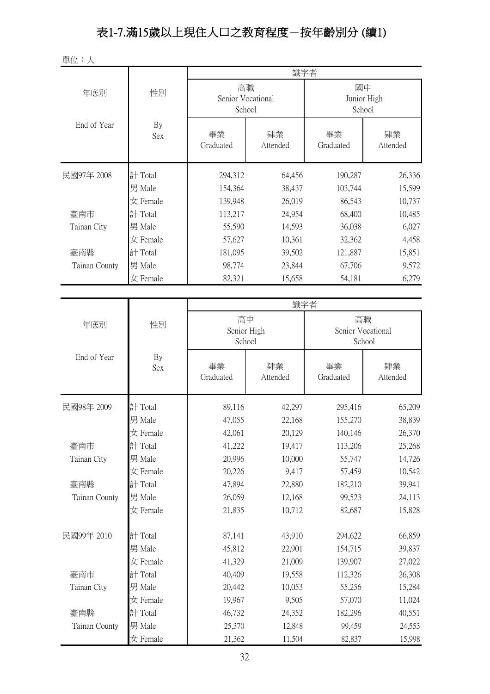# 表1-7.滿15歲以上現住人口之教育程度-按年齡別分 (續1)

單位:人

|               |           | 識字者                   |          |                   |          |  |  |  |
|---------------|-----------|-----------------------|----------|-------------------|----------|--|--|--|
| 年底別           | 性別        | 高職                    |          | 國中                |          |  |  |  |
|               |           | Senior Vocational     |          | Junior High       |          |  |  |  |
|               |           | School                |          | School            |          |  |  |  |
| End of Year   | By        | 畢業                    | 肄業       | 畢業                | 肄業       |  |  |  |
|               | Sex       | Graduated             | Attended | Graduated         | Attended |  |  |  |
|               |           |                       |          |                   |          |  |  |  |
| 民國97年 2008    | 計 Total   | 294,312               | 64,456   | 190,287           | 26,336   |  |  |  |
|               | 男 Male    | 154,364               | 38,437   | 103,744           | 15,599   |  |  |  |
|               | 女 Female  | 139,948               | 26,019   | 86,543            | 10,737   |  |  |  |
| 臺南市           | 計 Total   | 113,217               | 24,954   | 68,400            | 10,485   |  |  |  |
| Tainan City   | 男 Male    | 55,590                | 14,593   | 36,038            | 6,027    |  |  |  |
|               | 女 Female  | 57,627                | 10,361   | 32,362            | 4,458    |  |  |  |
| 臺南縣           | 計 Total   | 181,095               | 39,502   | 121,887           | 15,851   |  |  |  |
| Tainan County | 男 Male    | 98,774                | 23,844   | 67,706            | 9,572    |  |  |  |
|               | 女 Female  | 82,321                | 15,658   | 54,181            | 6,279    |  |  |  |
|               |           |                       |          |                   |          |  |  |  |
|               |           |                       | 識字者      |                   |          |  |  |  |
| 年底別           | 性別        | 高中                    |          | 高職                |          |  |  |  |
|               |           | Senior High<br>School |          | Senior Vocational |          |  |  |  |
|               |           |                       |          | School            |          |  |  |  |
| End of Year   | By<br>Sex | 畢業                    | 肄業       | 畢業                | 肄業       |  |  |  |
|               |           | Graduated             | Attended | Graduated         | Attended |  |  |  |
|               |           |                       |          |                   |          |  |  |  |
| 民國98年 2009    | 計 Total   | 89,116                | 42,297   | 295,416           | 65,209   |  |  |  |
|               | 男 Male    | 47,055                | 22,168   | 155,270           | 38,839   |  |  |  |
|               | 女 Female  | 42,061                | 20,129   | 140,146           | 26,370   |  |  |  |
| 臺南市           | 計 Total   | 41,222                | 19,417   | 113,206           | 25,268   |  |  |  |
| Tainan City   | 男 Male    | 20,996                | 10,000   | 55,747            | 14,726   |  |  |  |
|               | 女 Female  | 20,226                | 9,417    | 57,459            | 10,542   |  |  |  |
| 臺南縣           | 計 Total   | 47,894                | 22,880   | 182,210           | 39,941   |  |  |  |
| Tainan County | 男 Male    | 26,059                | 12,168   | 99,523            | 24,113   |  |  |  |
|               | 女 Female  | 21,835                | 10,712   | 82,687            | 15,828   |  |  |  |
| 民國99年 2010    | 計 Total   | 87,141                | 43,910   | 294,622           | 66,859   |  |  |  |
|               | 男 Male    | 45,812                | 22,901   | 154,715           | 39,837   |  |  |  |
|               | 女 Female  | 41,329                | 21,009   | 139,907           | 27,022   |  |  |  |
| 臺南市           | 計 Total   | 40,409                | 19,558   | 112,326           | 26,308   |  |  |  |
| Tainan City   | 男 Male    | 20,442                | 10,053   | 55,256            | 15,284   |  |  |  |
|               | 女 Female  | 19,967                | 9,505    | 57,070            | 11,024   |  |  |  |
| 臺南縣           | 計 Total   | 46,732                | 24,352   | 182,296           | 40,551   |  |  |  |
| Tainan County | 男 Male    | 25,370                | 12,848   | 99,459            | 24,553   |  |  |  |
|               | 女 Female  | 21,362                | 11,504   | 82,837            | 15,998   |  |  |  |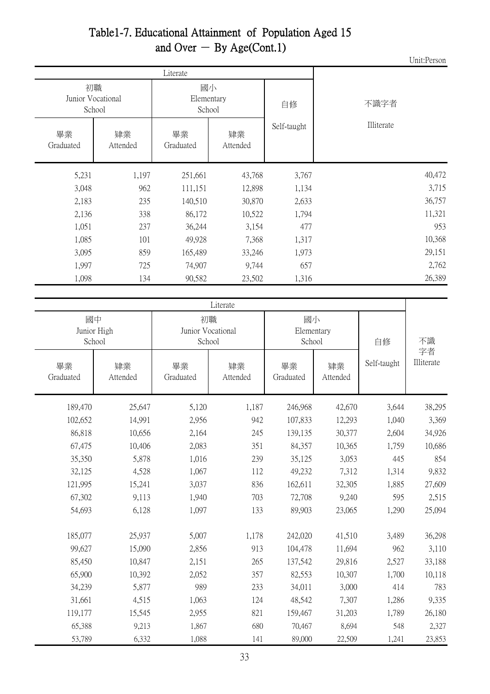#### Table1-7. Educational Attainment of Population Aged 15 and Over  $-$  By Age(Cont.1)

Unit:Person

|                 |                                   | Literate                   |                |             |            |  |  |
|-----------------|-----------------------------------|----------------------------|----------------|-------------|------------|--|--|
|                 | 初職<br>Junior Vocational<br>School | 國小<br>Elementary<br>School |                | 自修          | 不識字者       |  |  |
| 畢業<br>Graduated | 肄業<br>Attended                    | 畢業<br>Graduated            | 肄業<br>Attended | Self-taught | Illiterate |  |  |
| 5,231           | 1,197                             | 251,661                    | 43,768         | 3,767       | 40,472     |  |  |
| 3,048           | 962                               | 111,151                    | 12,898         | 1,134       | 3,715      |  |  |
| 2,183           | 235                               | 140,510                    | 30,870         | 2,633       | 36,757     |  |  |
| 2,136           | 338                               | 86,172                     | 10,522         | 1,794       | 11,321     |  |  |
| 1,051           | 237                               | 36,244                     | 3,154          | 477         | 953        |  |  |
| 1,085           | 101                               | 49,928                     | 7,368          | 1,317       | 10,368     |  |  |
| 3,095           | 859                               | 165,489                    | 33,246         | 1,973       | 29,151     |  |  |
| 1,997           | 725                               | 74,907                     | 9,744          | 657         | 2,762      |  |  |
| 1,098           | 134                               | 90,582                     | 23,502         | 1,316       | 26,389     |  |  |

|                             |                |                                   | Literate       |                            |                |             |                  |  |
|-----------------------------|----------------|-----------------------------------|----------------|----------------------------|----------------|-------------|------------------|--|
| 國中<br>Junior High<br>School |                | 初職<br>Junior Vocational<br>School |                | 國小<br>Elementary<br>School |                | 自修          | 不識               |  |
| 畢業<br>Graduated             | 肄業<br>Attended | 畢業<br>Graduated                   | 肄業<br>Attended | 畢業<br>Graduated            | 肄業<br>Attended | Self-taught | 字者<br>Illiterate |  |
| 189,470                     | 25,647         | 5,120                             | 1,187          | 246,968                    | 42,670         | 3,644       | 38,295           |  |
| 102,652                     | 14,991         | 2,956                             | 942            | 107,833                    | 12,293         | 1,040       | 3,369            |  |
| 86,818                      | 10,656         | 2,164                             | 245            | 139,135                    | 30,377         | 2,604       | 34,926           |  |
| 67,475                      | 10,406         | 2,083                             | 351            | 84,357                     | 10,365         | 1,759       | 10,686           |  |
| 35,350                      | 5,878          | 1,016                             | 239            | 35,125                     | 3,053          | 445         | 854              |  |
| 32,125                      | 4,528          | 1,067                             | 112            | 49,232                     | 7,312          | 1,314       | 9,832            |  |
| 121,995                     | 15,241         | 3,037                             | 836            | 162,611                    | 32,305         | 1,885       | 27,609           |  |
| 67,302                      | 9,113          | 1,940                             | 703            | 72,708                     | 9,240          | 595         | 2,515            |  |
| 54,693                      | 6,128          | 1,097                             | 133            | 89,903                     | 23,065         | 1,290       | 25,094           |  |
| 185,077                     | 25,937         | 5,007                             | 1,178          | 242,020                    | 41,510         | 3,489       | 36,298           |  |
| 99,627                      | 15,090         | 2,856                             | 913            | 104,478                    | 11,694         | 962         | 3,110            |  |
| 85,450                      | 10,847         | 2,151                             | 265            | 137,542                    | 29,816         | 2,527       | 33,188           |  |
| 65,900                      | 10,392         | 2,052                             | 357            | 82,553                     | 10,307         | 1,700       | 10,118           |  |
| 34,239                      | 5,877          | 989                               | 233            | 34,011                     | 3,000          | 414         | 783              |  |
| 31,661                      | 4,515          | 1,063                             | 124            | 48,542                     | 7,307          | 1,286       | 9,335            |  |
| 119,177                     | 15,545         | 2,955                             | 821            | 159,467                    | 31,203         | 1,789       | 26,180           |  |
| 65,388                      | 9,213          | 1,867                             | 680            | 70,467                     | 8,694          | 548         | 2,327            |  |
| 53,789                      | 6,332          | 1,088                             | 141            | 89,000                     | 22,509         | 1,241       | 23,853           |  |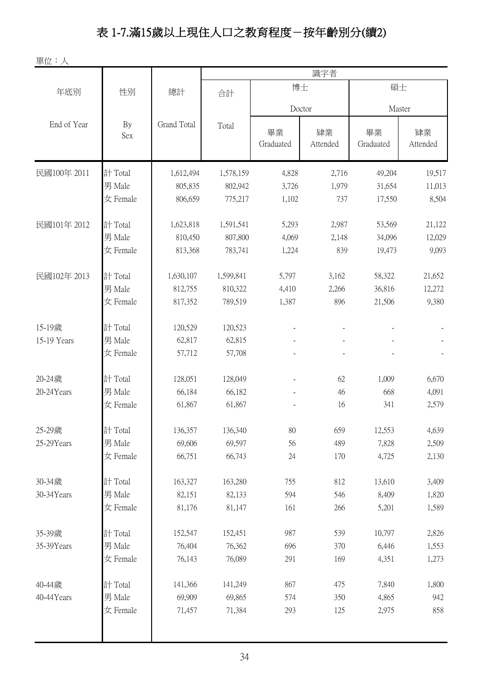# 表 1-7.滿15歲以上現住人口之教育程度-按年齡別分(續2)

單位:人

|           |                  | 識字者       |                 |                |                 |                |  |
|-----------|------------------|-----------|-----------------|----------------|-----------------|----------------|--|
| 性別        | 總計               | 合計        |                 |                | 碩士              |                |  |
|           | Doctor<br>Master |           |                 |                |                 |                |  |
| By<br>Sex | Grand Total      | Total     | 畢業<br>Graduated | 肄業<br>Attended | 畢業<br>Graduated | 肄業<br>Attended |  |
| 計 Total   | 1,612,494        | 1,578,159 | 4,828           | 2,716          | 49,204          | 19,517         |  |
| 男 Male    | 805,835          | 802,942   | 3,726           | 1,979          | 31,654          | 11,013         |  |
| 女 Female  | 806,659          | 775,217   | 1,102           | 737            | 17,550          | 8,504          |  |
| 計 Total   | 1,623,818        | 1,591,541 | 5,293           | 2,987          | 53,569          | 21,122         |  |
| 男 Male    | 810,450          | 807,800   | 4,069           | 2,148          | 34,096          | 12,029         |  |
| 女 Female  | 813,368          | 783,741   | 1,224           | 839            | 19,473          | 9,093          |  |
| 計 Total   | 1,630,107        | 1,599,841 | 5,797           | 3,162          | 58,322          | 21,652         |  |
| 男 Male    | 812,755          | 810,322   | 4,410           | 2,266          | 36,816          | 12,272         |  |
| 女 Female  | 817,352          | 789,519   | 1,387           | 896            | 21,506          | 9,380          |  |
| 計 Total   | 120,529          | 120,523   |                 |                |                 |                |  |
| 男 Male    | 62,817           | 62,815    |                 |                |                 |                |  |
| 女 Female  | 57,712           | 57,708    |                 |                |                 |                |  |
| 計 Total   | 128,051          | 128,049   |                 | 62             | 1,009           | 6,670          |  |
| 男 Male    | 66,184           | 66,182    |                 | 46             | 668             | 4,091          |  |
| 女 Female  | 61,867           | 61,867    |                 | 16             | 341             | 2,579          |  |
| 計 Total   | 136,357          | 136,340   | 80              | 659            | 12,553          | 4,639          |  |
| 男 Male    | 69,606           | 69,597    | 56              | 489            | 7,828           | 2,509          |  |
| 女 Female  | 66,751           | 66,743    | 24              | 170            | 4,725           | 2,130          |  |
| 計 Total   | 163,327          | 163,280   | 755             | 812            | 13,610          | 3,409          |  |
| 男 Male    | 82,151           | 82,133    | 594             | 546            | 8,409           | 1,820          |  |
| 女 Female  | 81,176           | 81,147    | 161             | 266            | 5,201           | 1,589          |  |
| 計 Total   | 152,547          | 152,451   | 987             | 539            | 10,797          | 2,826          |  |
| 男 Male    | 76,404           | 76,362    | 696             | 370            | 6,446           | 1,553          |  |
| 女 Female  | 76,143           | 76,089    | 291             | 169            | 4,351           | 1,273          |  |
| 計 Total   | 141,366          | 141,249   | 867             | 475            | 7,840           | 1,800          |  |
| 男 Male    | 69,909           | 69,865    | 574             | 350            | 4,865           | 942            |  |
| 女 Female  | 71,457           | 71,384    | 293             | 125            | 2,975           | 858            |  |
|           |                  |           |                 |                | 博士              |                |  |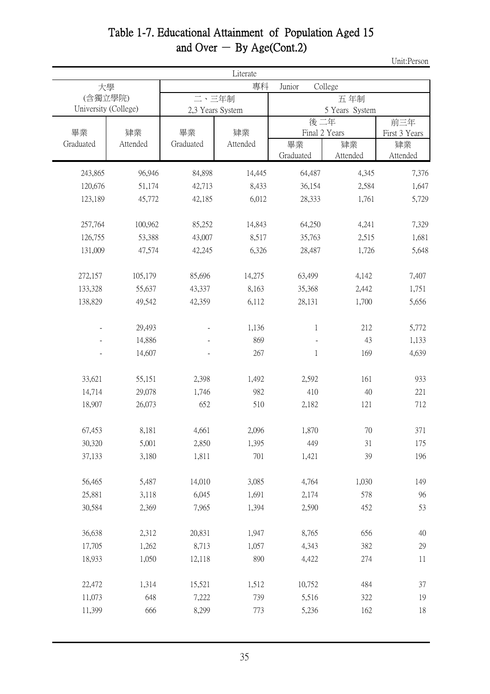#### Table 1-7. Educational Attainment of Population Aged 15 and Over  $-$  By Age(Cont.2)

Unit:Person

|           |                                 |           | Literate         |                      |                       |                      |
|-----------|---------------------------------|-----------|------------------|----------------------|-----------------------|----------------------|
|           | 大學                              |           | 專科               | Junior               | College               |                      |
|           | (含獨立學院)<br>University (College) | 二、三年制     | 2,3 Years System |                      | 五年制<br>5 Years System |                      |
| 畢業        | 肄業                              | 畢業        | 肄業               | 後二年<br>Final 2 Years |                       | 前三年<br>First 3 Years |
| Graduated | Attended                        | Graduated | Attended         | 畢業<br>Graduated      | 肄業<br>Attended        | 肄業<br>Attended       |
| 243,865   | 96,946                          | 84,898    | 14,445           | 64,487               | 4,345                 | 7,376                |
| 120,676   | 51,174                          | 42,713    | 8,433            | 36,154               | 2,584                 | 1,647                |
| 123,189   | 45,772                          | 42,185    | 6,012            | 28,333               | 1,761                 | 5,729                |
| 257,764   | 100,962                         | 85,252    | 14,843           | 64,250               | 4,241                 | 7,329                |
| 126,755   | 53,388                          | 43,007    | 8,517            | 35,763               | 2,515                 | 1,681                |
| 131,009   | 47,574                          | 42,245    | 6,326            | 28,487               | 1,726                 | 5,648                |
| 272,157   | 105,179                         | 85,696    | 14,275           | 63,499               | 4,142                 | 7,407                |
| 133,328   | 55,637                          | 43,337    | 8,163            | 35,368               | 2,442                 | 1,751                |
| 138,829   | 49,542                          | 42,359    | 6,112            | 28,131               | 1,700                 | 5,656                |
|           | 29,493                          |           | 1,136            | 1                    | 212                   | 5,772                |
|           | 14,886                          |           | 869              |                      | 43                    | 1,133                |
|           | 14,607                          |           | 267              | $\mathbf 1$          | 169                   | 4,639                |
| 33,621    | 55,151                          | 2,398     | 1,492            | 2,592                | 161                   | 933                  |
| 14,714    | 29,078                          | 1,746     | 982              | 410                  | 40                    | 221                  |
| 18,907    | 26,073                          | 652       | 510              | 2,182                | 121                   | 712                  |
| 67,453    | 8,181                           | 4,661     | 2,096            | 1,870                | 70                    | 371                  |
| 30,320    | 5,001                           | 2,850     | 1,395            | 449                  | 31                    | 175                  |
| 37,133    | 3,180                           | 1,811     | 701              | 1,421                | 39                    | 196                  |
| 56,465    | 5,487                           | 14,010    | 3,085            | 4,764                | 1,030                 | 149                  |
| 25,881    | 3,118                           | 6,045     | 1,691            | 2,174                | 578                   | 96                   |
| 30,584    | 2,369                           | 7,965     | 1,394            | 2,590                | 452                   | 53                   |
| 36,638    | 2,312                           | 20,831    | 1,947            | 8,765                | 656                   | $40\,$               |
| 17,705    | 1,262                           | 8,713     | 1,057            | 4,343                | 382                   | 29                   |
| 18,933    | 1,050                           | 12,118    | 890              | 4,422                | 274                   | 11                   |
| 22,472    | 1,314                           | 15,521    | 1,512            | 10,752               | 484                   | 37                   |
| 11,073    | 648                             | 7,222     | 739              | 5,516                | 322                   | 19                   |
| 11,399    | 666                             | 8,299     | 773              | 5,236                | 162                   | 18                   |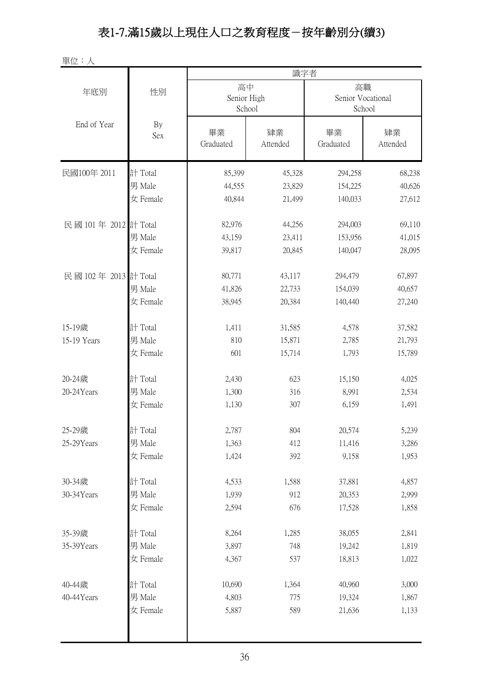# 表1-7.滿15歲以上現住人口之教育程度-按年齡別分(續3)

單位:人

|                      |           |                             | 識字者            |                                   |                |  |
|----------------------|-----------|-----------------------------|----------------|-----------------------------------|----------------|--|
| 年底別                  | 性別        | 高中<br>Senior High<br>School |                | 高職<br>Senior Vocational<br>School |                |  |
| End of Year          | By<br>Sex | 畢業<br>Graduated             | 肄業<br>Attended | 畢業<br>Graduated                   | 肄業<br>Attended |  |
| 民國100年 2011          | 計 Total   | 85,399                      | 45,328         | 294,258                           | 68,238         |  |
|                      | 男 Male    | 44,555                      | 23,829         | 154,225                           | 40,626         |  |
|                      | 女 Female  | 40,844                      | 21,499         | 140,033                           | 27,612         |  |
| 民國 101年 2012 計 Total |           | 82,976                      | 44,256         | 294,003                           | 69,110         |  |
|                      | 男 Male    | 43,159                      | 23,411         | 153,956                           | 41,015         |  |
|                      | 女 Female  | 39,817                      | 20,845         | 140,047                           | 28,095         |  |
| 民國 102年 2013 計 Total |           | 80,771                      | 43,117         | 294,479                           | 67,897         |  |
|                      | 男 Male    | 41,826                      | 22,733         | 154,039                           | 40,657         |  |
|                      | 女 Female  | 38,945                      | 20,384         | 140,440                           | 27,240         |  |
| 15-19歲               | 計 Total   | 1,411                       | 31,585         | 4,578                             | 37,582         |  |
| 15-19 Years          | 男 Male    | 810                         | 15,871         | 2,785                             | 21,793         |  |
|                      | 女 Female  | 601                         | 15,714         | 1,793                             | 15,789         |  |
| 20-24歲               | 計 Total   | 2,430                       | 623            | 15,150                            | 4,025          |  |
| 20-24Years           | 男 Male    | 1,300                       | 316            | 8,991                             | 2,534          |  |
|                      | 女 Female  | 1,130                       | 307            | 6,159                             | 1,491          |  |
| 25-29歲               | 計 Total   | 2,787                       | 804            | 20,574                            | 5,239          |  |
| 25-29Years           | 男 Male    | 1,363                       | 412            | 11,416                            | 3,286          |  |
|                      | 女 Female  | 1,424                       | 392            | 9,158                             | 1,953          |  |
| 30-34歲               | 計 Total   | 4,533                       | 1,588          | 37,881                            | 4,857          |  |
| 30-34Years           | 男 Male    | 1,939                       | 912            | 20,353                            | 2,999          |  |
|                      | 女 Female  | 2,594                       | 676            | 17,528                            | 1,858          |  |
| 35-39歲               | 計 Total   | 8,264                       | 1,285          | 38,055                            | 2,841          |  |
| 35-39Years           | 男 Male    | 3,897                       | 748            | 19,242                            | 1,819          |  |
|                      | 女 Female  | 4,367                       | 537            | 18,813                            | 1,022          |  |
| 40-44歲               | 計 Total   | 10,690                      | 1,364          | 40,960                            | 3,000          |  |
| 40-44Years           | 男 Male    | 4,803                       | 775            | 19,324                            | 1,867          |  |
|                      | 女 Female  | 5,887                       | 589            | 21,636                            | 1,133          |  |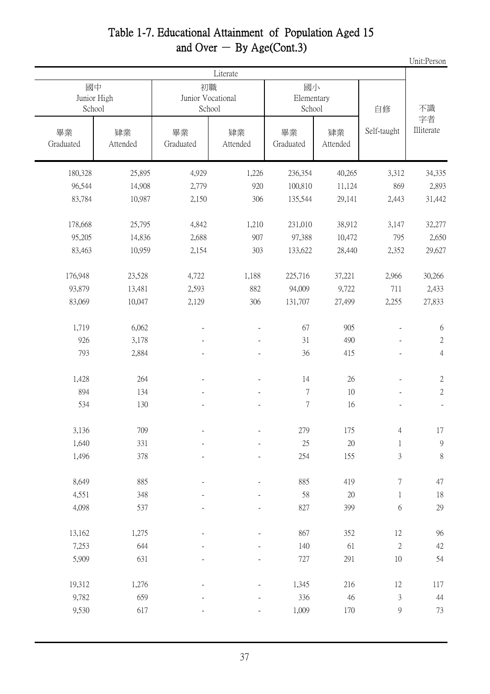### Table 1-7. Educational Attainment of Population Aged 15 and Over  $-$  By Age(Cont.3)

Unit:Person

|                 |                   |                         | Literate       |                            |                |                          |                  |
|-----------------|-------------------|-------------------------|----------------|----------------------------|----------------|--------------------------|------------------|
| School          | 國中<br>Junior High | 初職<br>Junior Vocational | School         | 國小<br>Elementary<br>School |                | 自修                       | 不識               |
| 畢業<br>Graduated | 肄業<br>Attended    | 畢業<br>Graduated         | 肄業<br>Attended | 畢業<br>Graduated            | 肄業<br>Attended | Self-taught              | 字者<br>Illiterate |
| 180,328         | 25,895            | 4,929                   | 1,226          | 236,354                    | 40,265         | 3,312                    | 34,335           |
| 96,544          | 14,908            | 2,779                   | 920            | 100,810                    | 11,124         | 869                      | 2,893            |
| 83,784          | 10,987            | 2,150                   | 306            | 135,544                    | 29,141         | 2,443                    | 31,442           |
| 178,668         | 25,795            | 4,842                   | 1,210          | 231,010                    | 38,912         | 3,147                    | 32,277           |
| 95,205          | 14,836            | 2,688                   | 907            | 97,388                     | 10,472         | 795                      | 2,650            |
| 83,463          | 10,959            | 2,154                   | 303            | 133,622                    | 28,440         | 2,352                    | 29,627           |
| 176,948         | 23,528            | 4,722                   | 1,188          | 225,716                    | 37,221         | 2,966                    | 30,266           |
| 93,879          | 13,481            | 2,593                   | 882            | 94,009                     | 9,722          | 711                      | 2,433            |
| 83,069          | 10,047            | 2,129                   | 306            | 131,707                    | 27,499         | 2,255                    | 27,833           |
| 1,719           | 6,062             |                         |                | 67                         | 905            |                          | 6                |
| 926             | 3,178             |                         |                | 31                         | 490            |                          | $\sqrt{2}$       |
| 793             | 2,884             |                         |                | 36                         | 415            |                          | $\overline{4}$   |
| 1,428           | 264               |                         |                | 14                         | $26\,$         | $\overline{\phantom{a}}$ | $\sqrt{2}$       |
| 894             | 134               |                         |                | $\tau$                     | 10             |                          | $\mathbf{2}$     |
| 534             | 130               |                         |                | $\boldsymbol{7}$           | 16             |                          |                  |
| 3,136           | 709               |                         |                | 279                        | 175            | $\overline{4}$           | 17               |
| 1,640           | 331               |                         |                | $25\,$                     | 20             | $\mathbf 1$              | $\mathbf 9$      |
| 1,496           | 378               |                         |                | 254                        | 155            | 3                        | $\,8\,$          |
| 8,649           | 885               |                         |                | 885                        | 419            | 7                        | 47               |
| 4,551           | 348               |                         |                | 58                         | $20\,$         | $\mathbf{1}$             | $18\,$           |
| 4,098           | 537               |                         |                | 827                        | 399            | $\sqrt{6}$               | 29               |
| 13,162          | 1,275             |                         |                | 867                        | 352            | $12\,$                   | 96               |
| 7,253           | 644               |                         |                | 140                        | 61             | $\mathbf{2}$             | 42               |
| 5,909           | 631               |                         |                | 727                        | 291            | $10\,$                   | 54               |
| 19,312          | 1,276             |                         |                | 1,345                      | 216            | 12                       | 117              |
| 9,782           | 659               |                         |                | 336                        | 46             | $\mathfrak{Z}$           | 44               |
| 9,530           | 617               |                         |                | 1,009                      | 170            | $\boldsymbol{9}$         | 73               |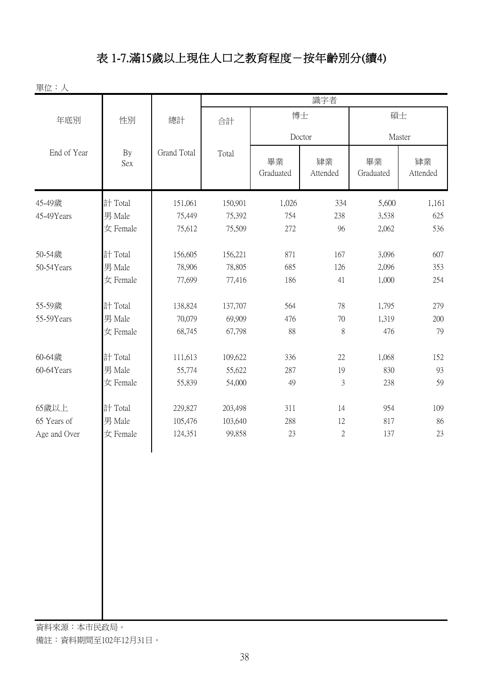# 表 1-7.滿15歲以上現住人口之教育程度-按年齡別分(續4)

單位:人

|              |          |                      | 識字者     |                 |                |                 |                |
|--------------|----------|----------------------|---------|-----------------|----------------|-----------------|----------------|
| 年底別          | 性別       | 博士<br>碩士<br>總計<br>合計 |         |                 |                |                 |                |
| End of Year  | By       | Grand Total          | Total   | Doctor          |                |                 | Master         |
|              | Sex      |                      |         | 畢業<br>Graduated | 肄業<br>Attended | 畢業<br>Graduated | 肄業<br>Attended |
| 45-49歲       | 計 Total  | 151,061              | 150,901 | 1,026           | 334            | 5,600           | 1,161          |
| 45-49Years   | 男 Male   | 75,449               | 75,392  | 754             | 238            | 3,538           | 625            |
|              | 女 Female | 75,612               | 75,509  | 272             | 96             | 2,062           | 536            |
| 50-54歲       | 計 Total  | 156,605              | 156,221 | 871             | 167            | 3,096           | 607            |
| 50-54Years   | 男 Male   | 78,906               | 78,805  | 685             | 126            | 2,096           | 353            |
|              | 女 Female | 77,699               | 77,416  | 186             | 41             | 1,000           | 254            |
| 55-59歲       | 計 Total  | 138,824              | 137,707 | 564             | 78             | 1,795           | 279            |
| 55-59Years   | 男 Male   | 70,079               | 69,909  | 476             | $70\,$         | 1,319           | 200            |
|              | 女 Female | 68,745               | 67,798  | 88              | 8              | 476             | 79             |
| 60-64歲       | 計 Total  | 111,613              | 109,622 | 336             | 22             | 1,068           | 152            |
| 60-64Years   | 男 Male   | 55,774               | 55,622  | 287             | 19             | 830             | 93             |
|              | 女 Female | 55,839               | 54,000  | 49              | $\mathfrak{Z}$ | 238             | 59             |
| 65歲以上        | 計 Total  | 229,827              | 203,498 | 311             | 14             | 954             | 109            |
| 65 Years of  | 男 Male   | 105,476              | 103,640 | 288             | 12             | 817             | 86             |
| Age and Over | 女 Female | 124,351              | 99,858  | 23              | $\sqrt{2}$     | 137             | 23             |
|              |          |                      |         |                 |                |                 |                |
|              |          |                      |         |                 |                |                 |                |
|              |          |                      |         |                 |                |                 |                |
|              |          |                      |         |                 |                |                 |                |
|              |          |                      |         |                 |                |                 |                |
|              |          |                      |         |                 |                |                 |                |
|              |          |                      |         |                 |                |                 |                |
|              |          |                      |         |                 |                |                 |                |
|              |          |                      |         |                 |                |                 |                |

資料來源:本市民政局。 備註:資料期間至102年12月31日。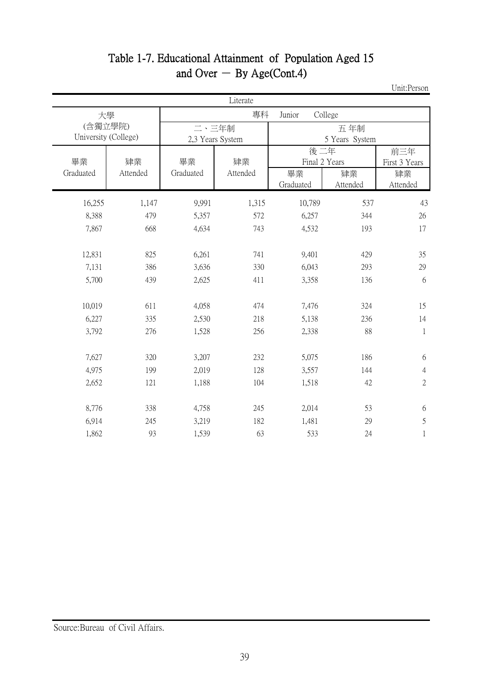|                                 |                |                 | Literate         |                        |                                 |                                        |  |
|---------------------------------|----------------|-----------------|------------------|------------------------|---------------------------------|----------------------------------------|--|
|                                 | 大學             |                 | 專科               | Junior                 | College                         |                                        |  |
| (含獨立學院)<br>University (College) |                | 二、三年制           | 2,3 Years System |                        | 五年制<br>5 Years System           |                                        |  |
| 畢業<br>Graduated                 | 肄業<br>Attended | 畢業<br>Graduated | 肄業<br>Attended   | 後二年<br>畢業<br>Graduated | Final 2 Years<br>肄業<br>Attended | 前三年<br>First 3 Years<br>肄業<br>Attended |  |
| 16,255                          | 1,147          | 9,991           | 1,315            | 10,789                 | 537                             | 43                                     |  |
| 8,388                           | 479            | 5,357           | 572              | 6,257                  | 344                             | 26                                     |  |
| 7,867                           | 668            | 4,634           | 743              | 4,532                  | 193                             | 17                                     |  |
|                                 |                |                 |                  |                        |                                 |                                        |  |
| 12,831                          | 825            | 6,261           | 741              | 9,401                  | 429                             | 35                                     |  |
| 7,131                           | 386            | 3,636           | 330              | 6,043                  | 293                             | 29                                     |  |
| 5,700                           | 439            | 2,625           | 411              | 3,358                  | 136                             | 6                                      |  |
| 10,019<br>6,227                 | 611<br>335     | 4,058<br>2,530  | 474<br>218       | 7,476<br>5,138         | 324<br>236                      | 15<br>14                               |  |
| 3,792                           | 276            | 1,528           | 256              | 2,338                  | 88                              | 1                                      |  |
|                                 |                |                 |                  |                        |                                 |                                        |  |
| 7,627                           | 320            | 3,207           | 232              | 5,075                  | 186                             | 6                                      |  |
| 4,975                           | 199            | 2,019           | 128              | 3,557                  | 144                             | $\overline{4}$                         |  |
| 2,652                           | 121            | 1,188           | 104              | 1,518                  | 42                              | $\overline{2}$                         |  |
|                                 |                |                 |                  |                        |                                 |                                        |  |
| 8,776                           | 338            | 4,758           | 245              | 2,014                  | 53                              | 6                                      |  |
| 6,914                           | 245            | 3,219           | 182              | 1,481                  | 29                              | 5                                      |  |
| 1,862                           | 93             | 1,539           | 63               | 533                    | 24                              | 1                                      |  |

#### Table 1-7. Educational Attainment of Population Aged 15 and Over  $-$  By Age(Cont.4)

Unit:Person

Source:Bureau of Civil Affairs.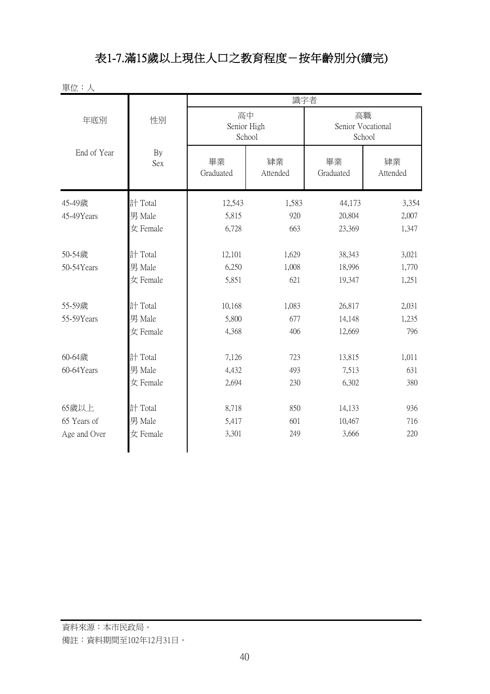# 表1-7.滿15歲以上現住人口之教育程度-按年齡別分(續完)

單位:人

|              |           | 識字者                         |                |                                   |                |  |
|--------------|-----------|-----------------------------|----------------|-----------------------------------|----------------|--|
| 年底別          | 性別        | 高中<br>Senior High<br>School |                | 高職<br>Senior Vocational<br>School |                |  |
| End of Year  | By<br>Sex | 畢業<br>Graduated             | 肄業<br>Attended | 畢業<br>Graduated                   | 肄業<br>Attended |  |
| 45-49歲       | 計 Total   | 12,543                      | 1,583          | 44,173                            | 3,354          |  |
| 45-49Years   | 男 Male    | 5,815                       | 920            | 20,804                            | 2,007          |  |
|              | 女 Female  | 6,728                       | 663            | 23,369                            | 1,347          |  |
| 50-54歲       | 計 Total   | 12,101                      | 1,629          | 38,343                            | 3,021          |  |
| 50-54Years   | 男 Male    | 6,250                       | 1,008          | 18,996                            | 1,770          |  |
|              | 女 Female  | 5,851                       | 621            | 19,347                            | 1,251          |  |
| 55-59歲       | 計 Total   | 10,168                      | 1,083          | 26,817                            | 2,031          |  |
| 55-59Years   | 男 Male    | 5,800                       | 677            | 14,148                            | 1,235          |  |
|              | 女 Female  | 4,368                       | 406            | 12,669                            | 796            |  |
| 60-64歲       | 計 Total   | 7,126                       | 723            | 13,815                            | 1,011          |  |
| 60-64Years   | 男 Male    | 4,432                       | 493            | 7,513                             | 631            |  |
|              | 女 Female  | 2,694                       | 230            | 6,302                             | 380            |  |
| 65歲以上        | 計 Total   | 8,718                       | 850            | 14,133                            | 936            |  |
| 65 Years of  | 男 Male    | 5,417                       | 601            | 10,467                            | 716            |  |
| Age and Over | 女 Female  | 3,301                       | 249            | 3,666                             | 220            |  |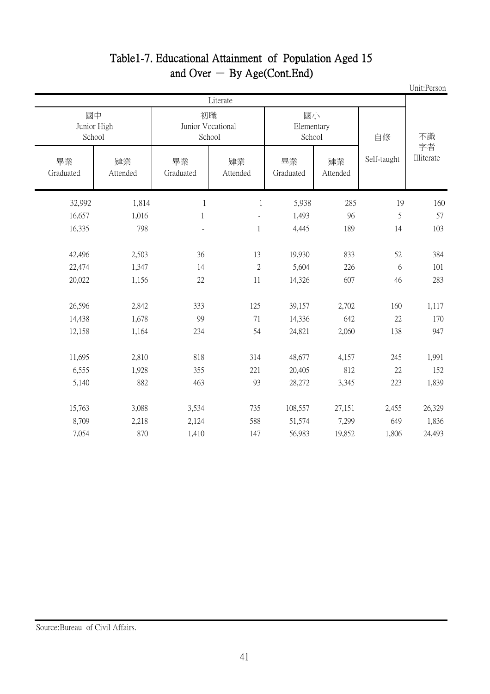| Unit:Person      |               |                |                            |                |                                   |                             |                 |
|------------------|---------------|----------------|----------------------------|----------------|-----------------------------------|-----------------------------|-----------------|
|                  |               |                |                            | Literate       |                                   |                             |                 |
| 不識               | 自修            |                | 國小<br>Elementary<br>School |                | 初職<br>Junior Vocational<br>School | 國中<br>Junior High<br>School |                 |
| 字者<br>Illiterate | Self-taught   | 肄業<br>Attended | 畢業<br>Graduated            | 肄業<br>Attended | 畢業<br>Graduated                   | 肄業<br>Attended              | 畢業<br>Graduated |
| 160              | 19            | 285            | 5,938                      | $\mathbf{1}$   | $\mathbf{1}$                      | 1,814                       | 32,992          |
| 57               | $\mathfrak s$ | 96             | 1,493                      |                | $\mathbf{1}$                      | 1,016                       | 16,657          |
| 103              | 14            | 189            | 4,445                      | 1              |                                   | 798                         | 16,335          |
|                  |               |                |                            |                |                                   |                             |                 |
| 384              | 52            | 833            | 19,930                     | 13             | 36                                | 2,503                       | 42,496          |
| 101              | 6             | 226            | 5,604                      | $\overline{2}$ | 14                                | 1,347                       | 22,474          |
| 283              | 46            | 607            | 14,326                     | 11             | 22                                | 1,156                       | 20,022          |
| 1,117            | 160           | 2,702          | 39,157                     | 125            | 333                               | 2,842                       | 26,596          |
| 170              | 22            | 642            | 14,336                     | 71             | 99                                | 1,678                       | 14,438          |
| 947              | 138           | 2,060          | 24,821                     | 54             | 234                               | 1,164                       | 12,158          |
|                  |               |                |                            |                |                                   |                             |                 |
| 1,991            | 245           | 4,157          | 48,677                     | 314            | 818                               | 2,810                       | 11,695          |
| 152              | 22            | 812            | 20,405                     | 221            | 355                               | 1,928                       | 6,555           |
| 1,839            | 223           | 3,345          | 28,272                     | 93             | 463                               | 882                         | 5,140           |
| 26,329           | 2,455         | 27,151         | 108,557                    | 735            | 3,534                             | 3,088                       | 15,763          |
| 1,836            | 649           | 7,299          | 51,574                     | 588            | 2,124                             | 2,218                       | 8,709           |
| 24,493           | 1,806         | 19,852         | 56,983                     | 147            | 1,410                             | 870                         | 7,054           |
|                  |               |                |                            |                |                                   |                             |                 |

#### Table1-7. Educational Attainment of Population Aged 15 and Over  $-$  By Age(Cont.End)

#### Source:Bureau of Civil Affairs.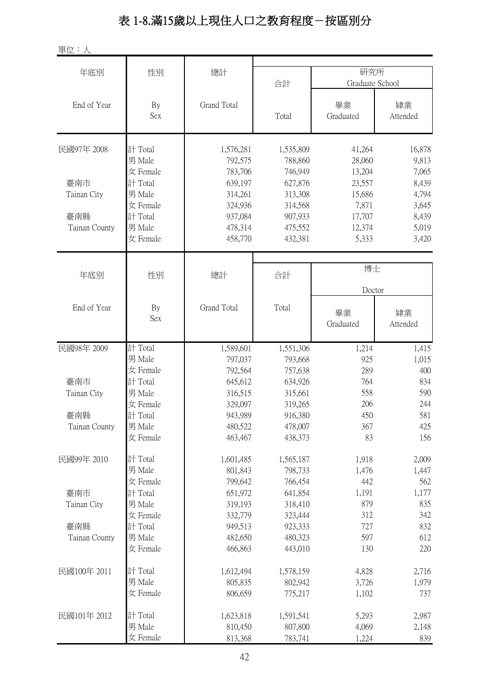# 表 1-8.滿15歲以上現住人口之教育程度-按區別分

單位:人

| 年底別           | 性別        | 總計                 | 合計        | 研究所<br>Graduate School |                |
|---------------|-----------|--------------------|-----------|------------------------|----------------|
| End of Year   | By<br>Sex | Grand Total        | Total     | 畢業<br>Graduated        | 肄業<br>Attended |
| 民國97年 2008    | 計 Total   | 1,576,281          | 1,535,809 | 41,264                 | 16,878         |
|               | 男 Male    | 792,575            | 788,860   | 28,060                 | 9,813          |
|               | 女 Female  | 783,706            | 746,949   | 13,204                 | 7,065          |
| 臺南市           | 計 Total   | 639,197            | 627,876   | 23,557                 | 8,439          |
| Tainan City   | 男 Male    | 314,261            | 313,308   | 15,686                 | 4,794          |
|               | 女 Female  | 324,936            | 314,568   | 7,871                  | 3,645          |
| 臺南縣           | 計 Total   | 937,084            | 907,933   | 17,707                 | 8,439          |
| Tainan County | 男 Male    | 478,314            | 475,552   | 12,374                 | 5,019          |
|               | 女 Female  | 458,770            | 432,381   | 5,333                  | 3,420          |
|               |           |                    |           | 博士                     |                |
| 年底別           | 性別        | 總計                 | 合計        |                        |                |
|               |           |                    |           | Doctor                 |                |
| End of Year   | By<br>Sex | <b>Grand Total</b> | Total     | 畢業<br>Graduated        | 肄業<br>Attended |
| 民國98年 2009    | 計 Total   | 1,589,601          | 1,551,306 | 1,214                  | 1,415          |
|               | 男 Male    | 797,037            | 793,668   | 925                    | 1,015          |
|               | 女 Female  | 792,564            | 757,638   | 289                    | 400            |
| 臺南市           | 計 Total   | 645,612            | 634,926   | 764                    | 834            |
| Tainan City   | 男 Male    | 316,515            | 315,661   | 558                    | 590            |
|               | 女 Female  | 329,097            | 319,265   | 206                    | 244            |
| 臺南縣           | 計 Total   | 943,989            | 916,380   | 450                    | 581            |
| Tainan County | 男 Male    | 480,522            | 478,007   | 367                    | 425            |
|               | 女 Female  | 463,467            | 438,373   | 83                     | 156            |
| 民國99年 2010    | 計 Total   | 1,601,485          | 1,565,187 | 1,918                  | 2,009          |
|               | 男 Male    | 801,843            | 798,733   | 1,476                  | 1,447          |
|               | 女 Female  | 799,642            | 766,454   | 442                    | 562            |
| 臺南市           | 計 Total   | 651,972            | 641,854   | 1,191                  | 1,177          |
| Tainan City   | 男 Male    | 319,193            | 318,410   | 879                    | 835            |
|               | 女 Female  | 332,779            | 323,444   | 312                    | 342            |
| 臺南縣           | 計 Total   | 949,513            | 923,333   | 727                    | 832            |
| Tainan County | 男 Male    | 482,650            | 480,323   | 597                    | 612            |
|               | 女 Female  | 466,863            | 443,010   | 130                    | 220            |
| 民國100年 2011   | 計 Total   | 1,612,494          | 1,578,159 | 4,828                  | 2,716          |
|               | 男 Male    | 805,835            | 802,942   | 3,726                  | 1,979          |
|               | 女 Female  | 806,659            | 775,217   | 1,102                  | 737            |
| 民國101年 2012   | 計 Total   | 1,623,818          | 1,591,541 | 5,293                  | 2,987          |
|               | 男 Male    | 810,450            | 807,800   | 4,069                  | 2,148          |
|               | 女 Female  | 813,368            | 783,741   | 1,224                  | 839            |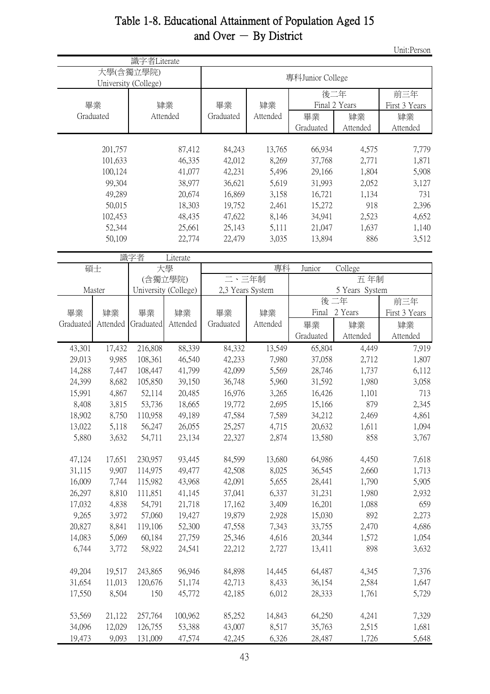| Table 1-8. Educational Attainment of Population Aged 15 |
|---------------------------------------------------------|
| and Over $-$ By District                                |

Unit:Person

|           |          | 識字者Literate                       |                      |                  |          |                  |                |                      |  |
|-----------|----------|-----------------------------------|----------------------|------------------|----------|------------------|----------------|----------------------|--|
|           |          | 大學(含獨立學院)<br>University (College) |                      |                  |          | 專科Junior College |                |                      |  |
| 畢業        |          |                                   | 肄業                   | 畢業               | 肄業       | 後二年              | Final 2 Years  | 前三年<br>First 3 Years |  |
| Graduated |          |                                   | Attended             | Graduated        | Attended | 畢業               | 肄業             | 肄業                   |  |
|           |          |                                   |                      |                  |          | Graduated        | Attended       | Attended             |  |
|           |          |                                   |                      |                  |          |                  |                |                      |  |
|           | 201,757  |                                   | 87,412               | 84,243           | 13,765   | 66,934           | 4,575          | 7,779                |  |
|           | 101,633  |                                   | 46,335               | 42,012           | 8,269    | 37,768           | 2,771          | 1,871                |  |
|           | 100,124  |                                   | 41,077               | 42,231           | 5,496    | 29,166           | 1,804          | 5,908                |  |
|           | 99,304   |                                   | 38,977               | 36,621           | 5,619    | 31,993           | 2,052          | 3,127                |  |
|           | 49,289   |                                   | 20,674               | 16,869           | 3,158    | 16,721           | 1,134          | 731                  |  |
|           | 50,015   |                                   | 18,303               | 19,752           | 2,461    | 15,272           | 918            | 2,396                |  |
|           | 102,453  |                                   | 48,435               | 47,622           | 8,146    | 34,941           | 2,523          | 4,652                |  |
|           | 52,344   |                                   | 25,661               | 25,143           | 5,111    | 21,047           | 1,637          | 1,140                |  |
|           | 50,109   |                                   | 22,774               | 22,479           | 3,035    | 13,894           | 886            | 3,512                |  |
|           |          | 識字者                               | Literate             |                  |          |                  |                |                      |  |
| 碩士        |          |                                   | 大學                   |                  | 專科       | Junior           | College        |                      |  |
|           |          |                                   | (含獨立學院)              | 二、三年制            |          |                  | 五年制            |                      |  |
|           | Master   |                                   | University (College) | 2,3 Years System |          |                  | 5 Years System |                      |  |
|           |          |                                   |                      |                  |          | 後二年              |                | 前三年                  |  |
| 畢業        | 肄業       | 畢業                                | 肄業                   | 畢業               | 肄業       |                  | Final 2 Years  | First 3 Years        |  |
| Graduated | Attended | Graduated                         | Attended             | Graduated        | Attended | 畢業               | 肄業             | 肄業                   |  |
|           |          |                                   |                      |                  |          | Graduated        | Attended       | Attended             |  |
| 43,301    | 17,432   | 216,808                           | 88,339               | 84,332           | 13,549   | 65,804           | 4,449          | 7,919                |  |
| 29,013    | 9,985    | 108,361                           | 46,540               | 42,233           | 7,980    | 37,058           | 2,712          | 1,807                |  |
| 14,288    | 7,447    | 108,447                           | 41,799               | 42,099           | 5,569    | 28,746           | 1,737          | 6,112                |  |
| 24,399    | 8,682    | 105,850                           | 39,150               | 36,748           | 5,960    | 31,592           | 1,980          | 3,058                |  |
| 15,991    | 4,867    | 52,114                            | 20,485               | 16,976           | 3,265    | 16,426           | 1,101          | 713                  |  |
| 8,408     | 3,815    | 53,736                            | 18,665               | 19,772           | 2,695    | 15,166           | 879            | 2,345                |  |
| 18,902    | 8,750    | 110,958                           | 49,189               | 47,584           | 7,589    | 34,212           | 2,469          | 4,861                |  |
| 13,022    | 5,118    | 56,247                            | 26,055               | 25,257           | 4,715    | 20,632           | 1,611          | 1,094                |  |
| 5,880     | 3,632    | 54,711                            | 23,134               | 22,327           | 2,874    | 13,580           | 858            | 3,767                |  |
| 47,124    | 17,651   | 230,957                           | 93,445               | 84,599           | 13,680   | 64,986           | 4,450          | 7,618                |  |
| 31,115    | 9,907    | 114,975                           | 49,477               | 42,508           | 8,025    | 36,545           | 2,660          | 1,713                |  |
| 16,009    | 7,744    | 115,982                           | 43,968               | 42,091           | 5,655    | 28,441           | 1,790          | 5,905                |  |
| 26,297    | 8,810    | 111,851                           | 41,145               | 37,041           | 6,337    | 31,231           | 1,980          | 2,932                |  |
| 17,032    | 4,838    | 54,791                            | 21,718               | 17,162           | 3,409    | 16,201           | 1,088          | 659                  |  |
| 9,265     | 3,972    | 57,060                            | 19,427               | 19,879           | 2,928    | 15,030           | 892            | 2,273                |  |
| 20,827    | 8,841    | 119,106                           | 52,300               | 47,558           | 7,343    | 33,755           | 2,470          | 4,686                |  |
| 14,083    | 5,069    | 60,184                            | 27,759               | 25,346           | 4,616    | 20,344           | 1,572          | 1,054                |  |
| 6,744     | 3,772    | 58,922                            | 24,541               | 22,212           | 2,727    | 13,411           | 898            | 3,632                |  |
|           |          |                                   |                      |                  |          |                  |                |                      |  |
| 49,204    | 19,517   | 243,865                           | 96,946               | 84,898           | 14,445   | 64,487           | 4,345          | 7,376                |  |
| 31,654    | 11,013   | 120,676                           | 51,174               | 42,713           | 8,433    | 36,154           | 2,584          | 1,647                |  |
| 17,550    | 8,504    | 150                               | 45,772               | 42,185           | 6,012    | 28,333           | 1,761          | 5,729                |  |
| 53,569    | 21,122   | 257,764                           | 100,962              | 85,252           | 14,843   | 64,250           | 4,241          | 7,329                |  |
| 34,096    | 12,029   | 126,755                           | 53,388               | 43,007           | 8,517    | 35,763           | 2,515          | 1,681                |  |
| 19,473    | 9,093    | 131,009                           | 47,574               | 42,245           | 6,326    | 28,487           | 1,726          | 5,648                |  |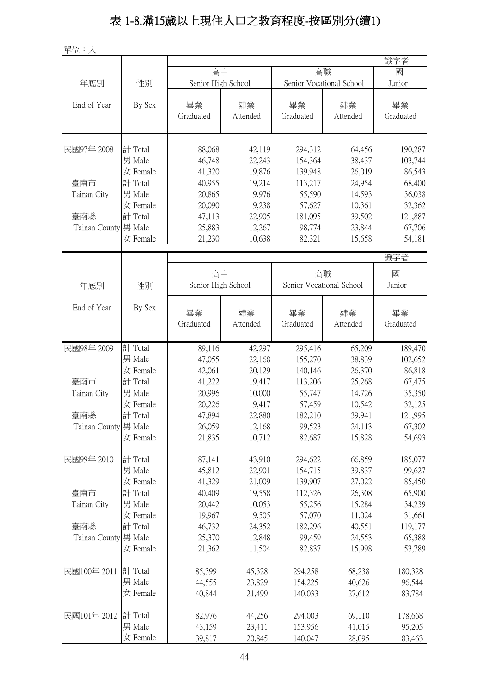# 表 1-8.滿15歲以上現住人口之教育程度-按區別分(續1)

單位:人

|                                                                 | 識字者       |
|-----------------------------------------------------------------|-----------|
| 高中<br>高職                                                        | 國         |
| Senior High School<br>Senior Vocational School<br>年底別<br>性別     | Junior    |
|                                                                 |           |
| End of Year<br>畢業<br>By Sex<br>畢業<br>肄業<br>肄業                   | 畢業        |
| Graduated<br>Attended<br>Graduated<br>Attended                  | Graduated |
|                                                                 |           |
|                                                                 |           |
| 88,068<br>民國97年 2008<br>計 Total<br>42,119<br>294,312<br>64,456  | 190,287   |
| 男 Male<br>46,748<br>22,243<br>154,364<br>38,437                 | 103,744   |
| 女 Female<br>41,320<br>19,876<br>139,948<br>26,019               | 86,543    |
| 臺南市<br>計 Total<br>40,955<br>113,217<br>24,954<br>19,214         | 68,400    |
| 男 Male<br>9,976<br>55,590<br>20,865<br>14,593<br>Tainan City    | 36,038    |
| 9,238<br>57,627<br>20,090<br>10,361<br>女 Female                 | 32,362    |
| 臺南縣<br>計 Total<br>47,113<br>22,905<br>181,095<br>39,502         | 121,887   |
| Tainan County 男 Male<br>25,883<br>12,267<br>98,774<br>23,844    | 67,706    |
| 21,230<br>10,638<br>女 Female<br>82,321<br>15,658                | 54,181    |
|                                                                 | 識字者       |
|                                                                 |           |
| 高中<br>高職                                                        | 國         |
| Senior High School<br>Senior Vocational School<br>性別<br>年底別     | Junior    |
|                                                                 |           |
| End of Year<br>By Sex<br>畢業<br>畢業<br>肄業<br>肄業                   | 畢業        |
| Graduated<br>Attended<br>Graduated<br>Attended                  | Graduated |
|                                                                 |           |
| 計 Total<br>民國98年 2009<br>89,116<br>42,297<br>65,209<br>295,416  | 189,470   |
| 男 Male<br>47,055<br>22,168<br>155,270<br>38,839                 | 102,652   |
| 女 Female<br>42,061<br>20,129<br>140,146<br>26,370               | 86,818    |
| 計 Total<br>25,268<br>臺南市<br>41,222<br>19,417<br>113,206         | 67,475    |
| 男 Male<br>Tainan City<br>20,996<br>10,000<br>55,747<br>14,726   | 35,350    |
| 9,417<br>57,459<br>女 Female<br>20,226<br>10,542                 | 32,125    |
| 臺南縣<br>計 Total<br>22,880<br>182,210<br>39,941<br>47,894         | 121,995   |
| Tainan County 男 Male<br>99,523<br>24,113<br>26,059<br>12,168    | 67,302    |
| 女 Female<br>21,835<br>10,712<br>82,687<br>15,828                | 54,693    |
|                                                                 |           |
| 民國99年 2010<br>計 Total<br>87,141<br>43,910<br>294,622<br>66,859  | 185,077   |
| 男 Male<br>45,812<br>22,901<br>154,715<br>39,837                 | 99,627    |
| 女 Female<br>41,329<br>21,009<br>139,907<br>27,022               | 85,450    |
| 計 Total<br>40,409<br>19,558<br>112,326<br>26,308<br>臺南市         | 65,900    |
| 男 Male<br>55,256<br>Tainan City<br>20,442<br>10,053<br>15,284   | 34,239    |
| 57,070<br>女 Female<br>19,967<br>9,505<br>11,024                 | 31,661    |
| 計 Total<br>臺南縣<br>46,732<br>24,352<br>182,296<br>40,551         | 119,177   |
| Tainan County 男 Male<br>25,370<br>12,848<br>99,459<br>24,553    | 65,388    |
| 女 Female<br>11,504<br>21,362<br>82,837<br>15,998                | 53,789    |
|                                                                 |           |
| 民國100年 2011<br>計 Total<br>85,399<br>45,328<br>294,258<br>68,238 | 180,328   |
| 男 Male<br>44,555<br>23,829<br>40,626<br>154,225                 | 96,544    |
| 女 Female<br>40,844<br>21,499<br>140,033<br>27,612               | 83,784    |
|                                                                 |           |
| 民國101年 2012<br>計 Total<br>82,976<br>44,256<br>294,003<br>69,110 | 178,668   |
| 男 Male<br>43,159<br>23,411<br>153,956<br>41,015                 | 95,205    |
| 女 Female<br>39,817<br>20,845<br>140,047<br>28,095               | 83,463    |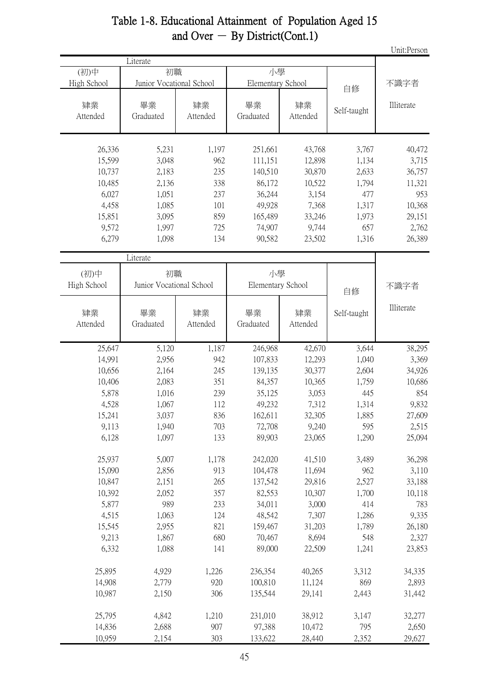|             |                          |          |                   |          |             | Unit:Person |  |
|-------------|--------------------------|----------|-------------------|----------|-------------|-------------|--|
|             | Literate                 |          |                   |          |             |             |  |
| (初)中        | 初職                       |          | 小學                |          |             |             |  |
| High School | Junior Vocational School |          | Elementary School |          | 自修          | 不識字者        |  |
|             |                          |          |                   |          |             |             |  |
| 肄業          | 畢業                       | 肄業       | 畢業                | 肄業       |             | Illiterate  |  |
| Attended    | Graduated                | Attended | Graduated         | Attended | Self-taught |             |  |
|             |                          |          |                   |          |             |             |  |
| 26,336      | 5,231                    | 1,197    | 251,661           | 43,768   | 3,767       | 40,472      |  |
| 15,599      | 3,048                    | 962      | 111,151           | 12,898   | 1,134       | 3,715       |  |
| 10,737      | 2,183                    | 235      | 140,510           | 30,870   | 2,633       | 36,757      |  |
| 10,485      | 2,136                    | 338      | 86,172            | 10,522   | 1,794       | 11,321      |  |
| 6,027       | 1,051                    | 237      | 36,244            | 3,154    | 477         | 953         |  |
| 4,458       | 1,085                    | 101      | 49,928            | 7,368    | 1,317       | 10,368      |  |
| 15,851      | 3,095                    | 859      | 165,489           | 33,246   | 1,973       | 29,151      |  |
| 9,572       | 1,997                    | 725      | 74,907            | 9,744    | 657         | 2,762       |  |
| 6,279       | 1,098                    | 134      | 90,582            | 23,502   | 1,316       | 26,389      |  |
|             |                          |          |                   |          |             |             |  |
|             | Literate                 |          |                   |          |             |             |  |
| (初)中        | 初職                       |          | 小學                |          |             |             |  |
| High School | Junior Vocational School |          | Elementary School |          | 自修          | 不識字者        |  |
|             |                          |          |                   |          |             |             |  |
| 肄業          | 畢業                       | 肄業       | 畢業                | 肄業       | Self-taught | Illiterate  |  |
| Attended    | Graduated                | Attended | Graduated         | Attended |             |             |  |
|             |                          |          |                   |          |             |             |  |
| 25,647      | 5,120                    | 1,187    | 246,968           | 42,670   | 3,644       | 38,295      |  |
| 14,991      | 2,956                    | 942      | 107,833           | 12,293   | 1,040       | 3,369       |  |
| 10,656      | 2,164                    | 245      | 139,135           | 30,377   | 2,604       | 34,926      |  |
| 10,406      | 2,083                    | 351      | 84,357            | 10,365   | 1,759       | 10,686      |  |
| 5,878       | 1,016                    | 239      | 35,125            | 3,053    | 445         | 854         |  |
| 4,528       | 1,067                    | 112      | 49,232            | 7,312    | 1,314       | 9,832       |  |
| 15,241      | 3,037                    | 836      | 162,611           | 32,305   | 1,885       | 27,609      |  |
| 9,113       | 1,940                    | 703      | 72,708            | 9,240    | 595         | 2,515       |  |
| 6,128       | 1,097                    | 133      | 89,903            | 23,065   | 1,290       | 25,094      |  |
| 25,937      | 5,007                    | 1,178    | 242,020           | 41,510   | 3,489       | 36,298      |  |
| 15,090      | 2,856                    | 913      | 104,478           | 11,694   | 962         | 3,110       |  |
| 10,847      | 2,151                    | 265      | 137,542           | 29,816   | 2,527       | 33,188      |  |
| 10,392      | 2,052                    | 357      | 82,553            | 10,307   | 1,700       | 10,118      |  |
| 5,877       | 989                      | 233      | 34,011            | 3,000    | 414         | 783         |  |
| 4,515       | 1,063                    | 124      | 48,542            | 7,307    | 1,286       | 9,335       |  |
| 15,545      |                          | 821      | 159,467           | 31,203   | 1,789       |             |  |
|             | 2,955                    |          |                   |          |             | 26,180      |  |
| 9,213       | 1,867                    | 680      | 70,467            | 8,694    | 548         | 2,327       |  |
| 6,332       | 1,088                    | 141      | 89,000            | 22,509   | 1,241       | 23,853      |  |
| 25,895      | 4,929                    | 1,226    | 236,354           | 40,265   | 3,312       | 34,335      |  |
| 14,908      | 2,779                    | 920      | 100,810           | 11,124   | 869         | 2,893       |  |
| 10,987      | 2,150                    | 306      | 135,544           | 29,141   | 2,443       | 31,442      |  |
| 25,795      | 4,842                    | 1,210    | 231,010           | 38,912   | 3,147       | 32,277      |  |
| 14,836      | 2,688                    | 907      | 97,388            | 10,472   | 795         | 2,650       |  |
| 10,959      | 2,154                    | 303      | 133,622           | 28,440   | 2,352       | 29,627      |  |
|             |                          |          |                   |          |             |             |  |

## Table 1-8. Educational Attainment of Population Aged 15 and Over  $-$  By District(Cont.1)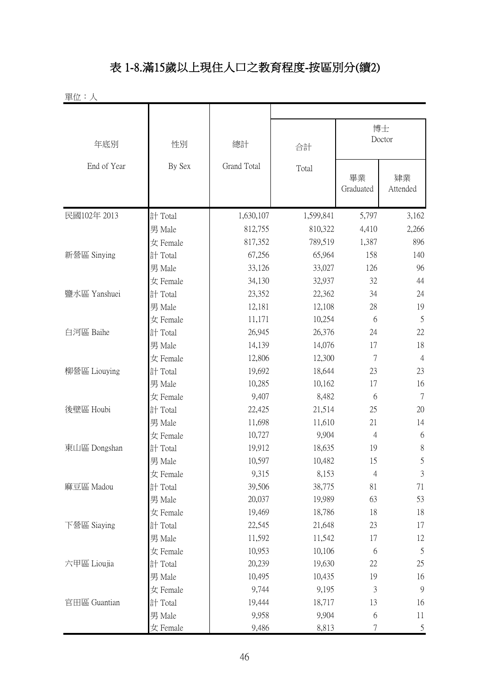# 表 1-8.滿15歲以上現住人口之教育程度-按區別分(續2)

| 單位:人         |          |             |           |                  |                |  |
|--------------|----------|-------------|-----------|------------------|----------------|--|
| 年底別          | 性別       | 總計          | 合計        | 博士<br>Doctor     |                |  |
| End of Year  | By Sex   | Grand Total | Total     | 畢業<br>Graduated  | 肄業<br>Attended |  |
| 民國102年 2013  | 計 Total  | 1,630,107   | 1,599,841 | 5,797            | 3,162          |  |
|              | 男 Male   | 812,755     | 810,322   | 4,410            | 2,266          |  |
|              | 女 Female | 817,352     | 789,519   | 1,387            | 896            |  |
| 新營區 Sinying  | 計 Total  | 67,256      | 65,964    | 158              | 140            |  |
|              | 男 Male   | 33,126      | 33,027    | 126              | 96             |  |
|              | 女 Female | 34,130      | 32,937    | 32               | 44             |  |
| 鹽水區 Yanshuei | 計 Total  | 23,352      | 22,362    | 34               | 24             |  |
|              | 男 Male   | 12,181      | 12,108    | 28               | 19             |  |
|              | 女 Female | 11,171      | 10,254    | 6                | 5              |  |
| 白河區 Baihe    | 計 Total  | 26,945      | 26,376    | 24               | 22             |  |
|              | 男 Male   | 14,139      | 14,076    | 17               | 18             |  |
|              | 女 Female | 12,806      | 12,300    | 7                | $\overline{4}$ |  |
| 柳營區 Liouying | 計 Total  | 19,692      | 18,644    | 23               | 23             |  |
|              | 男 Male   | 10,285      | 10,162    | 17               | 16             |  |
|              | 女 Female | 9,407       | 8,482     | 6                | $\overline{7}$ |  |
| 後壁區 Houbi    | 計 Total  | 22,425      | 21,514    | 25               | 20             |  |
|              | 男 Male   | 11,698      | 11,610    | 21               | 14             |  |
|              | 女 Female | 10,727      | 9,904     | $\overline{4}$   | 6              |  |
| 東山區 Dongshan | 計 Total  | 19,912      | 18,635    | 19               | $8\,$          |  |
|              | 男 Male   | 10,597      | 10,482    | 15               | 5              |  |
|              | 女 Female | 9,315       | 8,153     | $\overline{4}$   | $\sqrt{3}$     |  |
| 麻豆區 Madou    | 計 Total  | 39,506      | 38,775    | 81               | 71             |  |
|              | 男 Male   | 20,037      | 19,989    | 63               | 53             |  |
|              | 女 Female | 19,469      | 18,786    | 18               | 18             |  |
| 下營區 Siaying  | 計 Total  | 22,545      | 21,648    | 23               | 17             |  |
|              | 男 Male   | 11,592      | 11,542    | 17               | 12             |  |
|              | 女 Female | 10,953      | 10,106    | 6                | 5              |  |
| 六甲區 Lioujia  | 計 Total  | 20,239      | 19,630    | 22               | 25             |  |
|              | 男 Male   | 10,495      | 10,435    | 19               | 16             |  |
|              | 女 Female | 9,744       | 9,195     | 3                | $\overline{9}$ |  |
| 官田區 Guantian | 計 Total  | 19,444      | 18,717    | 13               | 16             |  |
|              | 男 Male   | 9,958       | 9,904     | 6                | 11             |  |
|              | 女 Female | 9,486       | 8,813     | $\boldsymbol{7}$ | $\mathfrak{S}$ |  |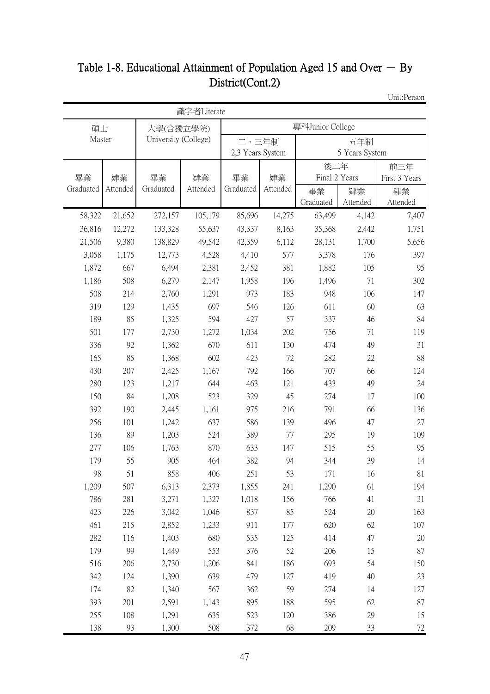# Table 1-8. Educational Attainment of Population Aged 15 and Over  $-$  By District(Cont.2)

Unit:Person

|              |           |                      | 識字者Literate    |                  |            |               |                |               |
|--------------|-----------|----------------------|----------------|------------------|------------|---------------|----------------|---------------|
| 碩士           |           | 大學(含獨立學院)            |                | 專科Junior College |            |               |                |               |
| Master       |           | University (College) |                | 二、三年制            |            |               | 五年制            |               |
|              |           |                      |                | 2,3 Years System |            |               | 5 Years System |               |
|              |           |                      |                |                  |            | 後二年           |                | 前三年           |
| 畢業           | 肄業        | 畢業                   | 肄業             | 畢業               | 肄業         | Final 2 Years |                | First 3 Years |
| Graduated    | Attended  | Graduated            | Attended       | Graduated        | Attended   | 畢業            | 肄業             | 肄業            |
|              |           |                      |                |                  |            | Graduated     | Attended       | Attended      |
| 58,322       | 21,652    | 272,157              | 105,179        | 85,696           | 14,275     | 63,499        | 4,142          | 7,407         |
| 36,816       | 12,272    | 133,328              | 55,637         | 43,337           | 8,163      | 35,368        | 2,442          | 1,751         |
| 21,506       | 9,380     | 138,829              | 49,542         | 42,359           | 6,112      | 28,131        | 1,700          | 5,656         |
| 3,058        | 1,175     | 12,773               | 4,528          | 4,410            | 577        | 3,378         | 176            | 397           |
| 1,872        | 667       | 6,494                | 2,381          | 2,452            | 381        | 1,882         | 105            | 95            |
| 1,186        | 508       | 6,279                | 2,147          | 1,958            | 196        | 1,496         | 71             | 302           |
| 508          | 214       | 2,760                | 1,291          | 973              | 183        | 948           | 106            | 147           |
| 319          | 129       | 1,435                | 697            | 546              | 126        | 611           | 60             | 63            |
| 189          | 85        | 1,325                | 594            | 427              | 57         | 337           | 46             | 84            |
| 501          | 177       | 2,730                | 1,272          | 1,034            | 202        | 756           | 71             | 119           |
| 336          | 92        | 1,362                | 670            | 611              | 130        | 474           | 49             | 31            |
| 165          | 85        | 1,368                | 602            | 423              | 72         | 282           | 22             | 88            |
| 430          | 207       | 2,425                | 1,167          | 792              | 166        | 707           | 66             | 124           |
| 280          | 123       | 1,217                | 644            | 463              | 121        | 433           | 49             | 24            |
| 150          | 84        | 1,208                | 523            | 329              | 45         | 274           | 17             | 100           |
| 392          | 190       | 2,445                | 1,161          | 975              | 216        | 791           | 66             | 136           |
| 256          | 101       | 1,242                | 637            | 586              | 139        | 496           | 47             | 27            |
| 136          | 89        | 1,203                | 524            | 389              | 77         | 295           | 19             | 109           |
| 277          | 106       | 1,763                | 870            | 633              | 147        | 515           | 55             | 95            |
| 179          | 55        | 905<br>858           | 464            | 382<br>251       | 94<br>53   | 344           | 39             | 14            |
| 98           | 51<br>507 |                      | 406            | 1,855            |            | 171           | 16             | 81<br>194     |
| 1,209<br>786 | 281       | 6,313<br>3,271       | 2,373<br>1,327 | 1,018            | 241<br>156 | 1,290<br>766  | 61<br>41       | 31            |
| 423          | 226       | 3,042                | 1,046          | 837              | 85         | 524           | $20\,$         | 163           |
| 461          | 215       | 2,852                | 1,233          | 911              | 177        | 620           | 62             | 107           |
| 282          | 116       | 1,403                | 680            | 535              | 125        | 414           | 47             | $20\,$        |
| 179          | 99        | 1,449                | 553            | 376              | 52         | 206           | 15             | 87            |
| 516          | 206       | 2,730                | 1,206          | 841              | 186        | 693           | 54             | 150           |
| 342          | 124       | 1,390                | 639            | 479              | 127        | 419           | 40             | 23            |
| 174          | 82        | 1,340                | 567            | 362              | 59         | 274           | 14             | 127           |
| 393          | 201       | 2,591                | 1,143          | 895              | 188        | 595           | 62             | 87            |
| 255          | 108       | 1,291                | 635            | 523              | 120        | 386           | 29             | 15            |
| 138          | 93        | 1,300                | 508            | 372              | 68         | 209           | 33             | 72            |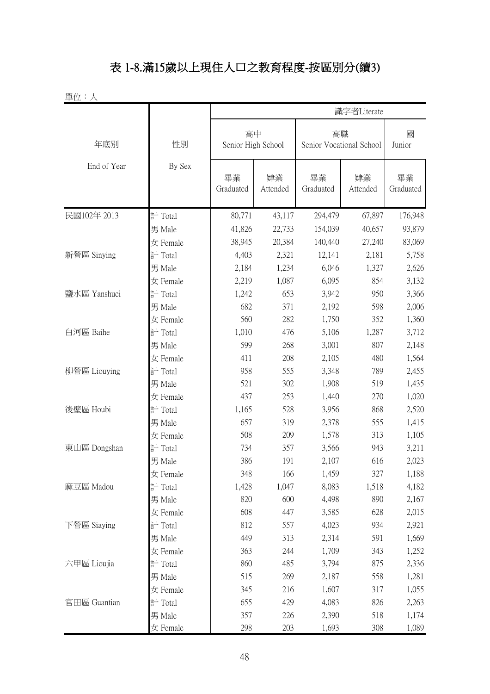# 表 1-8.滿15歲以上現住人口之教育程度-按區別分(續3)

| 單位:人         |          |                 |                          |                 |                                |                 |
|--------------|----------|-----------------|--------------------------|-----------------|--------------------------------|-----------------|
|              |          |                 |                          |                 | 識字者Literate                    |                 |
| 年底別          | 性別       |                 | 高中<br>Senior High School |                 | 高職<br>Senior Vocational School |                 |
| End of Year  | By Sex   | 畢業<br>Graduated | 肄業<br>Attended           | 畢業<br>Graduated | 肄業<br>Attended                 | 畢業<br>Graduated |
| 民國102年 2013  | 計 Total  | 80,771          | 43,117                   | 294,479         | 67,897                         | 176,948         |
|              | 男 Male   | 41,826          | 22,733                   | 154,039         | 40,657                         | 93,879          |
|              | 女 Female | 38,945          | 20,384                   | 140,440         | 27,240                         | 83,069          |
| 新營區 Sinying  | 計 Total  | 4,403           | 2,321                    | 12,141          | 2,181                          | 5,758           |
|              | 男 Male   | 2,184           | 1,234                    | 6,046           | 1,327                          | 2,626           |
|              | 女 Female | 2,219           | 1,087                    | 6,095           | 854                            | 3,132           |
| 鹽水區 Yanshuei | 計 Total  | 1,242           | 653                      | 3,942           | 950                            | 3,366           |
|              | 男 Male   | 682             | 371                      | 2,192           | 598                            | 2,006           |
|              | 女 Female | 560             | 282                      | 1,750           | 352                            | 1,360           |
| 白河區 Baihe    | 計 Total  | 1,010           | 476                      | 5,106           | 1,287                          | 3,712           |
|              | 男 Male   | 599             | 268                      | 3,001           | 807                            | 2,148           |
|              | 女 Female | 411             | 208                      | 2,105           | 480                            | 1,564           |
| 柳營區 Liouying | 計 Total  | 958             | 555                      | 3,348           | 789                            | 2,455           |
|              | 男 Male   | 521             | 302                      | 1,908           | 519                            | 1,435           |
|              | 女 Female | 437             | 253                      | 1,440           | 270                            | 1,020           |
| 後壁區 Houbi    | 計 Total  | 1,165           | 528                      | 3,956           | 868                            | 2,520           |
|              | 男 Male   | 657             | 319                      | 2,378           | 555                            | 1,415           |
|              | 女 Female | 508             | 209                      | 1,578           | 313                            | 1,105           |
| 東山區 Dongshan | 計 Total  | 734             | 357                      | 3,566           | 943                            | 3,211           |
|              | 男 Male   | 386             | 191                      | 2,107           | 616                            | 2,023           |
|              | 女 Female | 348             | 166                      | 1,459           | 327                            | 1,188           |
| 麻豆區 Madou    | 計 Total  | 1,428           | 1,047                    | 8,083           | 1,518                          | 4,182           |
|              | 男 Male   | 820             | 600                      | 4,498           | 890                            | 2,167           |
|              | 女 Female | 608             | 447                      | 3,585           | 628                            | 2,015           |
| 下營區 Siaying  | 計 Total  | 812             | 557                      | 4,023           | 934                            | 2,921           |
|              | 男 Male   | 449             | 313                      | 2,314           | 591                            | 1,669           |
|              | 女 Female | 363             | 244                      | 1,709           | 343                            | 1,252           |
| 六甲區 Lioujia  | 計 Total  | 860             | 485                      | 3,794           | 875                            | 2,336           |
|              | 男 Male   | 515             | 269                      | 2,187           | 558                            | 1,281           |
|              | 女 Female | 345             | 216                      | 1,607           | 317                            | 1,055           |
| 官田區 Guantian | 計 Total  | 655             | 429                      | 4,083           | 826                            | 2,263           |
|              | 男 Male   | 357             | 226                      | 2,390           | 518                            | 1,174           |
|              | 女 Female | 298             | 203                      | 1,693           | 308                            | 1,089           |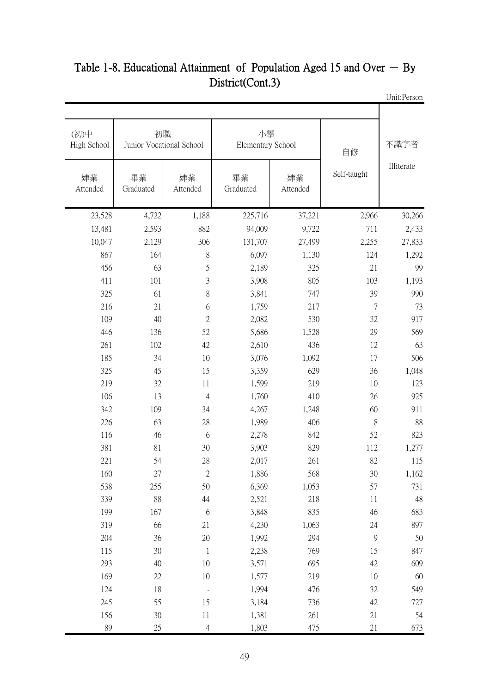| 不識字者       | 自修            |                | 小學<br>Elementary School |                | 初職<br>Junior Vocational School | (初)中<br>High School |
|------------|---------------|----------------|-------------------------|----------------|--------------------------------|---------------------|
| Illiterate | Self-taught   | 肄業<br>Attended | 畢業<br>Graduated         | 肄業<br>Attended | 畢業<br>Graduated                | 肄業<br>Attended      |
| 30,266     | 2,966         | 37,221         | 225,716                 | 1,188          | 4,722                          | 23,528              |
| 2,433      | 711           | 9,722          | 94,009                  | 882            | 2,593                          | 13,481              |
| 27,833     | 2,255         | 27,499         | 131,707                 | 306            | 2,129                          | 10,047              |
| 1,292      | 124           | 1,130          | 6,097                   | 8              | 164                            | 867                 |
| 99         | 21            | 325            | 2,189                   | 5              | 63                             | 456                 |
| 1,193      | 103           | 805            | 3,908                   | 3              | 101                            | 411                 |
| 990        | 39            | 747            | 3,841                   | 8              | 61                             | 325                 |
| 73         | 7             | 217            | 1,759                   | 6              | 21                             | 216                 |
| 917        | 32            | 530            | 2,082                   | $\overline{2}$ | 40                             | 109                 |
| 569        | 29            | 1,528          | 5,686                   | 52             | 136                            | 446                 |
| 63         | 12            | 436            | 2,610                   | 42             | 102                            | 261                 |
| 506        | 17            | 1,092          | 3,076                   | 10             | 34                             | 185                 |
| 1,048      | 36            | 629            | 3,359                   | 15             | 45                             | 325                 |
| 123        | 10            | 219            | 1,599                   | 11             | 32                             | 219                 |
| 925        | 26            | 410            | 1,760                   | $\overline{4}$ | 13                             | 106                 |
| 911        | 60            | 1,248          | 4,267                   | 34             | 109                            | 342                 |
| 88         | 8             | 406            | 1,989                   | 28             | 63                             | 226                 |
| 823        | 52            | 842            | 2,278                   | 6              | 46                             | 116                 |
| 1,277      | 112           | 829            | 3,903                   | 30             | 81                             | 381                 |
| 115        | 82            | 261            | 2,017                   | 28             | 54                             | 221                 |
| 1,162      | $30\,$        | 568            | 1,886                   | $\sqrt{2}$     | 27                             | 160                 |
| 731        | 57            | 1,053          | 6,369                   | 50             | 255                            | 538                 |
| 48         | 11            | 218            | 2,521                   | 44             | 88                             | 339                 |
| 683        | 46            | 835            | 3,848                   | 6              | 167                            | 199                 |
| 897        | 24            | 1,063          | 4,230                   | 21             | 66                             | 319                 |
| 50         | $\mathcal{Q}$ | 294            | 1,992                   | 20             | 36                             | 204                 |
| 847        | 15            | 769            | 2,238                   | $\mathbf{1}$   | 30                             | 115                 |
| 609        | 42            | 695            | 3,571                   | 10             | 40                             | 293                 |
| 60         | 10            | 219            | 1,577                   | 10             | $22\,$                         | 169                 |
| 549        | 32            | 476            | 1,994                   |                | 18                             | 124                 |
| 727        | 42            | 736            | 3,184                   | 15             | 55                             | 245                 |
| 54         | 21            | 261            | 1,381                   | $11\,$         | $30\,$                         | 156                 |
| 673        | 21            | 475            | 1,803                   | $\overline{4}$ | 25                             | 89                  |

#### Unit:Person Table 1-8. Educational Attainment of Population Aged 15 and Over  $-$  By District(Cont.3)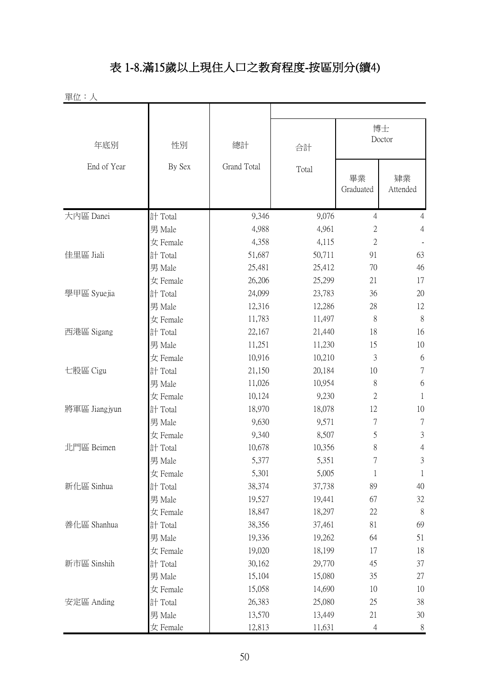# 表 1-8.滿15歲以上現住人口之教育程度-按區別分(續4)

單位:人

| 年底別           | 性別       | 總計          | 合計     |                 | 博士<br>Doctor   |
|---------------|----------|-------------|--------|-----------------|----------------|
| End of Year   | By Sex   | Grand Total | Total  | 畢業<br>Graduated | 肄業<br>Attended |
| 大内區 Danei     | 計 Total  | 9,346       | 9,076  | 4               | $\overline{4}$ |
|               | 男 Male   | 4,988       | 4,961  | $\overline{2}$  | $\overline{4}$ |
|               | 女 Female | 4,358       | 4,115  | $\mathbf{2}$    |                |
| 佳里區 Jiali     | 計 Total  | 51,687      | 50,711 | 91              | 63             |
|               | 男 Male   | 25,481      | 25,412 | 70              | 46             |
|               | 女 Female | 26,206      | 25,299 | 21              | 17             |
| 學甲區 Syuejia   | 計 Total  | 24,099      | 23,783 | 36              | 20             |
|               | 男 Male   | 12,316      | 12,286 | 28              | 12             |
|               | 女 Female | 11,783      | 11,497 | 8               | 8              |
| 西港區 Sigang    | 計 Total  | 22,167      | 21,440 | 18              | 16             |
|               | 男 Male   | 11,251      | 11,230 | 15              | 10             |
|               | 女 Female | 10,916      | 10,210 | 3               | 6              |
| 七股區 Cigu      | 計 Total  | 21,150      | 20,184 | 10              | $\tau$         |
|               | 男 Male   | 11,026      | 10,954 | 8               | 6              |
|               | 女 Female | 10,124      | 9,230  | $\overline{2}$  | $\mathbf{1}$   |
| 將軍區 Jiangjyun | 計 Total  | 18,970      | 18,078 | 12              | 10             |
|               | 男 Male   | 9,630       | 9,571  | $\overline{7}$  | $\tau$         |
|               | 女 Female | 9,340       | 8,507  | 5               | 3              |
| 北門區 Beimen    | 計 Total  | 10,678      | 10,356 | 8               | $\overline{4}$ |
|               | 男 Male   | 5,377       | 5,351  | 7               | $\mathfrak{Z}$ |
|               | 女 Female | 5,301       | 5,005  |                 |                |
| 新化區 Sinhua    | 計 Total  | 38,374      | 37,738 | 89              | 40             |
|               | 男 Male   | 19,527      | 19,441 | 67              | 32             |
|               | 女 Female | 18,847      | 18,297 | 22              | 8              |
| 善化區 Shanhua   | 計 Total  | 38,356      | 37,461 | 81              | 69             |
|               | 男 Male   | 19,336      | 19,262 | 64              | 51             |
|               | 女 Female | 19,020      | 18,199 | 17              | 18             |
| 新市區 Sinshih   | 計 Total  | 30,162      | 29,770 | 45              | 37             |
|               | 男 Male   | 15,104      | 15,080 | 35              | 27             |
|               | 女 Female | 15,058      | 14,690 | 10              | 10             |
| 安定區 Anding    | 計 Total  | 26,383      | 25,080 | 25              | 38             |
|               | 男 Male   | 13,570      | 13,449 | 21              | 30             |
|               | 女 Female | 12,813      | 11,631 | $\overline{4}$  | $8\,$          |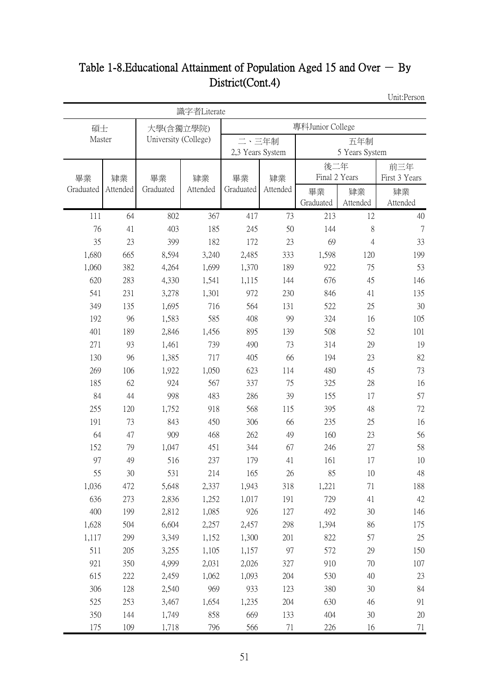# Table 1-8. Educational Attainment of Population Aged 15 and Over  $-$  By District(Cont.4)

Unit:Person

|            |            |                      | 識字者Literate |                  |            |                  |                |               |
|------------|------------|----------------------|-------------|------------------|------------|------------------|----------------|---------------|
| 碩士         |            | 大學(含獨立學院)            |             |                  |            | 專科Junior College |                |               |
| Master     |            | University (College) |             | 二、三年制            |            |                  | 五年制            |               |
|            |            |                      |             | 2,3 Years System |            |                  | 5 Years System |               |
|            |            |                      |             |                  |            | 後二年              |                | 前三年           |
| 畢業         | 肄業         | 畢業                   | 肄業          | 畢業               | 肄業         | Final 2 Years    |                | First 3 Years |
| Graduated  | Attended   | Graduated            | Attended    | Graduated        | Attended   | 畢業               | 肄業             | 肄業            |
|            |            |                      |             |                  |            | Graduated        | Attended       | Attended      |
| 111        | 64         | 802                  | 367         | 417              | 73         | 213              | 12             | 40            |
| 76         | 41         | 403                  | 185         | 245              | 50         | 144              | 8              | 7             |
| 35         | 23         | 399                  | 182         | 172              | 23         | 69               | 4              | 33            |
| 1,680      | 665        | 8,594                | 3,240       | 2,485            | 333        | 1,598            | 120            | 199           |
| 1,060      | 382        | 4,264                | 1,699       | 1,370            | 189        | 922              | 75             | 53            |
| 620        | 283        | 4,330                | 1,541       | 1,115            | 144        | 676              | 45             | 146           |
| 541<br>349 | 231<br>135 | 3,278                | 1,301       | 972<br>564       | 230<br>131 | 846<br>522       | 41<br>25       | 135<br>30     |
| 192        | 96         | 1,695<br>1,583       | 716<br>585  | 408              | 99         | 324              |                | 105           |
| 401        | 189        | 2,846                | 1,456       | 895              | 139        | 508              | 16<br>52       | 101           |
| 271        | 93         | 1,461                | 739         | 490              | 73         | 314              | 29             | 19            |
| 130        | 96         | 1,385                | 717         | 405              | 66         | 194              | 23             | 82            |
| 269        | 106        | 1,922                | 1,050       | 623              | 114        | 480              | 45             | 73            |
| 185        | 62         | 924                  | 567         | 337              | 75         | 325              | 28             | 16            |
| 84         | 44         | 998                  | 483         | 286              | 39         | 155              | 17             | 57            |
| 255        | 120        | 1,752                | 918         | 568              | 115        | 395              | 48             | 72            |
| 191        | 73         | 843                  | 450         | 306              | 66         | 235              | 25             | 16            |
| 64         | 47         | 909                  | 468         | 262              | 49         | 160              | 23             | 56            |
| 152        | 79         | 1,047                | 451         | 344              | 67         | 246              | 27             | 58            |
| 97         | 49         | 516                  | 237         | 179              | 41         | 161              | 17             | 10            |
| 55         | 30         | 531                  | 214         | 165              | 26         | 85               | 10             | 48            |
| 1,036      | 472        | 5,648                | 2,337       | 1,943            | 318        | 1,221            | 71             | 188           |
| 636        | 273        | 2,836                | 1,252       | 1,017            | 191        | 729              | 41             | 42            |
| 400        | 199        | 2,812                | 1,085       | 926              | 127        | 492              | 30             | 146           |
| 1,628      | 504        | 6,604                | 2,257       | 2,457            | 298        | 1,394            | 86             | 175           |
| 1,117      | 299        | 3,349                | 1,152       | 1,300            | 201        | 822              | 57             | 25            |
| 511        | 205        | 3,255                | 1,105       | 1,157            | 97         | 572              | 29             | 150           |
| 921        | 350        | 4,999                | 2,031       | 2,026            | 327        | 910              | 70             | 107           |
| 615        | 222        | 2,459                | 1,062       | 1,093            | 204        | 530              | 40             | 23            |
| 306        | 128        | 2,540                | 969         | 933              | 123        | 380              | 30             | 84            |
| 525        | 253        | 3,467                | 1,654       | 1,235            | 204        | 630              | 46             | 91            |
| 350        | 144        | 1,749                | 858         | 669              | 133        | 404              | 30             | 20            |
| 175        | 109        | 1,718                | 796         | 566              | 71         | 226              | 16             | 71            |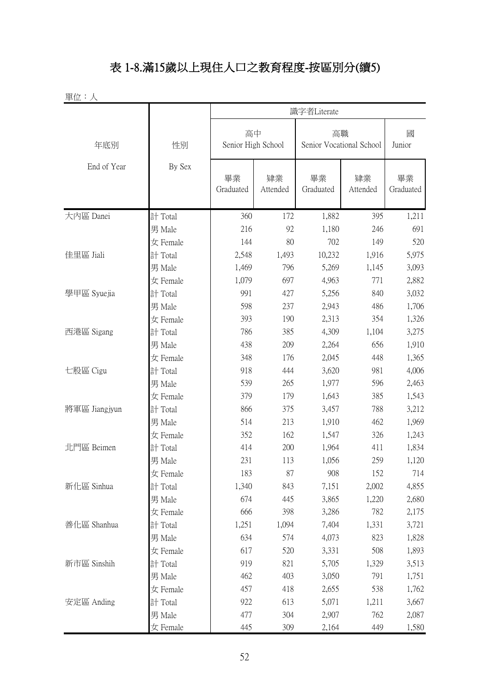# 表 1-8.滿15歲以上現住人口之教育程度-按區別分(續5)

單位:人

|               | 識字者Literate |                          |                |                                |                |                 |
|---------------|-------------|--------------------------|----------------|--------------------------------|----------------|-----------------|
| 年底別           | 性別          | 高中<br>Senior High School |                | 高職<br>Senior Vocational School |                | 國<br>Junior     |
| End of Year   | By Sex      | 畢業<br>Graduated          | 肄業<br>Attended | 畢業<br>Graduated                | 肄業<br>Attended | 畢業<br>Graduated |
| 大内區 Danei     | 計 Total     | 360                      | 172            | 1,882                          | 395            | 1,211           |
|               | 男 Male      | 216                      | 92             | 1,180                          | 246            | 691             |
|               | 女 Female    | 144                      | 80             | 702                            | 149            | 520             |
| 佳里區 Jiali     | 計 Total     | 2,548                    | 1,493          | 10,232                         | 1,916          | 5,975           |
|               | 男 Male      | 1,469                    | 796            | 5,269                          | 1,145          | 3,093           |
|               | 女 Female    | 1,079                    | 697            | 4,963                          | 771            | 2,882           |
| 學甲區 Syuejia   | 計 Total     | 991                      | 427            | 5,256                          | 840            | 3,032           |
|               | 男 Male      | 598                      | 237            | 2,943                          | 486            | 1,706           |
|               | 女 Female    | 393                      | 190            | 2,313                          | 354            | 1,326           |
| 西港區 Sigang    | 計 Total     | 786                      | 385            | 4,309                          | 1,104          | 3,275           |
|               | 男 Male      | 438                      | 209            | 2,264                          | 656            | 1,910           |
|               | 女 Female    | 348                      | 176            | 2,045                          | 448            | 1,365           |
| 七股區 Cigu      | 計 Total     | 918                      | 444            | 3,620                          | 981            | 4,006           |
|               | 男 Male      | 539                      | 265            | 1,977                          | 596            | 2,463           |
|               | 女 Female    | 379                      | 179            | 1,643                          | 385            | 1,543           |
| 將軍區 Jiangjyun | 計 Total     | 866                      | 375            | 3,457                          | 788            | 3,212           |
|               | 男 Male      | 514                      | 213            | 1,910                          | 462            | 1,969           |
|               | 女 Female    | 352                      | 162            | 1,547                          | 326            | 1,243           |
| 北門區 Beimen    | 計 Total     | 414                      | 200            | 1,964                          | 411            | 1,834           |
|               | 男 Male      | 231                      | 113            | 1,056                          | 259            | 1,120           |
|               | 女 Female    | 183                      | 87             | 908                            | 152            | 714             |
| 新化區 Sinhua    | 計 Total     | 1,340                    | 843            | 7,151                          | 2,002          | 4,855           |
|               | 男 Male      | 674                      | 445            | 3,865                          | 1,220          | 2,680           |
|               | 女 Female    | 666                      | 398            | 3,286                          | 782            | 2,175           |
| 善化區 Shanhua   | 計 Total     | 1,251                    | 1,094          | 7,404                          | 1,331          | 3,721           |
|               | 男 Male      | 634                      | 574            | 4,073                          | 823            | 1,828           |
|               | 女 Female    | 617                      | 520            | 3,331                          | 508            | 1,893           |
| 新市區 Sinshih   | 計 Total     | 919                      | 821            | 5,705                          | 1,329          | 3,513           |
|               | 男 Male      | 462                      | 403            | 3,050                          | 791            | 1,751           |
|               | 女 Female    | 457                      | 418            | 2,655                          | 538            | 1,762           |
| 安定區 Anding    | 計 Total     | 922                      | 613            | 5,071                          | 1,211          | 3,667           |
|               | 男 Male      | 477                      | 304            | 2,907                          | 762            | 2,087           |
|               | 女 Female    | 445                      | 309            | 2,164                          | 449            | 1,580           |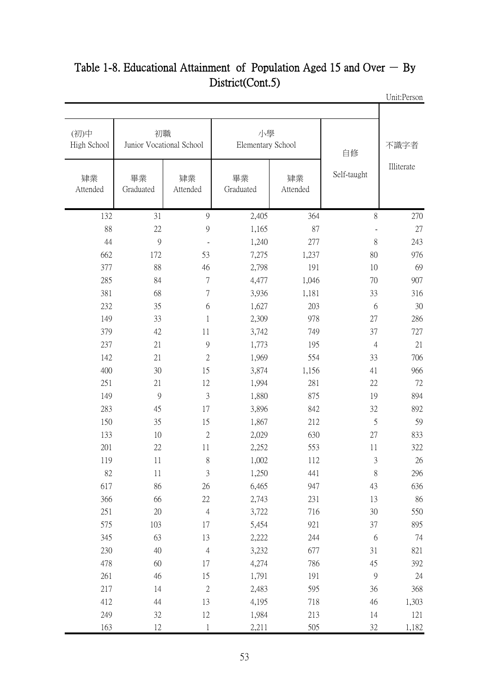| 不識字者       | 自修             |                | 小學<br>Elementary School |                | 初職<br>Junior Vocational School | (初)中<br>High School |
|------------|----------------|----------------|-------------------------|----------------|--------------------------------|---------------------|
| Illiterate | Self-taught    | 肄業<br>Attended | 畢業<br>Graduated         | 肄業<br>Attended | 畢業<br>Graduated                | 肄業<br>Attended      |
| 270        | 8              | 364            | 2,405                   | 9              | 31                             | 132                 |
| $27\,$     |                | 87             | 1,165                   | 9              | $22\,$                         | 88                  |
| 243        | 8              | 277            | 1,240                   | $\blacksquare$ | $\overline{9}$                 | 44                  |
| 976        | 80             | 1,237          | 7,275                   | 53             | 172                            | 662                 |
| 69         | 10             | 191            | 2,798                   | 46             | 88                             | 377                 |
| 907        | 70             | 1,046          | 4,477                   | $\overline{7}$ | 84                             | 285                 |
| 316        | 33             | 1,181          | 3,936                   | $\overline{7}$ | 68                             | 381                 |
| 30         | 6              | 203            | 1,627                   | 6              | 35                             | 232                 |
| 286        | 27             | 978            | 2,309                   | $\mathbf{1}$   | 33                             | 149                 |
| 727        | 37             | 749            | 3,742                   | 11             | 42                             | 379                 |
| 21         | $\overline{4}$ | 195            | 1,773                   | 9              | 21                             | 237                 |
| 706        | 33             | 554            | 1,969                   | $\sqrt{2}$     | 21                             | 142                 |
| 966        | 41             | 1,156          | 3,874                   | 15             | 30                             | 400                 |
| 72         | 22             | 281            | 1,994                   | 12             | 21                             | 251                 |
| 894        | 19             | 875            | 1,880                   | $\mathfrak{Z}$ | 9                              | 149                 |
| 892        | 32             | 842            | 3,896                   | 17             | 45                             | 283                 |
| 59         | 5              | 212            | 1,867                   | 15             | 35                             | 150                 |
| 833        | 27             | 630            | 2,029                   | $\mathbf{2}$   | 10                             | 133                 |
| 322        | 11             | 553            | 2,252                   | 11             | 22                             | 201                 |
| 26         | 3              | 112            | 1,002                   | 8              | 11                             | 119                 |
| 296        | 8              | 441            | 1,250                   | 3              | 11                             | 82                  |
| 636        | 43             | 947            | 6,465                   | 26             | 86                             | 617                 |
| 86         | 13             | 231            | 2,743                   | 22             | 66                             | 366                 |
| 550        | 30             | 716            | 3,722                   | $\overline{4}$ | 20                             | 251                 |
| 895        | 37             | 921            | 5,454                   | 17             | 103                            | 575                 |
| 74         | 6              | 244            | 2,222                   | 13             | 63                             | 345                 |
| 821        | 31             | 677            | 3,232                   | $\overline{4}$ | 40                             | 230                 |
| 392        | 45             | 786            | 4,274                   | 17             | 60                             | 478                 |
| 24         | $\mathcal{G}$  | 191            | 1,791                   | 15             | 46                             | 261                 |
| 368        | 36             | 595            | 2,483                   | $\sqrt{2}$     | 14                             | 217                 |
| 1,303      | 46             | 718            | 4,195                   | 13             | 44                             | 412                 |
| 121        | 14             | 213            | 1,984                   | $12\,$         | 32                             | 249                 |
| 1,182      | 32             | 505            | 2,211                   | 1              | 12                             | 163                 |

#### Unit:Person Table 1-8. Educational Attainment of Population Aged 15 and Over  $-$  By District(Cont.5)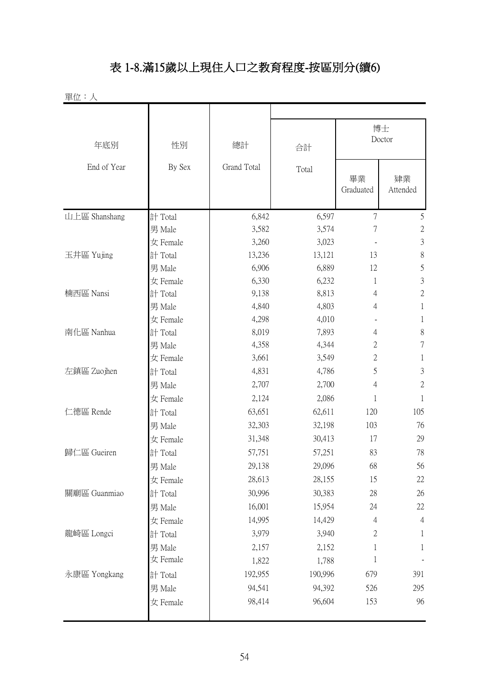# 表 1-8.滿15歲以上現住人口之教育程度-按區別分(續6)

| 單位:人          |          |             |         |                 |                |  |
|---------------|----------|-------------|---------|-----------------|----------------|--|
|               |          |             |         |                 |                |  |
|               |          |             |         | 博士<br>Doctor    |                |  |
| 年底別           | 性別       | 總計          | 合計      |                 |                |  |
| End of Year   | By Sex   | Grand Total | Total   | 畢業<br>Graduated | 肄業<br>Attended |  |
| 山上區 Shanshang | 計 Total  | 6,842       | 6,597   | $\overline{7}$  | $\mathfrak{S}$ |  |
|               | 男 Male   | 3,582       | 3,574   | $\overline{7}$  | $\mathbf{2}$   |  |
|               | 女 Female | 3,260       | 3,023   |                 | $\mathfrak{Z}$ |  |
| 玉井區 Yujing    | 計 Total  | 13,236      | 13,121  | 13              | $\,$ $\,$      |  |
|               | 男 Male   | 6,906       | 6,889   | 12              | 5              |  |
|               | 女 Female | 6,330       | 6,232   | 1               | $\mathfrak{Z}$ |  |
| 楠西區 Nansi     | 計 Total  | 9,138       | 8,813   | 4               | $\mathbf 2$    |  |
|               | 男 Male   | 4,840       | 4,803   | 4               | $\mathbf{1}$   |  |
|               | 女 Female | 4,298       | 4,010   |                 | 1              |  |
| 南化區 Nanhua    | 計 Total  | 8,019       | 7,893   | 4               | $\,$ $\,$      |  |
|               | 男 Male   | 4,358       | 4,344   | 2               | $\overline{7}$ |  |
|               | 女 Female | 3,661       | 3,549   | $\mathbf{2}$    | 1              |  |
| 左鎮區 Zuojhen   | 計 Total  | 4,831       | 4,786   | 5               | $\mathfrak{Z}$ |  |
|               | 男 Male   | 2,707       | 2,700   | 4               | $\overline{2}$ |  |
|               | 女 Female | 2,124       | 2,086   | 1               | 1              |  |
| 仁德區 Rende     | 計 Total  | 63,651      | 62,611  | 120             | 105            |  |
|               | 男 Male   | 32,303      | 32,198  | 103             | 76             |  |
|               | 女 Female | 31,348      | 30,413  | 17              | 29             |  |
| 歸仁區 Gueiren   | 計 Total  | 57,751      | 57,251  | 83              | 78             |  |
|               | 男 Male   | 29,138      | 29,096  | 68              | 56             |  |
|               | 女 Female | 28,613      | 28,155  | 15              | 22             |  |
| 關廟區 Guanmiao  | 計 Total  | 30,996      | 30,383  | 28              | 26             |  |
|               | 男 Male   | 16,001      | 15,954  | 24              | 22             |  |
|               | 女 Female | 14,995      | 14,429  | $\overline{4}$  | $\overline{4}$ |  |
| 龍崎區 Longci    | 計 Total  | 3,979       | 3,940   | $\mathbf{2}$    | 1              |  |
|               | 男 Male   | 2,157       | 2,152   | 1               | $\mathbf{1}$   |  |
|               | 女 Female | 1,822       | 1,788   | $\mathbf{1}$    |                |  |
| 永康區 Yongkang  | 計 Total  | 192,955     | 190,996 | 679             | 391            |  |
|               | 男 Male   | 94,541      | 94,392  | 526             | 295            |  |
|               | 女 Female | 98,414      | 96,604  | 153             | 96             |  |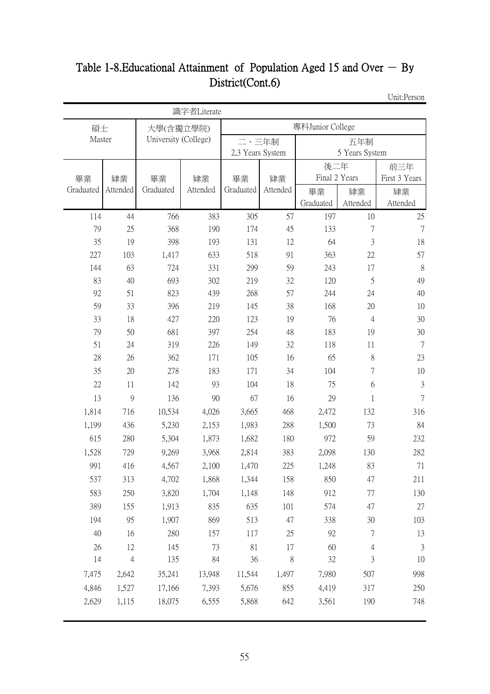# Table 1-8. Educational Attainment of Population Aged 15 and Over  $-$  By District(Cont.6)

Unit:Person

|           |                |                      | 識字者Literate |                  |          |                  |                  |                |  |
|-----------|----------------|----------------------|-------------|------------------|----------|------------------|------------------|----------------|--|
| 碩士        |                | 大學(含獨立學院)            |             |                  |          | 專科Junior College |                  |                |  |
| Master    |                | University (College) |             | 二、三年制            |          | 五年制              |                  |                |  |
|           |                |                      |             | 2,3 Years System |          |                  | 5 Years System   |                |  |
|           |                |                      |             |                  |          | 後二年              |                  | 前三年            |  |
| 畢業        | 肄業             | 畢業                   | 肄業          | 畢業               | 肄業       | Final 2 Years    |                  | First 3 Years  |  |
| Graduated | Attended       | Graduated            | Attended    | Graduated        | Attended | 畢業               | 肄業               | 肄業             |  |
|           |                |                      |             |                  |          | Graduated        | Attended         | Attended       |  |
| 114<br>79 | 44<br>25       | 766<br>368           | 383<br>190  | 305              | 57<br>45 | 197<br>133       | 10<br>7          | 25<br>7        |  |
| 35        | 19             | 398                  | 193         | 174<br>131       | 12       | 64               | 3                | 18             |  |
| 227       | 103            | 1,417                | 633         | 518              | 91       | 363              | 22               | 57             |  |
| 144       | 63             | 724                  | 331         | 299              | 59       | 243              | 17               | $8\,$          |  |
| 83        | 40             | 693                  | 302         | 219              | 32       | 120              | 5                | 49             |  |
| 92        | 51             | 823                  | 439         | 268              | 57       | 244              | 24               | 40             |  |
| 59        | 33             | 396                  | 219         | 145              | 38       | 168              | 20               | 10             |  |
| 33        | 18             | 427                  | 220         | 123              | 19       | 76               | $\overline{4}$   | 30             |  |
| 79        | 50             | 681                  | 397         | 254              | 48       | 183              | 19               | 30             |  |
| 51        | 24             | 319                  | 226         | 149              | 32       | 118              | 11               | $\overline{7}$ |  |
| 28        | 26             | 362                  | 171         | 105              | 16       | 65               | 8                | 23             |  |
| 35        | 20             | 278                  | 183         | 171              | 34       | 104              | $\overline{7}$   | 10             |  |
| 22        | 11             | 142                  | 93          | 104              | 18       | 75               | 6                | $\mathfrak{Z}$ |  |
| 13        | 9              | 136                  | 90          | 67               | 16       | 29               | 1                | $\tau$         |  |
| 1,814     | 716            | 10,534               | 4,026       | 3,665            | 468      | 2,472            | 132              | 316            |  |
| 1,199     | 436            | 5,230                | 2,153       | 1,983            | 288      | 1,500            | 73               | 84             |  |
| 615       | 280            | 5,304                | 1,873       | 1,682            | 180      | 972              | 59               | 232            |  |
| 1,528     | 729            | 9,269                | 3,968       | 2,814            | 383      | 2,098            | 130              | 282            |  |
| 991       | 416            | 4,567                | 2,100       | 1,470            | 225      | 1,248            | 83               | 71             |  |
| 537       | 313            | 4,702                | 1,868       | 1,344            | 158      | 850              | 47               | 211            |  |
| 583       | 250            | 3,820                | 1,704       | 1,148            | 148      | 912              | 77               | 130            |  |
| 389       | 155            | 1,913                | 835         | 635              | 101      | 574              | 47               | 27             |  |
| 194       | 95             | 1,907                | 869         | 513              | 47       | 338              | 30               | 103            |  |
| 40        | 16             | 280                  | 157         | 117              | 25       | 92               | $\boldsymbol{7}$ | 13             |  |
| 26        | 12             | 145                  | 73          | 81               | 17       | 60               | $\overline{4}$   | $\mathfrak{Z}$ |  |
| 14        | $\overline{4}$ | 135                  | 84          | 36               | 8        | 32               | 3                | 10             |  |
| 7,475     | 2,642          | 35,241               | 13,948      | 11,544           | 1,497    | 7,980            | 507              | 998            |  |
| 4,846     | 1,527          | 17,166               | 7,393       | 5,676            | 855      | 4,419            | 317              | 250            |  |
| 2,629     | 1,115          | 18,075               | 6,555       | 5,868            | 642      | 3,561            | 190              | 748            |  |
|           |                |                      |             |                  |          |                  |                  |                |  |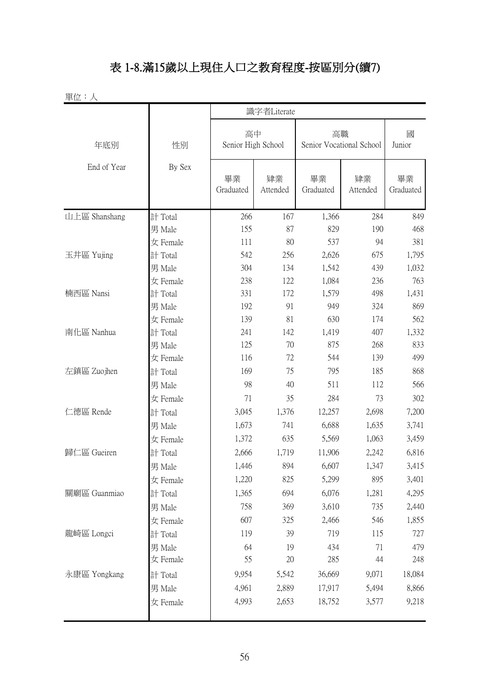# 表 1-8.滿15歲以上現住人口之教育程度-按區別分(續7)

| 單位:人          |          |                          | 識字者Literate    |                                |                |                 |
|---------------|----------|--------------------------|----------------|--------------------------------|----------------|-----------------|
| 年底別           | 性別       | 高中<br>Senior High School |                | 高職<br>Senior Vocational School |                | 國<br>Junior     |
| End of Year   | By Sex   | 畢業<br>Graduated          | 肄業<br>Attended | 畢業<br>Graduated                | 肄業<br>Attended | 畢業<br>Graduated |
| 山上區 Shanshang | 計 Total  | 266                      | 167            | 1,366                          | 284            | 849             |
|               | 男 Male   | 155                      | 87             | 829                            | 190            | 468             |
|               | 女 Female | 111                      | 80             | 537                            | 94             | 381             |
| 玉井區 Yujing    | 計 Total  | 542                      | 256            | 2,626                          | 675            | 1,795           |
|               | 男 Male   | 304                      | 134            | 1,542                          | 439            | 1,032           |
|               | 女 Female | 238                      | 122            | 1,084                          | 236            | 763             |
| 楠西區 Nansi     | 計 Total  | 331                      | 172            | 1,579                          | 498            | 1,431           |
|               | 男 Male   | 192                      | 91             | 949                            | 324            | 869             |
|               | 女 Female | 139                      | 81             | 630                            | 174            | 562             |
| 南化區 Nanhua    | 計 Total  | 241                      | 142            | 1,419                          | 407            | 1,332           |
|               | 男 Male   | 125                      | 70             | 875                            | 268            | 833             |
|               | 女 Female | 116                      | 72             | 544                            | 139            | 499             |
| 左鎮區 Zuojhen   | 計 Total  | 169                      | 75             | 795                            | 185            | 868             |
|               | 男 Male   | 98                       | 40             | 511                            | 112            | 566             |
|               | 女 Female | 71                       | 35             | 284                            | 73             | 302             |
| 仁德區 Rende     | 計 Total  | 3,045                    | 1,376          | 12,257                         | 2,698          | 7,200           |
|               | 男 Male   | 1,673                    | 741            | 6,688                          | 1,635          | 3,741           |
|               | 女 Female | 1,372                    | 635            | 5,569                          | 1,063          | 3,459           |
| 歸仁區 Gueiren   | 計 Total  | 2,666                    | 1,719          | 11,906                         | 2,242          | 6,816           |
|               | 男 Male   | 1,446                    | 894            | 6,607                          | 1,347          | 3,415           |
|               | 女 Female | 1,220                    | 825            | 5,299                          | 895            | 3,401           |
| 關廟區 Guanmiao  | 計 Total  | 1,365                    | 694            | 6,076                          | 1,281          | 4,295           |
|               | 男 Male   | 758                      | 369            | 3,610                          | 735            | 2,440           |
|               | 女 Female | 607                      | 325            | 2,466                          | 546            | 1,855           |
| 龍崎區 Longci    | 計 Total  | 119                      | 39             | 719                            | 115            | 727             |
|               | 男 Male   | 64                       | 19             | 434                            | 71             | 479             |
|               | 女 Female | 55                       | 20             | 285                            | 44             | 248             |
| 永康區 Yongkang  | 計 Total  | 9,954                    | 5,542          | 36,669                         | 9,071          | 18,084          |
|               | 男 Male   | 4,961                    | 2,889          | 17,917                         | 5,494          | 8,866           |
|               |          |                          | 2,653          | 18,752                         |                | 9,218           |
|               | 女 Female | 4,993                    |                |                                | 3,577          |                 |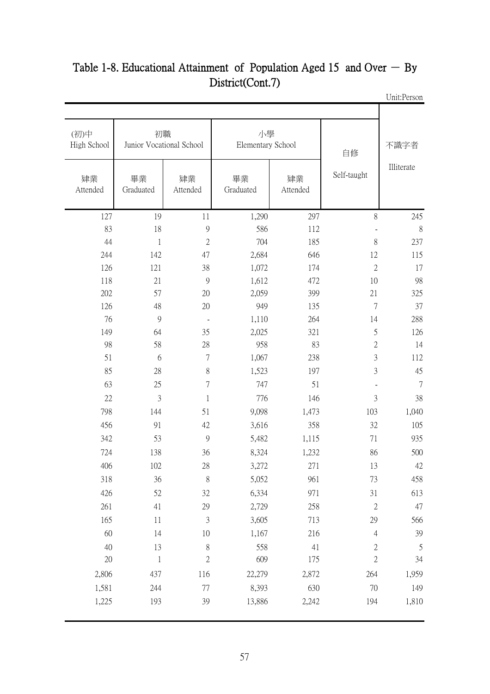| 不識字者       | 自修             |                | 小學<br>Elementary School |                | 初職<br>Junior Vocational School | (初)中<br>High School |
|------------|----------------|----------------|-------------------------|----------------|--------------------------------|---------------------|
| Illiterate | Self-taught    | 肄業<br>Attended | 畢業<br>Graduated         | 肄業<br>Attended | 畢業<br>Graduated                | 肄業<br>Attended      |
| 245        | 8              | 297            | 1,290                   | 11             | 19                             | 127                 |
|            |                | 112            | 586                     | 9              | 18                             | 83                  |
| 237        | $8\,$          | 185            | 704                     | $\mathbf{2}$   | $\mathbf 1$                    | 44                  |
| 115        | 12             | 646            | 2,684                   | 47             | 142                            | 244                 |
| 17         | $\mathbf{2}$   | 174            | 1,072                   | 38             | 121                            | 126                 |
| 98         | 10             | 472            | 1,612                   | 9              | 21                             | 118                 |
| 325        | 21             | 399            | 2,059                   | 20             | 57                             | 202                 |
| 37         | $\overline{7}$ | 135            | 949                     | 20             | 48                             | 126                 |
| 288        | 14             | 264            | 1,110                   | $\blacksquare$ | $\overline{9}$                 | 76                  |
| 126        | 5              | 321            | 2,025                   | 35             | 64                             | 149                 |
| 14         | $\mathbf{2}$   | 83             | 958                     | $28\,$         | 58                             | 98                  |
| 112        | $\mathfrak{Z}$ | 238            | 1,067                   | $\tau$         | 6                              | 51                  |
| 45         | 3              | 197            | 1,523                   | $8\,$          | 28                             | 85                  |
|            | $\blacksquare$ | 51             | 747                     | $\sqrt{ }$     | 25                             | 63                  |
| 38         | $\overline{3}$ | 146            | 776                     | $\mathbf{1}$   | $\mathfrak{Z}$                 | 22                  |
| 1,040      | 103            | 1,473          | 9,098                   | 51             | 144                            | 798                 |
| 105        | 32             | 358            | 3,616                   | 42             | 91                             | 456                 |
| 935        | 71             | 1,115          | 5,482                   | 9              | 53                             | 342                 |
| 500        | 86             | 1,232          | 8,324                   | 36             | 138                            | 724                 |
| 42         | 13             | 271            | 3,272                   | 28             | 102                            | 406                 |
| 458        | 73             | 961            | 5,052                   | $\, 8$         | 36                             | 318                 |
| 613        | 31             | 971            | 6,334                   | 32             | 52                             | 426                 |
| 47         | $\overline{2}$ | 258            | 2,729                   | 29             | 41                             | 261                 |
| 566        | 29             | 713            | 3,605                   | $\mathfrak{Z}$ | 11                             | 165                 |
| 39         | $\overline{4}$ | 216            | 1,167                   | $10\,$         | 14                             | 60                  |
|            | $\sqrt{2}$     | 41             | 558                     | $\,$ $\,$      | 13                             | 40                  |
| 34         | $\mathbf{2}$   | 175            | 609                     | $\sqrt{2}$     | $\mathbf 1$                    | 20                  |
| 1,959      | 264            | 2,872          | 22,279                  | 116            | 437                            | 2,806               |
| 149        | 70             | 630            | 8,393                   | 77             | 244                            | 1,581               |
| 1,810      | 194            | 2,242          | 13,886                  | 39             | 193                            | 1,225               |

#### Unit:Person Table 1-8. Educational Attainment of Population Aged 15 and Over  $-$  By District(Cont.7)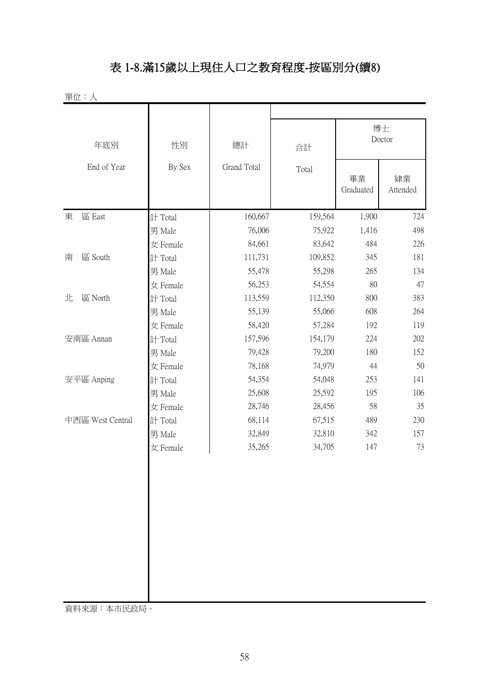#### 表 1-8.滿15歲以上現住人口之教育程度-按區別分(續8)

單位:人

| 年底別              | 性別       | 總計          | 合計      |                 | 博士<br>Doctor   |
|------------------|----------|-------------|---------|-----------------|----------------|
| End of Year      | By Sex   | Grand Total | Total   | 畢業<br>Graduated | 肄業<br>Attended |
| 區 East<br>東      | 計 Total  | 160,667     | 159,564 | 1,900           | 724            |
|                  | 男 Male   | 76,006      | 75,922  | 1,416           | 498            |
|                  | 女 Female | 84,661      | 83,642  | 484             | 226            |
| 區 South<br>南     | 計 Total  | 111,731     | 109,852 | 345             | 181            |
|                  | 男 Male   | 55,478      | 55,298  | 265             | 134            |
|                  | 女 Female | 56,253      | 54,554  | 80              | 47             |
| 北<br>區 North     | 計 Total  | 113,559     | 112,350 | 800             | 383            |
|                  | 男 Male   | 55,139      | 55,066  | 608             | 264            |
|                  | 女 Female | 58,420      | 57,284  | 192             | 119            |
| 安南區 Annan        | 計 Total  | 157,596     | 154,179 | 224             | 202            |
|                  | 男 Male   | 79,428      | 79,200  | 180             | 152            |
|                  | 女 Female | 78,168      | 74,979  | 44              | 50             |
| 安平區 Anping       | 計 Total  | 54,354      | 54,048  | 253             | 141            |
|                  | 男 Male   | 25,608      | 25,592  | 195             | 106            |
|                  | 女 Female | 28,746      | 28,456  | 58              | 35             |
| 中西區 West Central | 計 Total  | 68,114      | 67,515  | 489             | 230            |
|                  | 男 Male   | 32,849      | 32,810  | 342             | 157            |
|                  | 女 Female | 35,265      | 34,705  | 147             | 73             |
|                  |          |             |         |                 |                |

資料來源:本市民政局。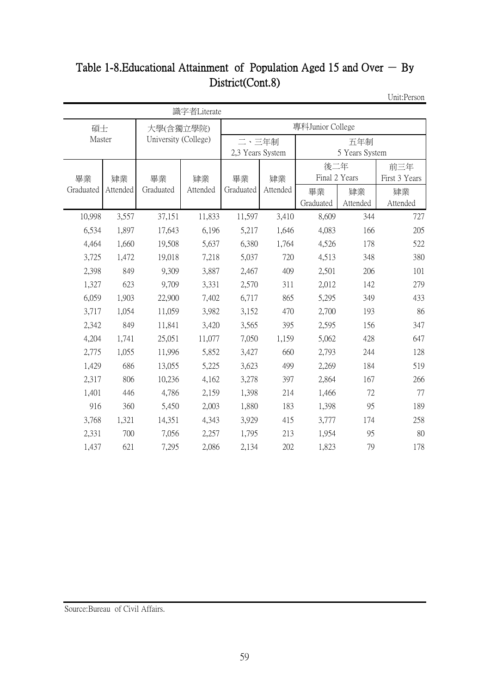# Table 1-8. Educational Attainment of Population Aged 15 and Over  $-$  By District(Cont.8)

Unit:Person

|           | 識字者Literate |                      |          |                                    |                  |               |          |               |  |  |  |
|-----------|-------------|----------------------|----------|------------------------------------|------------------|---------------|----------|---------------|--|--|--|
| 碩士        |             | 大學(含獨立學院)            |          |                                    | 專科Junior College |               |          |               |  |  |  |
| Master    |             | University (College) |          | 二、三年制                              |                  | 五年制           |          |               |  |  |  |
|           |             |                      |          | 2,3 Years System<br>5 Years System |                  |               |          |               |  |  |  |
|           |             |                      |          |                                    |                  | 後二年           |          | 前三年           |  |  |  |
| 畢業        | 肄業          | 畢業                   | 肄業       | 畢業                                 | 肄業               | Final 2 Years |          | First 3 Years |  |  |  |
| Graduated | Attended    | Graduated            | Attended | Graduated                          | Attended         | 畢業            | 肄業       | 肄業            |  |  |  |
|           |             |                      |          |                                    |                  | Graduated     | Attended | Attended      |  |  |  |
| 10,998    | 3,557       | 37,151               | 11,833   | 11,597                             | 3,410            | 8,609         | 344      | 727           |  |  |  |
| 6,534     | 1,897       | 17,643               | 6,196    | 5,217                              | 1,646            | 4,083         | 166      | 205           |  |  |  |
| 4,464     | 1,660       | 19,508               | 5,637    | 6,380                              | 1,764            | 4,526         | 178      | 522           |  |  |  |
| 3,725     | 1,472       | 19,018               | 7,218    | 5,037                              | 720              | 4,513         | 348      | 380           |  |  |  |
| 2,398     | 849         | 9,309                | 3,887    | 2,467                              | 409              | 2,501         | 206      | 101           |  |  |  |
| 1,327     | 623         | 9,709                | 3,331    | 2,570                              | 311              | 2,012         | 142      | 279           |  |  |  |
| 6,059     | 1,903       | 22,900               | 7,402    | 6,717                              | 865              | 5,295         | 349      | 433           |  |  |  |
| 3,717     | 1,054       | 11,059               | 3,982    | 3,152                              | 470              | 2,700         | 193      | 86            |  |  |  |
| 2,342     | 849         | 11,841               | 3,420    | 3,565                              | 395              | 2,595         | 156      | 347           |  |  |  |
| 4,204     | 1,741       | 25,051               | 11,077   | 7,050                              | 1,159            | 5,062         | 428      | 647           |  |  |  |
| 2,775     | 1,055       | 11,996               | 5,852    | 3,427                              | 660              | 2,793         | 244      | 128           |  |  |  |
| 1,429     | 686         | 13,055               | 5,225    | 3,623                              | 499              | 2,269         | 184      | 519           |  |  |  |
| 2,317     | 806         | 10,236               | 4,162    | 3,278                              | 397              | 2,864         | 167      | 266           |  |  |  |
| 1,401     | 446         | 4,786                | 2,159    | 1,398                              | 214              | 1,466         | 72       | 77            |  |  |  |
| 916       | 360         | 5,450                | 2,003    | 1,880                              | 183              | 1,398         | 95       | 189           |  |  |  |
| 3,768     | 1,321       | 14,351               | 4,343    | 3,929                              | 415              | 3,777         | 174      | 258           |  |  |  |
| 2,331     | 700         | 7,056                | 2,257    | 1,795                              | 213              | 1,954         | 95       | 80            |  |  |  |
| 1,437     | 621         | 7,295                | 2,086    | 2,134                              | 202              | 1,823         | 79       | 178           |  |  |  |

Source:Bureau of Civil Affairs.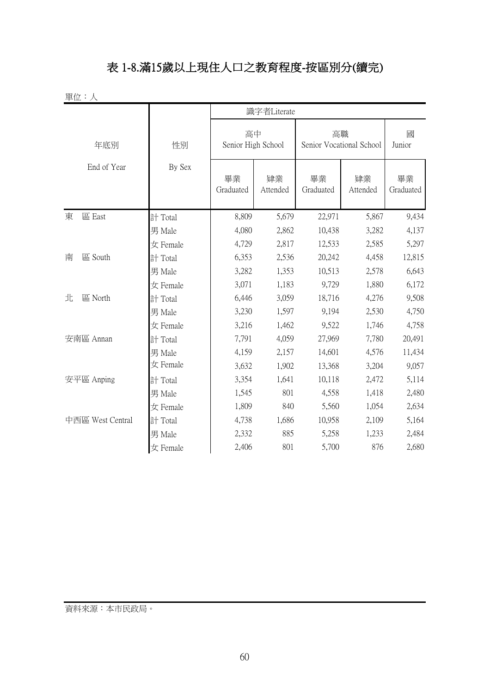#### 表 1-8.滿15歲以上現住人口之教育程度-按區別分(續完)

**單位:人**<br>**單位:人** 

|                  |          | 識字者Literate              |                |                                |                |                 |  |  |  |
|------------------|----------|--------------------------|----------------|--------------------------------|----------------|-----------------|--|--|--|
| 年底別              | 性別       | 高中<br>Senior High School |                | 高職<br>Senior Vocational School |                | 國<br>Junior     |  |  |  |
| End of Year      | By Sex   | 畢業<br>Graduated          | 肄業<br>Attended | 畢業<br>Graduated                | 肄業<br>Attended | 畢業<br>Graduated |  |  |  |
| 區 East<br>東      | 計 Total  | 8,809                    | 5,679          | 22,971                         | 5,867          | 9,434           |  |  |  |
|                  | 男 Male   | 4,080                    | 2,862          | 10,438                         | 3,282          | 4,137           |  |  |  |
|                  | 女 Female | 4,729                    | 2,817          | 12,533                         | 2,585          | 5,297           |  |  |  |
| 區 South<br>南     | 計 Total  | 6,353                    | 2,536          | 20,242                         | 4,458          | 12,815          |  |  |  |
|                  | 男 Male   | 3,282                    | 1,353          | 10,513                         | 2,578          | 6,643           |  |  |  |
|                  | 女 Female | 3,071                    | 1,183          | 9,729                          | 1,880          | 6,172           |  |  |  |
| 區 North<br>北     | 計 Total  | 6,446                    | 3,059          | 18,716                         | 4,276          | 9,508           |  |  |  |
|                  | 男 Male   | 3,230                    | 1,597          | 9,194                          | 2,530          | 4,750           |  |  |  |
|                  | 女 Female | 3,216                    | 1,462          | 9,522                          | 1,746          | 4,758           |  |  |  |
| 安南區 Annan        | 計 Total  | 7,791                    | 4,059          | 27,969                         | 7,780          | 20,491          |  |  |  |
|                  | 男 Male   | 4,159                    | 2,157          | 14,601                         | 4,576          | 11,434          |  |  |  |
|                  | 女 Female | 3,632                    | 1,902          | 13,368                         | 3,204          | 9,057           |  |  |  |
| 安平區 Anping       | 計 Total  | 3,354                    | 1,641          | 10,118                         | 2,472          | 5,114           |  |  |  |
|                  | 男 Male   | 1,545                    | 801            | 4,558                          | 1,418          | 2,480           |  |  |  |
|                  | 女 Female | 1,809                    | 840            | 5,560                          | 1,054          | 2,634           |  |  |  |
| 中西區 West Central | 計 Total  | 4,738                    | 1,686          | 10,958                         | 2,109          | 5,164           |  |  |  |
|                  | 男 Male   | 2,332                    | 885            | 5,258                          | 1,233          | 2,484           |  |  |  |
|                  | 女 Female | 2,406                    | 801            | 5,700                          | 876            | 2,680           |  |  |  |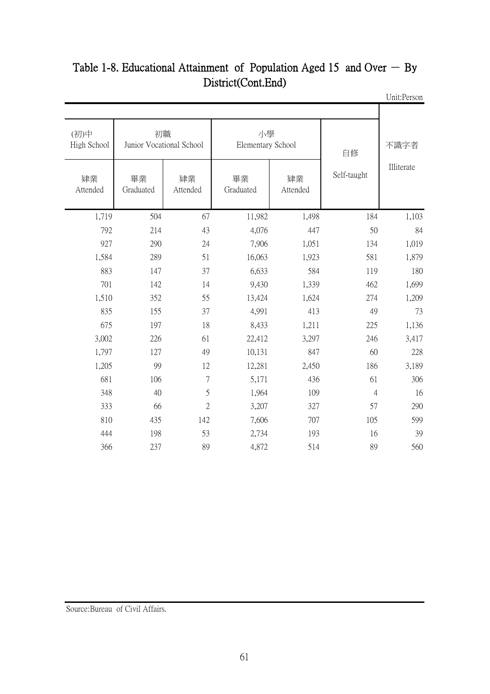| 不識字者       | 自修             | 小學<br>Elementary School |                 |                | 初職<br>Junior Vocational School | (初)中<br>High School |  |  |
|------------|----------------|-------------------------|-----------------|----------------|--------------------------------|---------------------|--|--|
| Illiterate | Self-taught    | 肄業<br>Attended          | 畢業<br>Graduated | 肄業<br>Attended | 畢業<br>Graduated                | 肄業<br>Attended      |  |  |
| 1,103      | 184            | 1,498                   | 11,982          | 67             | 504                            | 1,719               |  |  |
| 84         | 50             | 447                     | 4,076           | 43             | 214                            | 792                 |  |  |
| 1,019      | 134            | 1,051                   | 7,906           | 24             | 290                            | 927                 |  |  |
| 1,879      | 581            | 1,923                   | 16,063          | 51             | 289                            | 1,584               |  |  |
| 180        | 119            | 584                     | 6,633           | 37             | 147                            | 883                 |  |  |
| 1,699      | 462            | 1,339                   | 9,430           | 14             | 142                            | 701                 |  |  |
| 1,209      | 274            | 1,624                   | 13,424          | 55             | 352                            | 1,510               |  |  |
| 73         | 49             | 413                     | 4,991           | 37             | 155                            | 835                 |  |  |
| 1,136      | 225            | 1,211                   | 8,433           | 18             | 197                            | 675                 |  |  |
| 3,417      | 246            | 3,297                   | 22,412          | 61             | 226                            | 3,002               |  |  |
| 228        | 60             | 847                     | 10,131          | 49             | 127                            | 1,797               |  |  |
| 3,189      | 186            | 2,450                   | 12,281          | 12             | 99                             | 1,205               |  |  |
| 306        | 61             | 436                     | 5,171           | 7              | 106                            | 681                 |  |  |
| 16         | $\overline{4}$ | 109                     | 1,964           | 5              | 40                             | 348                 |  |  |
| 290        | 57             | 327                     | 3,207           | $\overline{2}$ | 66                             | 333                 |  |  |
| 599        | 105            | 707                     | 7,606           | 142            | 435                            | 810                 |  |  |
| 39         | 16             | 193                     | 2,734           | 53             | 198                            | 444                 |  |  |
| 560        | 89             | 514                     | 4,872           | 89             | 237                            | 366                 |  |  |
|            |                |                         |                 |                |                                |                     |  |  |

#### Unit:Person Table 1-8. Educational Attainment of Population Aged 15 and Over  $-$  By District(Cont.End)

Source:Bureau of Civil Affairs.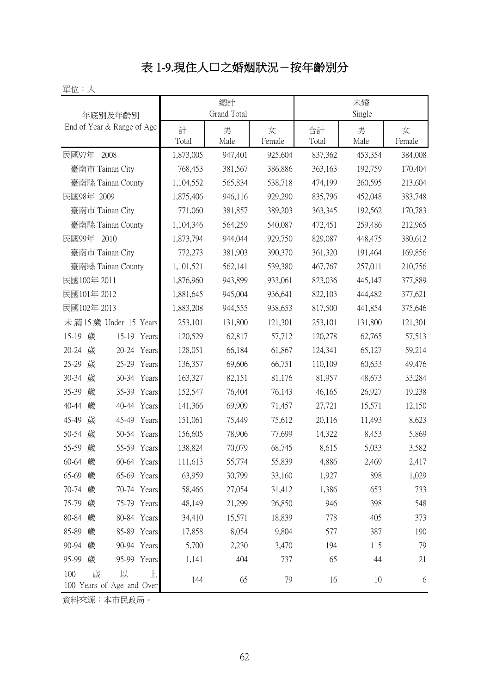# 表 1-9.現住人口之婚姻狀況-按年齡別分

單位:人

| 年底別及年齡別                                         |            | 總計<br>Grand Total |             | 未婚<br>Single |           |             |  |
|-------------------------------------------------|------------|-------------------|-------------|--------------|-----------|-------------|--|
| End of Year & Range of Age                      | 計<br>Total | 男<br>Male         | 女<br>Female | 合計<br>Total  | 男<br>Male | 女<br>Female |  |
| 民國97年<br>2008                                   | 1,873,005  | 947,401           | 925,604     | 837,362      | 453,354   | 384,008     |  |
| 臺南市 Tainan City                                 | 768,453    | 381,567           | 386,886     | 363,163      | 192,759   | 170,404     |  |
| 臺南縣 Tainan County                               | 1,104,552  | 565,834           | 538,718     | 474,199      | 260,595   | 213,604     |  |
| 民國98年 2009                                      | 1,875,406  | 946,116           | 929,290     | 835,796      | 452,048   | 383,748     |  |
| 臺南市 Tainan City                                 | 771,060    | 381,857           | 389,203     | 363,345      | 192,562   | 170,783     |  |
| 臺南縣 Tainan County                               | 1,104,346  | 564,259           | 540,087     | 472,451      | 259,486   | 212,965     |  |
| 民國99年<br>2010                                   | 1,873,794  | 944,044           | 929,750     | 829,087      | 448,475   | 380,612     |  |
| 臺南市 Tainan City                                 | 772,273    | 381,903           | 390,370     | 361,320      | 191,464   | 169,856     |  |
| 臺南縣 Tainan County                               | 1,101,521  | 562,141           | 539,380     | 467,767      | 257,011   | 210,756     |  |
| 民國100年 2011                                     | 1,876,960  | 943,899           | 933,061     | 823,036      | 445,147   | 377,889     |  |
| 民國101年 2012                                     | 1,881,645  | 945,004           | 936,641     | 822,103      | 444,482   | 377,621     |  |
| 民國102年 2013                                     | 1,883,208  | 944,555           | 938,653     | 817,500      | 441,854   | 375,646     |  |
| 未滿15歲 Under 15 Years                            | 253,101    | 131,800           | 121,301     | 253,101      | 131,800   | 121,301     |  |
| $15 - 19$<br>歲<br>15-19 Years                   | 120,529    | 62,817            | 57,712      | 120,278      | 62,765    | 57,513      |  |
| 20-24<br>歲<br>20-24 Years                       | 128,051    | 66,184            | 61,867      | 124,341      | 65,127    | 59,214      |  |
| $25 - 29$<br>歲<br>25-29 Years                   | 136,357    | 69,606            | 66,751      | 110,109      | 60,633    | 49,476      |  |
| 30-34<br>歲<br>30-34 Years                       | 163,327    | 82,151            | 81,176      | 81,957       | 48,673    | 33,284      |  |
| 35-39<br>歲<br>35-39 Years                       | 152,547    | 76,404            | 76,143      | 46,165       | 26,927    | 19,238      |  |
| 40-44<br>歲<br>40-44<br>Years                    | 141,366    | 69,909            | 71,457      | 27,721       | 15,571    | 12,150      |  |
| 45-49<br>歲<br>45-49 Years                       | 151,061    | 75,449            | 75,612      | 20,116       | 11,493    | 8,623       |  |
| 50-54<br>歲<br>50-54 Years                       | 156,605    | 78,906            | 77,699      | 14,322       | 8,453     | 5,869       |  |
| 55-59<br>歲<br>55-59 Years                       | 138,824    | 70,079            | 68,745      | 8,615        | 5,033     | 3,582       |  |
| 歲<br>60-64 Years<br>60-64                       | 111,613    | 55,774            | 55,839      | 4,886        | 2,469     | 2,417       |  |
| 65-69 歲<br>65-69 Years                          | 63,959     | 30,799            | 33,160      | 1,927        | 898       | 1,029       |  |
| 70-74 歲<br>70-74 Years                          | 58,466     | 27,054            | 31,412      | 1,386        | 653       | 733         |  |
| 75-79 歲<br>75-79 Years                          | 48,149     | 21,299            | 26,850      | 946          | 398       | 548         |  |
| 80-84 歲<br>80-84 Years                          | 34,410     | 15,571            | 18,839      | 778          | 405       | 373         |  |
| 85-89 歲<br>85-89 Years                          | 17,858     | 8,054             | 9,804       | 577          | 387       | 190         |  |
| 90-94 歲<br>90-94 Years                          | 5,700      | 2,230             | 3,470       | 194          | 115       | 79          |  |
| 95-99 歲<br>95-99 Years                          | 1,141      | 404               | 737         | 65           | 44        | 21          |  |
| 100<br>歲<br>以<br>上<br>100 Years of Age and Over | 144        | 65                | 79          | 16           | 10        | 6           |  |

資料來源:本市民政局。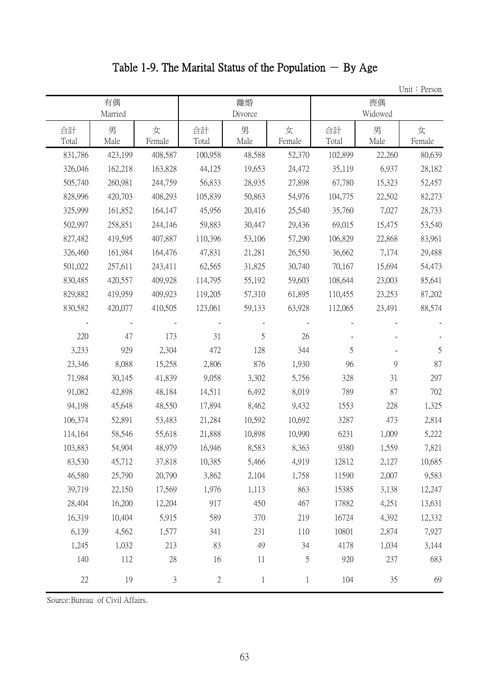Table 1-9. The Marital Status of the Population  $-$  By Age

Unit: Person

|             | 有偶<br>Married |               |             | 離婚<br>Divorce |             |             | 喪偶<br>Widowed | $OIII.$ TUSUI |
|-------------|---------------|---------------|-------------|---------------|-------------|-------------|---------------|---------------|
| 合計<br>Total | 男<br>Male     | 女<br>Female   | 合計<br>Total | 男<br>Male     | 女<br>Female | 合計<br>Total | 男<br>Male     | 女<br>Female   |
| 831,786     | 423,199       | 408,587       | 100,958     | 48,588        | 52,370      | 102,899     | 22,260        | 80,639        |
| 326,046     | 162,218       | 163,828       | 44,125      | 19,653        | 24,472      | 35,119      | 6,937         | 28,182        |
| 505,740     | 260,981       | 244,759       | 56,833      | 28,935        | 27,898      | 67,780      | 15,323        | 52,457        |
| 828,996     | 420,703       | 408,293       | 105,839     | 50,863        | 54,976      | 104,775     | 22,502        | 82,273        |
| 325,999     | 161,852       | 164,147       | 45,956      | 20,416        | 25,540      | 35,760      | 7,027         | 28,733        |
| 502,997     | 258,851       | 244,146       | 59,883      | 30,447        | 29,436      | 69,015      | 15,475        | 53,540        |
| 827,482     | 419,595       | 407,887       | 110,396     | 53,106        | 57,290      | 106,829     | 22,868        | 83,961        |
| 326,460     | 161,984       | 164,476       | 47,831      | 21,281        | 26,550      | 36,662      | 7,174         | 29,488        |
| 501,022     | 257,611       | 243,411       | 62,565      | 31,825        | 30,740      | 70,167      | 15,694        | 54,473        |
| 830,485     | 420,557       | 409,928       | 114,795     | 55,192        | 59,603      | 108,644     | 23,003        | 85,641        |
| 829,882     | 419,959       | 409,923       | 119,205     | 57,310        | 61,895      | 110,455     | 23,253        | 87,202        |
| 830,582     | 420,077       | 410,505       | 123,061     | 59,133        | 63,928      | 112,065     | 23,491        | 88,574        |
|             |               |               |             |               |             |             |               |               |
| 220         | 47            | 173           | 31          | 5             | 26          |             |               |               |
| 3,233       | 929           | 2,304         | 472         | 128           | 344         | 5           |               | 5             |
| 23,346      | 8,088         | 15,258        | 2,806       | 876           | 1,930       | 96          | 9             | 87            |
| 71,984      | 30,145        | 41,839        | 9,058       | 3,302         | 5,756       | 328         | 31            | 297           |
| 91,082      | 42,898        | 48,184        | 14,511      | 6,492         | 8,019       | 789         | 87            | 702           |
| 94,198      | 45,648        | 48,550        | 17,894      | 8,462         | 9,432       | 1553        | 228           | 1,325         |
| 106,374     | 52,891        | 53,483        | 21,284      | 10,592        | 10,692      | 3287        | 473           | 2,814         |
| 114,164     | 58,546        | 55,618        | 21,888      | 10,898        | 10,990      | 6231        | 1,009         | 5,222         |
| 103,883     | 54,904        | 48,979        | 16,946      | 8,583         | 8,363       | 9380        | 1,559         | 7,821         |
| 83,530      | 45,712        | 37,818        | 10,385      | 5,466         | 4,919       | 12812       | 2,127         | 10,685        |
| 46,580      | 25,790        | 20,790        | 3,862       | 2,104         | 1,758       | 11590       | 2,007         | 9,583         |
| 39,719      | 22,150        | 17,569        | 1,976       | 1,113         | 863         | 15385       | 3,138         | 12,247        |
| 28,404      | 16,200        | 12,204        | 917         | 450           | 467         | 17882       | 4,251         | 13,631        |
| 16,319      | 10,404        | 5,915         | 589         | 370           | 219         | 16724       | 4,392         | 12,332        |
| 6,139       | 4,562         | 1,577         | 341         | 231           | 110         | 10801       | 2,874         | 7,927         |
| 1,245       | 1,032         | 213           | 83          | 49            | 34          | 4178        | 1,034         | 3,144         |
| 140         | 112           | $28\,$        | 16          | 11            | 5           | 920         | 237           | 683           |
| $22\,$      | 19            | $\mathfrak z$ | $\sqrt{2}$  | $\mathbf{1}$  | $\,1$       | 104         | 35            | 69            |

Source:Bureau of Civil Affairs.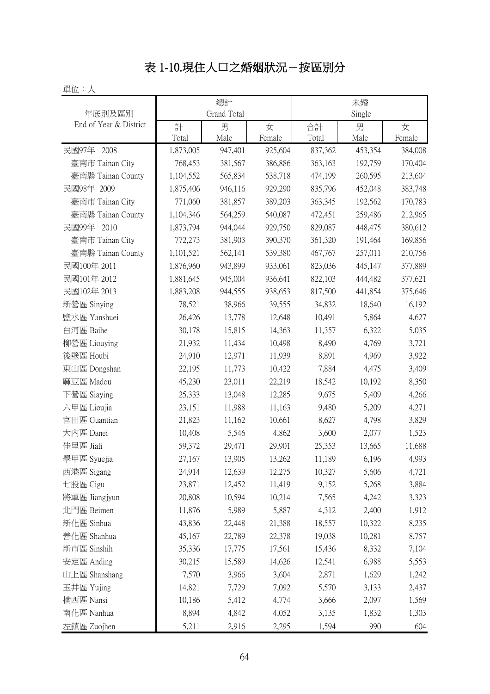# 表 1-10.現住人口之婚姻狀況-按區別分

| 單位:人                   |           |                    |         |         |         |         |
|------------------------|-----------|--------------------|---------|---------|---------|---------|
|                        |           | 總計                 |         |         | 未婚      |         |
| 年底別及區別                 |           | <b>Grand Total</b> |         |         | Single  |         |
| End of Year & District | 計         | 男                  | 女       | 合計      | 男       | 女       |
|                        | Total     | Male               | Female  | Total   | Male    | Female  |
| 民國97年 2008             | 1,873,005 | 947,401            | 925,604 | 837,362 | 453,354 | 384,008 |
| 臺南市 Tainan City        | 768,453   | 381,567            | 386,886 | 363,163 | 192,759 | 170,404 |
| 臺南縣 Tainan County      | 1,104,552 | 565,834            | 538,718 | 474,199 | 260,595 | 213,604 |
| 民國98年 2009             | 1,875,406 | 946,116            | 929,290 | 835,796 | 452,048 | 383,748 |
| 臺南市 Tainan City        | 771,060   | 381,857            | 389,203 | 363,345 | 192,562 | 170,783 |
| 臺南縣 Tainan County      | 1,104,346 | 564,259            | 540,087 | 472,451 | 259,486 | 212,965 |
| 民國99年 2010             | 1,873,794 | 944,044            | 929,750 | 829,087 | 448,475 | 380,612 |
| 臺南市 Tainan City        | 772,273   | 381,903            | 390,370 | 361,320 | 191,464 | 169,856 |
| 臺南縣 Tainan County      | 1,101,521 | 562,141            | 539,380 | 467,767 | 257,011 | 210,756 |
| 民國100年 2011            | 1,876,960 | 943,899            | 933,061 | 823,036 | 445,147 | 377,889 |
| 民國101年 2012            | 1,881,645 | 945,004            | 936,641 | 822,103 | 444,482 | 377,621 |
| 民國102年 2013            | 1,883,208 | 944,555            | 938,653 | 817,500 | 441,854 | 375,646 |
| 新營區 Sinying            | 78,521    | 38,966             | 39,555  | 34,832  | 18,640  | 16,192  |
| 鹽水區 Yanshuei           | 26,426    | 13,778             | 12,648  | 10,491  | 5,864   | 4,627   |
| 白河區 Baihe              | 30,178    | 15,815             | 14,363  | 11,357  | 6,322   | 5,035   |
| 柳營區 Liouying           | 21,932    | 11,434             | 10,498  | 8,490   | 4,769   | 3,721   |
| 後壁區 Houbi              | 24,910    | 12,971             | 11,939  | 8,891   | 4,969   | 3,922   |
| 東山區 Dongshan           | 22,195    | 11,773             | 10,422  | 7,884   | 4,475   | 3,409   |
| 麻豆區 Madou              | 45,230    | 23,011             | 22,219  | 18,542  | 10,192  | 8,350   |
| 下營區 Siaying            | 25,333    | 13,048             | 12,285  | 9,675   | 5,409   | 4,266   |
| 六甲區 Lioujia            | 23,151    | 11,988             | 11,163  | 9,480   | 5,209   | 4,271   |
| 官田區 Guantian           | 21,823    | 11,162             | 10,661  | 8,627   | 4,798   | 3,829   |
| 大内區 Danei              | 10,408    | 5,546              | 4,862   | 3,600   | 2,077   | 1,523   |
| 佳里區 Jiali              | 59,372    | 29,471             | 29,901  | 25,353  | 13,665  | 11,688  |
| 學甲區 Syuejia            | 27,167    | 13,905             | 13,262  | 11,189  | 6,196   | 4,993   |
| 西港區 Sigang             | 24,914    | 12,639             | 12,275  | 10,327  | 5,606   | 4,721   |
| 七股區 Cigu               | 23,871    | 12,452             | 11,419  | 9,152   | 5,268   | 3,884   |
| 將軍區 Jiangjyun          | 20,808    | 10,594             | 10,214  | 7,565   | 4,242   | 3,323   |
| 北門區 Beimen             | 11,876    | 5,989              | 5,887   | 4,312   | 2,400   | 1,912   |
| 新化區 Sinhua             | 43,836    | 22,448             | 21,388  | 18,557  | 10,322  | 8,235   |
| 善化區 Shanhua            | 45,167    | 22,789             | 22,378  | 19,038  | 10,281  | 8,757   |
| 新市區 Sinshih            | 35,336    | 17,775             | 17,561  | 15,436  | 8,332   | 7,104   |
| 安定區 Anding             | 30,215    | 15,589             | 14,626  | 12,541  | 6,988   | 5,553   |
| 山上區 Shanshang          | 7,570     | 3,966              | 3,604   | 2,871   | 1,629   | 1,242   |
| 玉井區 Yujing             | 14,821    | 7,729              | 7,092   | 5,570   | 3,133   | 2,437   |
| 楠西區 Nansi              | 10,186    | 5,412              | 4,774   | 3,666   | 2,097   | 1,569   |
| 南化區 Nanhua             | 8,894     | 4,842              | 4,052   | 3,135   | 1,832   | 1,303   |
| 左鎮區 Zuojhen            | 5,211     | 2,916              | 2,295   | 1,594   | 990     | 604     |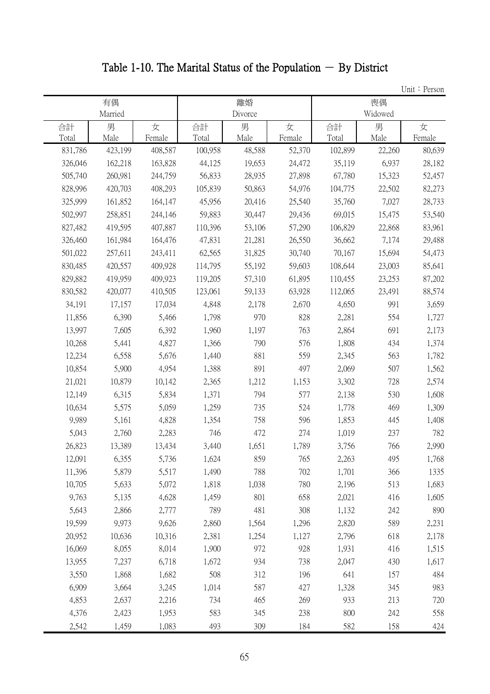# Table 1-10. The Marital Status of the Population  $-$  By District

|         |         |         |         |         |        |         |         | Unit: Person |
|---------|---------|---------|---------|---------|--------|---------|---------|--------------|
|         | 有偶      |         |         | 離婚      |        |         | 喪偶      |              |
|         | Married |         |         | Divorce |        |         | Widowed |              |
| 合計      | 男       | 女       | 合計      | 男       | 女      | 合計      | 男       | 女            |
| Total   | Male    | Female  | Total   | Male    | Female | Total   | Male    | Female       |
| 831,786 | 423,199 | 408,587 | 100,958 | 48,588  | 52,370 | 102,899 | 22,260  | 80,639       |
| 326,046 | 162,218 | 163,828 | 44,125  | 19,653  | 24,472 | 35,119  | 6,937   | 28,182       |
| 505,740 | 260,981 | 244,759 | 56,833  | 28,935  | 27,898 | 67,780  | 15,323  | 52,457       |
| 828,996 | 420,703 | 408,293 | 105,839 | 50,863  | 54,976 | 104,775 | 22,502  | 82,273       |
| 325,999 | 161,852 | 164,147 | 45,956  | 20,416  | 25,540 | 35,760  | 7,027   | 28,733       |
| 502,997 | 258,851 | 244,146 | 59,883  | 30,447  | 29,436 | 69,015  | 15,475  | 53,540       |
| 827,482 | 419,595 | 407,887 | 110,396 | 53,106  | 57,290 | 106,829 | 22,868  | 83,961       |
| 326,460 | 161,984 | 164,476 | 47,831  | 21,281  | 26,550 | 36,662  | 7,174   | 29,488       |
| 501,022 | 257,611 | 243,411 | 62,565  | 31,825  | 30,740 | 70,167  | 15,694  | 54,473       |
| 830,485 | 420,557 | 409,928 | 114,795 | 55,192  | 59,603 | 108,644 | 23,003  | 85,641       |
| 829,882 | 419,959 | 409,923 | 119,205 | 57,310  | 61,895 | 110,455 | 23,253  | 87,202       |
| 830,582 | 420,077 | 410,505 | 123,061 | 59,133  | 63,928 | 112,065 | 23,491  | 88,574       |
| 34,191  | 17,157  | 17,034  | 4,848   | 2,178   | 2,670  | 4,650   | 991     | 3,659        |
| 11,856  | 6,390   | 5,466   | 1,798   | 970     | 828    | 2,281   | 554     | 1,727        |
| 13,997  | 7,605   | 6,392   | 1,960   | 1,197   | 763    | 2,864   | 691     | 2,173        |
| 10,268  | 5,441   | 4,827   | 1,366   | 790     | 576    | 1,808   | 434     | 1,374        |
| 12,234  | 6,558   | 5,676   | 1,440   | 881     | 559    | 2,345   | 563     | 1,782        |
| 10,854  | 5,900   | 4,954   | 1,388   | 891     | 497    | 2,069   | 507     | 1,562        |
| 21,021  | 10,879  | 10,142  | 2,365   | 1,212   | 1,153  | 3,302   | 728     | 2,574        |
| 12,149  | 6,315   | 5,834   | 1,371   | 794     | 577    | 2,138   | 530     | 1,608        |
| 10,634  | 5,575   | 5,059   | 1,259   | 735     | 524    | 1,778   | 469     | 1,309        |
| 9,989   | 5,161   | 4,828   | 1,354   | 758     | 596    | 1,853   | 445     | 1,408        |
| 5,043   | 2,760   | 2,283   | 746     | 472     | 274    | 1,019   | 237     | 782          |
| 26,823  | 13,389  | 13,434  | 3,440   | 1,651   | 1,789  | 3,756   | 766     | 2,990        |
| 12,091  | 6,355   | 5,736   | 1,624   | 859     | 765    | 2,263   | 495     | 1,768        |
| 11,396  | 5,879   | 5,517   | 1,490   | 788     | 702    | 1,701   | 366     | 1335         |
| 10,705  | 5,633   | 5,072   | 1,818   | 1,038   | 780    | 2,196   | 513     | 1,683        |
| 9,763   | 5,135   | 4,628   | 1,459   | 801     | 658    | 2,021   | 416     | 1,605        |
| 5,643   | 2,866   | 2,777   | 789     | 481     | 308    | 1,132   | 242     | 890          |
| 19,599  | 9,973   | 9,626   | 2,860   | 1,564   | 1,296  | 2,820   | 589     | 2,231        |
| 20,952  | 10,636  | 10,316  | 2,381   | 1,254   | 1,127  | 2,796   | 618     | 2,178        |
| 16,069  | 8,055   | 8,014   | 1,900   | 972     | 928    | 1,931   | 416     | 1,515        |
| 13,955  | 7,237   | 6,718   | 1,672   | 934     | 738    | 2,047   | 430     | 1,617        |
| 3,550   | 1,868   | 1,682   | 508     | 312     | 196    | 641     | 157     | 484          |
| 6,909   | 3,664   | 3,245   | 1,014   | 587     | 427    | 1,328   | 345     | 983          |
| 4,853   | 2,637   | 2,216   | 734     | 465     | 269    | 933     | 213     | 720          |
| 4,376   | 2,423   | 1,953   | 583     | 345     | 238    | 800     | 242     | 558          |
| 2,542   | 1,459   | 1,083   | 493     | 309     | 184    | 582     | 158     | 424          |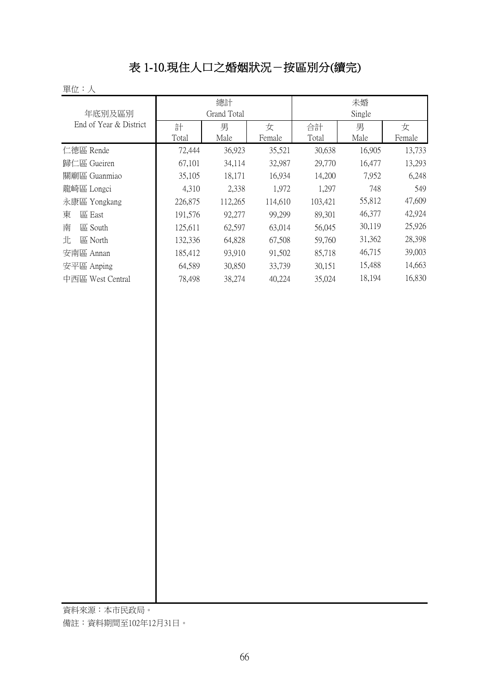# 表 1-10.現住人口之婚姻狀況-按區別分(續完)

#### 單位:人

| 年底別及區別                 |            | 總計<br>Grand Total |             | 未婚<br>Single |           |             |  |
|------------------------|------------|-------------------|-------------|--------------|-----------|-------------|--|
| End of Year & District | 計<br>Total | 男<br>Male         | 女<br>Female | 合計<br>Total  | 男<br>Male | 女<br>Female |  |
| 仁德區 Rende              | 72,444     | 36,923            | 35,521      | 30,638       | 16,905    | 13,733      |  |
| 歸仁區 Gueiren            | 67,101     | 34,114            | 32,987      | 29,770       | 16,477    | 13,293      |  |
| 關廟區 Guanmiao           | 35,105     | 18,171            | 16,934      | 14,200       | 7,952     | 6,248       |  |
| 龍崎區 Longci             | 4,310      | 2,338             | 1,972       | 1,297        | 748       | 549         |  |
| 永康區 Yongkang           | 226,875    | 112,265           | 114,610     | 103,421      | 55,812    | 47,609      |  |
| 東<br>區 East            | 191,576    | 92,277            | 99,299      | 89,301       | 46,377    | 42,924      |  |
| 南<br>區 South           | 125,611    | 62,597            | 63,014      | 56,045       | 30,119    | 25,926      |  |
| 北<br>區 North           | 132,336    | 64,828            | 67,508      | 59,760       | 31,362    | 28,398      |  |
| 安南區 Annan              | 185,412    | 93,910            | 91,502      | 85,718       | 46,715    | 39,003      |  |
| 安平區 Anping             | 64,589     | 30,850            | 33,739      | 30,151       | 15,488    | 14,663      |  |
| 中西區 West Central       | 78,498     | 38,274            | 40,224      | 35,024       | 18,194    | 16,830      |  |

資料來源:本市民政局。

備註:資料期間至102年12月31日。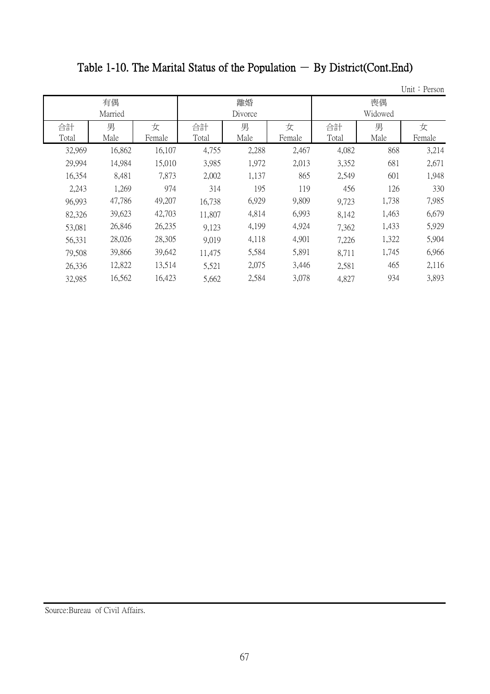# Table 1-10. The Marital Status of the Population  $-$  By District(Cont.End)

Unit: Person

|             | 有偶<br>Married |             |             | 離婚<br>Divorce |             |             | 喪偶<br>Widowed |             |
|-------------|---------------|-------------|-------------|---------------|-------------|-------------|---------------|-------------|
| 合計<br>Total | 男<br>Male     | 女<br>Female | 合計<br>Total | 男<br>Male     | 女<br>Female | 合計<br>Total | 男<br>Male     | 女<br>Female |
| 32,969      | 16,862        | 16,107      | 4,755       | 2,288         | 2,467       | 4,082       | 868           | 3,214       |
| 29,994      | 14,984        | 15,010      | 3,985       | 1,972         | 2,013       | 3,352       | 681           | 2,671       |
| 16,354      | 8,481         | 7,873       | 2,002       | 1,137         | 865         | 2,549       | 601           | 1,948       |
| 2,243       | 1,269         | 974         | 314         | 195           | 119         | 456         | 126           | 330         |
| 96,993      | 47,786        | 49,207      | 16,738      | 6,929         | 9,809       | 9,723       | 1,738         | 7,985       |
| 82,326      | 39,623        | 42,703      | 11,807      | 4,814         | 6,993       | 8,142       | 1,463         | 6,679       |
| 53,081      | 26,846        | 26,235      | 9,123       | 4,199         | 4,924       | 7,362       | 1,433         | 5,929       |
| 56,331      | 28,026        | 28,305      | 9,019       | 4,118         | 4,901       | 7,226       | 1,322         | 5,904       |
| 79,508      | 39,866        | 39,642      | 11,475      | 5,584         | 5,891       | 8,711       | 1,745         | 6,966       |
| 26,336      | 12,822        | 13,514      | 5,521       | 2,075         | 3,446       | 2,581       | 465           | 2,116       |
| 32,985      | 16,562        | 16,423      | 5,662       | 2,584         | 3,078       | 4,827       | 934           | 3,893       |

Source:Bureau of Civil Affairs.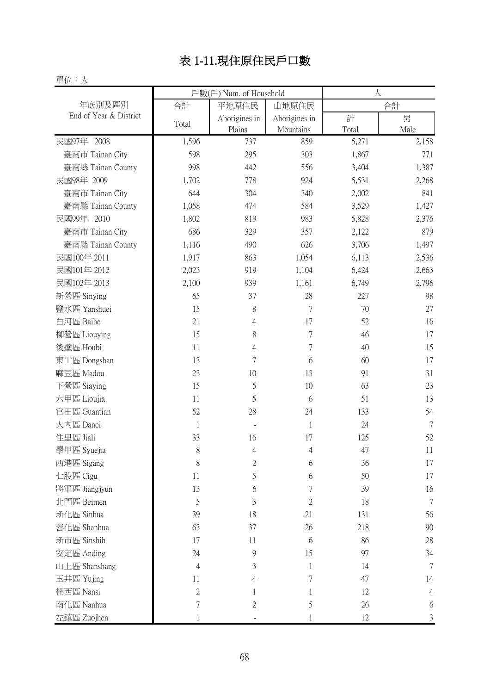# 表 1-11.現住原住民戶口數

#### 單位:人

|                        |              | 戶數(戶) Num. of Household |                            | 人          |                |
|------------------------|--------------|-------------------------|----------------------------|------------|----------------|
| 年底別及區別                 | 合計           | 平地原住民                   | 山地原住民                      |            | 合計             |
| End of Year & District | Total        | Aborigines in<br>Plains | Aborigines in<br>Mountains | 計<br>Total | 男<br>Male      |
| 民國97年 2008             | 1,596        | 737                     | 859                        | 5,271      | 2,158          |
| 臺南市 Tainan City        | 598          | 295                     | 303                        | 1,867      | 771            |
| 臺南縣 Tainan County      | 998          | 442                     | 556                        | 3,404      | 1,387          |
| 民國98年 2009             | 1,702        | 778                     | 924                        | 5,531      | 2,268          |
| 臺南市 Tainan City        | 644          | 304                     | 340                        | 2,002      | 841            |
| 臺南縣 Tainan County      | 1,058        | 474                     | 584                        | 3,529      | 1,427          |
| 民國99年 2010             | 1,802        | 819                     | 983                        | 5,828      | 2,376          |
| 臺南市 Tainan City        | 686          | 329                     | 357                        | 2,122      | 879            |
| 臺南縣 Tainan County      | 1,116        | 490                     | 626                        | 3,706      | 1,497          |
| 民國100年 2011            | 1,917        | 863                     | 1,054                      | 6,113      | 2,536          |
| 民國101年 2012            | 2,023        | 919                     | 1,104                      | 6,424      | 2,663          |
| 民國102年 2013            | 2,100        | 939                     | 1,161                      | 6,749      | 2,796          |
| 新營區 Sinying            | 65           | 37                      | 28                         | 227        | 98             |
| 鹽水區 Yanshuei           | 15           | 8                       | $\overline{7}$             | 70         | 27             |
| 白河區 Baihe              | 21           | 4                       | 17                         | 52         | 16             |
| 柳營區 Liouying           | 15           | 8                       | $\sqrt{ }$                 | 46         | 17             |
| 後壁區 Houbi              | 11           | 4                       | $\sqrt{ }$                 | 40         | 15             |
| 東山區 Dongshan           | 13           | $\overline{7}$          | 6                          | 60         | 17             |
| 麻豆區 Madou              | 23           | 10                      | 13                         | 91         | 31             |
| 下營區 Siaying            | 15           | 5                       | 10                         | 63         | 23             |
| 六甲區 Lioujia            | 11           | 5                       | 6                          | 51         | 13             |
| 官田區 Guantian           | 52           | 28                      | 24                         | 133        | 54             |
| 大内區 Danei              | $\mathbf{1}$ |                         | 1                          | 24         | $\overline{7}$ |
| 佳里區 Jiali              | 33           | 16                      | 17                         | 125        | 52             |
| 學甲區 Syuejia            | 8            | 4                       | $\overline{4}$             | 47         | 11             |
| 西港區 Sigang             | 8            | 2                       | 6                          | 36         | 17             |
| 七股區 Cigu               | 11           | 5                       | 6                          | 50         | 17             |
| 將軍區 Jiangjyun          | 13           | 6                       | $\sqrt{ }$                 | 39         | 16             |
| 北門區 Beimen             | 5            | 3                       | $\overline{2}$             | 18         | 7              |
| 新化區 Sinhua             | 39           | 18                      | 21                         | 131        | 56             |
| 善化區 Shanhua            | 63           | 37                      | 26                         | 218        | 90             |
| 新市區 Sinshih            | 17           | 11                      | 6                          | 86         | 28             |
| 安定區 Anding             | 24           | 9                       | 15                         | 97         | 34             |
| 山上區 Shanshang          | 4            | 3                       | $\mathbf 1$                | 14         | 7              |
| 玉井區 Yujing             | 11           | 4                       | $\overline{7}$             | 47         | 14             |
| 楠西區 Nansi              | $\mathbf{2}$ |                         | 1                          | 12         | $\overline{4}$ |
| 南化區 Nanhua             | $\sqrt{ }$   | $\mathfrak{2}$          | 5                          | 26         | 6              |
| 左鎮區 Zuojhen            |              |                         |                            | 12         | 3              |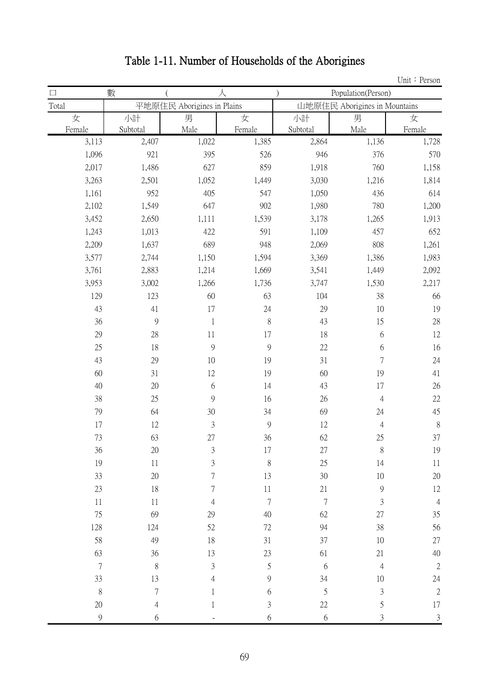|             |               |                            |                |                |                               | Unit: Person   |  |
|-------------|---------------|----------------------------|----------------|----------------|-------------------------------|----------------|--|
| $\Box$      | 數             |                            | 人              |                | Population(Person)            |                |  |
| Total       |               | 平地原住民 Aborigines in Plains |                |                | 山地原住民 Aborigines in Mountains |                |  |
| 女           | 小計            | 男                          | 女              | 小計             | 男                             | 女              |  |
| Female      | Subtotal      | Male                       | Female         | Subtotal       | Male                          | Female         |  |
| 3,113       | 2,407         | 1,022                      | 1,385          | 2,864          | 1,136                         | 1,728          |  |
| 1,096       | 921           | 395                        | 526            | 946            | 376                           | 570            |  |
| 2,017       | 1,486         | 627                        | 859            | 1,918          | 760                           | 1,158          |  |
| 3,263       | 2,501         | 1,052                      | 1,449          | 3,030          | 1,216                         | 1,814          |  |
| 1,161       | 952           | 405                        | 547            | 1,050          | 436                           | 614            |  |
| 2,102       | 1,549         | 647                        | 902            | 1,980          | 780                           | 1,200          |  |
| 3,452       | 2,650         | 1,111                      | 1,539          | 3,178          | 1,265                         | 1,913          |  |
| 1,243       | 1,013         | 422                        | 591            | 1,109          | 457                           | 652            |  |
| 2,209       | 1,637         | 689                        | 948            | 2,069          | 808                           | 1,261          |  |
| 3,577       | 2,744         | 1,150                      | 1,594          | 3,369          | 1,386                         | 1,983          |  |
| 3,761       | 2,883         | 1,214                      | 1,669          | 3,541          | 1,449                         | 2,092          |  |
| 3,953       | 3,002         | 1,266                      | 1,736          | 3,747          | 1,530                         | 2,217          |  |
| 129         | 123           | 60                         | 63             | 104            | 38                            | 66             |  |
| 43          | 41            | 17                         | 24             | 29             | 10                            | 19             |  |
| 36          | $\mathcal{G}$ | $\mathbf 1$                | $\,$ $\,$      | 43             | 15                            | $28\,$         |  |
| 29          | 28            | 11                         | 17             | 18             | 6                             | 12             |  |
| 25          | 18            | 9                          | $\mathcal{G}$  | 22             | 6                             | 16             |  |
| 43          | 29            | 10                         | 19             | 31             | $\sqrt{ }$                    | 24             |  |
| 60          | 31            | 12                         | 19             | 60             | 19                            | 41             |  |
| 40          | 20            | 6                          | 14             | 43             | 17                            | 26             |  |
| $38\,$      | 25            | 9                          | 16             | 26             | $\overline{4}$                | $22\,$         |  |
| 79          | 64            | 30                         | 34             | 69             | 24                            | 45             |  |
| 17          | 12            | $\mathfrak{Z}$             | $\mathfrak{g}$ | 12             | $\overline{4}$                | $\, 8$         |  |
| 73          | 63            | 27                         | 36             | 62             | 25                            | 37             |  |
| 36          | $20\,$        | 3                          | 17             | $27\,$         | 8                             | 19             |  |
| 19          | $11\,$        | $\mathfrak{Z}$             | 8              | 25             | 14                            | $11\,$         |  |
| 33          | $20\,$        | $\overline{7}$             | 13             | 30             | 10                            | $20\,$         |  |
| 23          | 18            | $\overline{7}$             | $11\,$         | $21\,$         | $\overline{9}$                | $12\,$         |  |
| 11          | 11            | 4                          | $\overline{7}$ | $\overline{7}$ | 3                             | $\overline{4}$ |  |
| 75          | 69            | 29                         | 40             | 62             | $27\,$                        | 35             |  |
| 128         | 124           | 52                         | $72\,$         | 94             | 38                            | 56             |  |
| 58          | 49            | 18                         | 31             | 37             | 10                            | $27\,$         |  |
| 63          | 36            | 13                         | $23\,$         | 61             | 21                            | $40\,$         |  |
| $\sqrt{ }$  | $\,$ $\,$     | $\mathfrak{Z}$             | 5              | 6              | $\overline{4}$                | $\sqrt{2}$     |  |
| 33          | 13            | 4                          | 9              | 34             | 10                            | 24             |  |
| $\,$ $\,$   | $\sqrt{ }$    | 1                          | 6              | 5              | $\mathfrak{Z}$                | $\sqrt{2}$     |  |
| 20          | 4             | 1                          | 3              | $22\,$         | 5                             | $17\,$         |  |
| $\mathbf 9$ | 6             |                            | $6\,$          | $6\,$          | $\mathfrak{Z}$                | $\mathfrak{Z}$ |  |

# Table 1-11. Number of Households of the Aborigines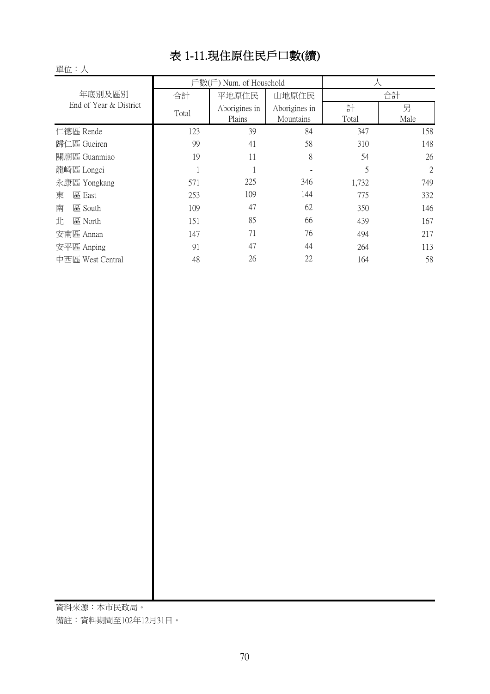# 表 1-11.現住原住民戶口數(續)

|                        |       | 戶數(戶) Num. of Household |               |       |      |  |
|------------------------|-------|-------------------------|---------------|-------|------|--|
| 年底別及區別                 | 合計    | 平地原住民                   | 山地原住民         |       | 合計   |  |
| End of Year & District | Total | Aborigines in           | Aborigines in | 計     | 男    |  |
|                        |       | Plains                  | Mountains     | Total | Male |  |
| 仁德區 Rende              | 123   | 39                      | 84            | 347   | 158  |  |
| 歸仁區 Gueiren            | 99    | 41                      | 58            | 310   | 148  |  |
| 關廟區 Guanmiao           | 19    | 11                      | 8             | 54    | 26   |  |
| 龍崎區 Longci             |       |                         |               | 5     | 2    |  |
| 永康區 Yongkang           | 571   | 225                     | 346           | 1,732 | 749  |  |
| 區 East<br>東            | 253   | 109                     | 144           | 775   | 332  |  |
| 南<br>區 South           | 109   | 47                      | 62            | 350   | 146  |  |
| 北<br>區 North           | 151   | 85                      | 66            | 439   | 167  |  |
| 安南區 Annan              | 147   | 71                      | 76            | 494   | 217  |  |
| 安平區 Anping             | 91    | 47                      | 44            | 264   | 113  |  |
| 中西區 West Central       | 48    | 26                      | 22            | 164   | 58   |  |

資料來源:本市民政局。

備註:資料期間至102年12月31日。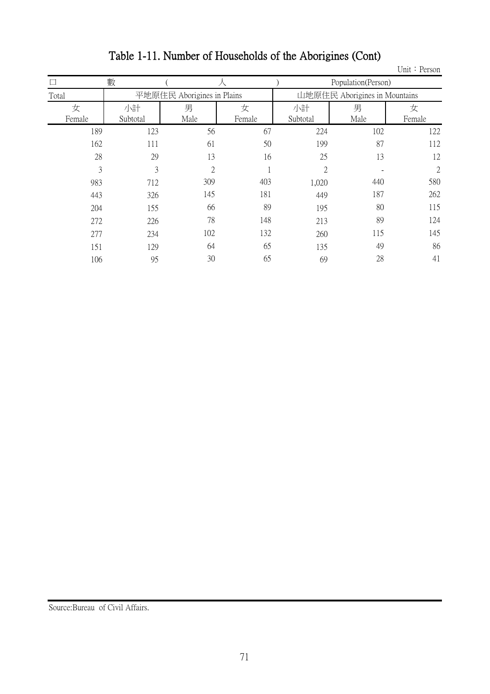|        |          |                            |        |                |                               | Unit: Person   |
|--------|----------|----------------------------|--------|----------------|-------------------------------|----------------|
|        | 數        |                            | 人      |                | Population(Person)            |                |
| Total  |          | 平地原住民 Aborigines in Plains |        |                | 山地原住民 Aborigines in Mountains |                |
| 女      | 小計       | 男                          | 女      | 小計             | 男                             | 女              |
| Female | Subtotal | Male                       | Female | Subtotal       | Male                          | Female         |
| 189    | 123      | 56                         | 67     | 224            | 102                           | 122            |
| 162    | 111      | 61                         | 50     | 199            | 87                            | 112            |
| 28     | 29       | 13                         | 16     | 25             | 13                            | 12             |
| 3      | 3        | $\overline{2}$             | 1      | $\overline{2}$ |                               | $\overline{2}$ |
| 983    | 712      | 309                        | 403    | 1,020          | 440                           | 580            |
| 443    | 326      | 145                        | 181    | 449            | 187                           | 262            |
| 204    | 155      | 66                         | 89     | 195            | 80                            | 115            |
| 272    | 226      | 78                         | 148    | 213            | 89                            | 124            |
| 277    | 234      | 102                        | 132    | 260            | 115                           | 145            |
| 151    | 129      | 64                         | 65     | 135            | 49                            | 86             |
| 106    | 95       | 30                         | 65     | 69             | 28                            | 41             |

# Table 1-11. Number of Households of the Aborigines (Cont)

Source:Bureau of Civil Affairs.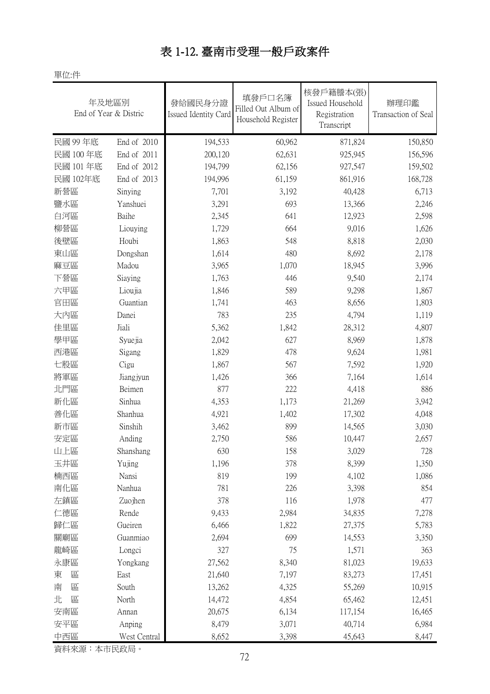#### 表 1-12. 臺南市受理一般戶政案件

單位:件

| 年及地區別<br>End of Year & Distric |              | 發給國民身分證<br>Issued Identity Card | 填發戶口名簿<br>Filled Out Album of<br>Household Register | 核發戶籍謄本(張)<br>Issued Household<br>Registration<br>Transcript | 辦理印鑑<br>Transaction of Seal |
|--------------------------------|--------------|---------------------------------|-----------------------------------------------------|-------------------------------------------------------------|-----------------------------|
| 民國 99年底                        | End of 2010  | 194,533                         | 60,962                                              | 871,824                                                     | 150,850                     |
| 民國 100年底                       | End of 2011  | 200,120                         | 62,631                                              | 925,945                                                     | 156,596                     |
| 民國 101年底                       | End of 2012  | 194,799                         | 62,156                                              | 927,547                                                     | 159,502                     |
| 民國 102年底                       | End of 2013  | 194,996                         | 61,159                                              | 861,916                                                     | 168,728                     |
| 新營區                            | Sinying      | 7,701                           | 3,192                                               | 40,428                                                      | 6,713                       |
| 鹽水區                            | Yanshuei     | 3,291                           | 693                                                 | 13,366                                                      | 2,246                       |
| 白河區                            | Baihe        | 2,345                           | 641                                                 | 12,923                                                      | 2,598                       |
| 柳營區                            | Liouying     | 1,729                           | 664                                                 | 9,016                                                       | 1,626                       |
| 後壁區                            | Houbi        | 1,863                           | 548                                                 | 8,818                                                       | 2,030                       |
| 東山區                            | Dongshan     | 1,614                           | 480                                                 | 8,692                                                       | 2,178                       |
| 麻豆區                            | Madou        | 3,965                           | 1,070                                               | 18,945                                                      | 3,996                       |
| 下營區                            | Siaying      | 1,763                           | 446                                                 | 9,540                                                       | 2,174                       |
| 六甲區                            | Lioujia      | 1,846                           | 589                                                 | 9,298                                                       | 1,867                       |
| 官田區                            | Guantian     | 1,741                           | 463                                                 | 8,656                                                       | 1,803                       |
| 大内區                            | Danei        | 783                             | 235                                                 | 4,794                                                       | 1,119                       |
| 佳里區                            | Jiali        | 5,362                           | 1,842                                               | 28,312                                                      | 4,807                       |
| 學甲區                            | Syuejia      | 2,042                           | 627                                                 | 8,969                                                       | 1,878                       |
| 西港區                            | Sigang       | 1,829                           | 478                                                 | 9,624                                                       | 1,981                       |
| 七股區                            | Cigu         | 1,867                           | 567                                                 | 7,592                                                       | 1,920                       |
| 將軍區                            | Jiangjyun    | 1,426                           | 366                                                 | 7,164                                                       | 1,614                       |
| 北門區                            | Beimen       | 877                             | 222                                                 | 4,418                                                       | 886                         |
| 新化區                            | Sinhua       | 4,353                           | 1,173                                               | 21,269                                                      | 3,942                       |
| 善化區                            | Shanhua      | 4,921                           | 1,402                                               | 17,302                                                      | 4,048                       |
| 新市區                            | Sinshih      | 3,462                           | 899                                                 | 14,565                                                      | 3,030                       |
| 安定區                            | Anding       | 2,750                           | 586                                                 | 10,447                                                      | 2,657                       |
| 山上區                            | Shanshang    | 630                             | 158                                                 | 3,029                                                       | 728                         |
| 玉井區                            | Yujing       | 1,196                           | 378                                                 | 8,399                                                       | 1,350                       |
| 楠西區                            | Nansi        | 819                             | 199                                                 | 4,102                                                       | 1,086                       |
| 南化區                            | Nanhua       | 781                             | 226                                                 | 3,398                                                       | 854                         |
| 左鎮區                            | Zuojhen      | 378                             | 116                                                 | 1,978                                                       | 477                         |
| 仁德區                            | Rende        | 9,433                           | 2,984                                               | 34,835                                                      | 7,278                       |
| 歸仁區                            | Gueiren      | 6,466                           | 1,822                                               | 27,375                                                      | 5,783                       |
| 關廟區                            | Guanmiao     | 2,694                           | 699                                                 | 14,553                                                      | 3,350                       |
| 龍崎區                            | Longci       | 327                             | 75                                                  | 1,571                                                       | 363                         |
| 永康區                            | Yongkang     | 27,562                          | 8,340                                               | 81,023                                                      | 19,633                      |
| 東<br>區                         | East         | 21,640                          | 7,197                                               | 83,273                                                      | 17,451                      |
| 南<br>區                         | South        | 13,262                          | 4,325                                               | 55,269                                                      | 10,915                      |
| 北<br>區                         | North        | 14,472                          | 4,854                                               | 65,462                                                      | 12,451                      |
| 安南區                            | Annan        | 20,675                          | 6,134                                               | 117,154                                                     | 16,465                      |
| 安平區                            | Anping       | 8,479                           | 3,071                                               | 40,714                                                      | 6,984                       |
| 中西區                            | West Central | 8,652                           | 3,398                                               | 45,643                                                      | 8,447                       |

資料來源:本市民政局。